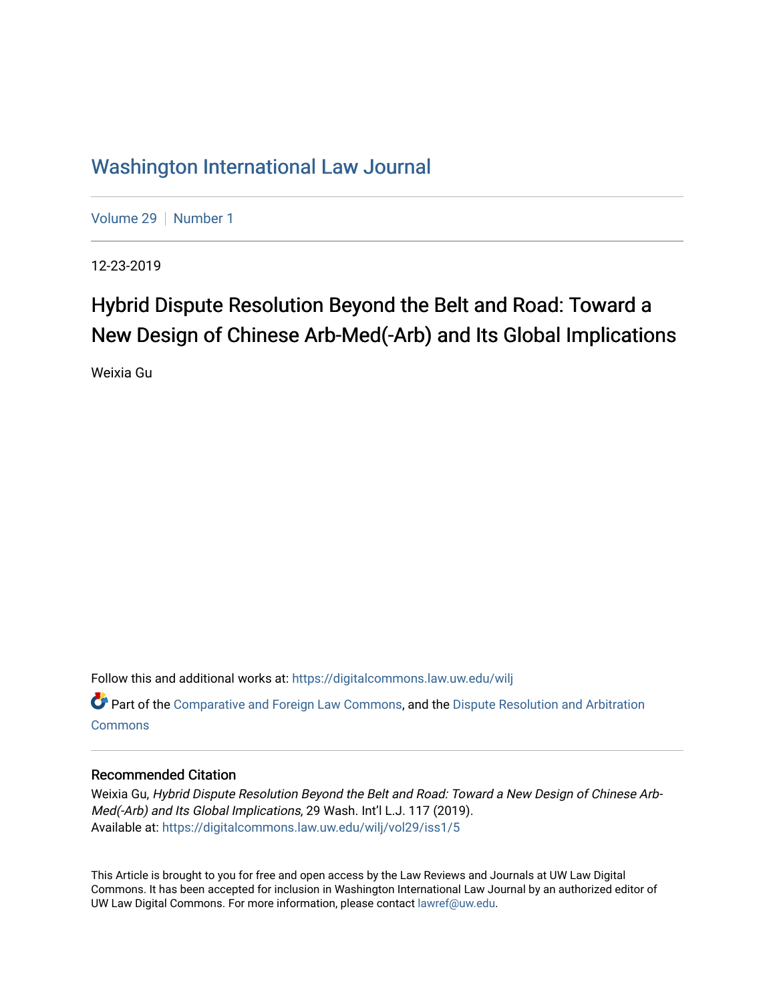# [Washington International Law Journal](https://digitalcommons.law.uw.edu/wilj)

[Volume 29](https://digitalcommons.law.uw.edu/wilj/vol29) | [Number 1](https://digitalcommons.law.uw.edu/wilj/vol29/iss1)

12-23-2019

# Hybrid Dispute Resolution Beyond the Belt and Road: Toward a New Design of Chinese Arb-Med(-Arb) and Its Global Implications

Weixia Gu

Follow this and additional works at: [https://digitalcommons.law.uw.edu/wilj](https://digitalcommons.law.uw.edu/wilj?utm_source=digitalcommons.law.uw.edu%2Fwilj%2Fvol29%2Fiss1%2F5&utm_medium=PDF&utm_campaign=PDFCoverPages) 

Part of the [Comparative and Foreign Law Commons,](http://network.bepress.com/hgg/discipline/836?utm_source=digitalcommons.law.uw.edu%2Fwilj%2Fvol29%2Fiss1%2F5&utm_medium=PDF&utm_campaign=PDFCoverPages) and the Dispute Resolution and Arbitration **[Commons](http://network.bepress.com/hgg/discipline/890?utm_source=digitalcommons.law.uw.edu%2Fwilj%2Fvol29%2Fiss1%2F5&utm_medium=PDF&utm_campaign=PDFCoverPages)** 

#### Recommended Citation

Weixia Gu, Hybrid Dispute Resolution Beyond the Belt and Road: Toward a New Design of Chinese Arb-Med(-Arb) and Its Global Implications, 29 Wash. Int'l L.J. 117 (2019). Available at: [https://digitalcommons.law.uw.edu/wilj/vol29/iss1/5](https://digitalcommons.law.uw.edu/wilj/vol29/iss1/5?utm_source=digitalcommons.law.uw.edu%2Fwilj%2Fvol29%2Fiss1%2F5&utm_medium=PDF&utm_campaign=PDFCoverPages) 

This Article is brought to you for free and open access by the Law Reviews and Journals at UW Law Digital Commons. It has been accepted for inclusion in Washington International Law Journal by an authorized editor of UW Law Digital Commons. For more information, please contact [lawref@uw.edu](mailto:lawref@uw.edu).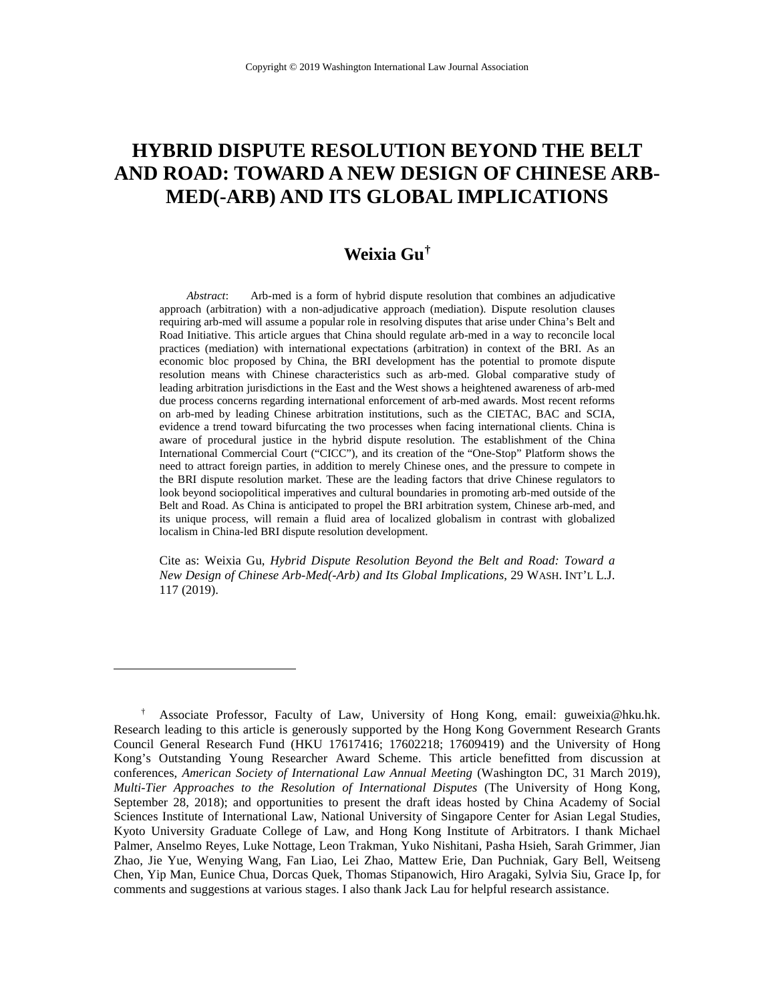# **HYBRID DISPUTE RESOLUTION BEYOND THE BELT AND ROAD: TOWARD A NEW DESIGN OF CHINESE ARB-MED(-ARB) AND ITS GLOBAL IMPLICATIONS**

## **Weixia Gu[†](#page-1-0)**

*Abstract*: Arb-med is a form of hybrid dispute resolution that combines an adjudicative approach (arbitration) with a non-adjudicative approach (mediation). Dispute resolution clauses requiring arb-med will assume a popular role in resolving disputes that arise under China's Belt and Road Initiative. This article argues that China should regulate arb-med in a way to reconcile local practices (mediation) with international expectations (arbitration) in context of the BRI. As an economic bloc proposed by China, the BRI development has the potential to promote dispute resolution means with Chinese characteristics such as arb-med. Global comparative study of leading arbitration jurisdictions in the East and the West shows a heightened awareness of arb-med due process concerns regarding international enforcement of arb-med awards. Most recent reforms on arb-med by leading Chinese arbitration institutions, such as the CIETAC, BAC and SCIA, evidence a trend toward bifurcating the two processes when facing international clients. China is aware of procedural justice in the hybrid dispute resolution. The establishment of the China International Commercial Court ("CICC"), and its creation of the "One-Stop" Platform shows the need to attract foreign parties, in addition to merely Chinese ones, and the pressure to compete in the BRI dispute resolution market. These are the leading factors that drive Chinese regulators to look beyond sociopolitical imperatives and cultural boundaries in promoting arb-med outside of the Belt and Road. As China is anticipated to propel the BRI arbitration system, Chinese arb-med, and its unique process, will remain a fluid area of localized globalism in contrast with globalized localism in China-led BRI dispute resolution development.

Cite as: Weixia Gu, *Hybrid Dispute Resolution Beyond the Belt and Road: Toward a New Design of Chinese Arb-Med(-Arb) and Its Global Implications*, 29 WASH. INT'L L.J. 117 (2019).

<span id="page-1-0"></span><sup>†</sup> Associate Professor, Faculty of Law, University of Hong Kong, email: guweixia@hku.hk. Research leading to this article is generously supported by the Hong Kong Government Research Grants Council General Research Fund (HKU 17617416; 17602218; 17609419) and the University of Hong Kong's Outstanding Young Researcher Award Scheme. This article benefitted from discussion at conferences, *American Society of International Law Annual Meeting* (Washington DC, 31 March 2019), *Multi-Tier Approaches to the Resolution of International Disputes* (The University of Hong Kong, September 28, 2018); and opportunities to present the draft ideas hosted by China Academy of Social Sciences Institute of International Law, National University of Singapore Center for Asian Legal Studies, Kyoto University Graduate College of Law, and Hong Kong Institute of Arbitrators. I thank Michael Palmer, Anselmo Reyes, Luke Nottage, Leon Trakman, Yuko Nishitani, Pasha Hsieh, Sarah Grimmer, Jian Zhao, Jie Yue, Wenying Wang, Fan Liao, Lei Zhao, Mattew Erie, Dan Puchniak, Gary Bell, Weitseng Chen, Yip Man, Eunice Chua, Dorcas Quek, Thomas Stipanowich, Hiro Aragaki, Sylvia Siu, Grace Ip, for comments and suggestions at various stages. I also thank Jack Lau for helpful research assistance.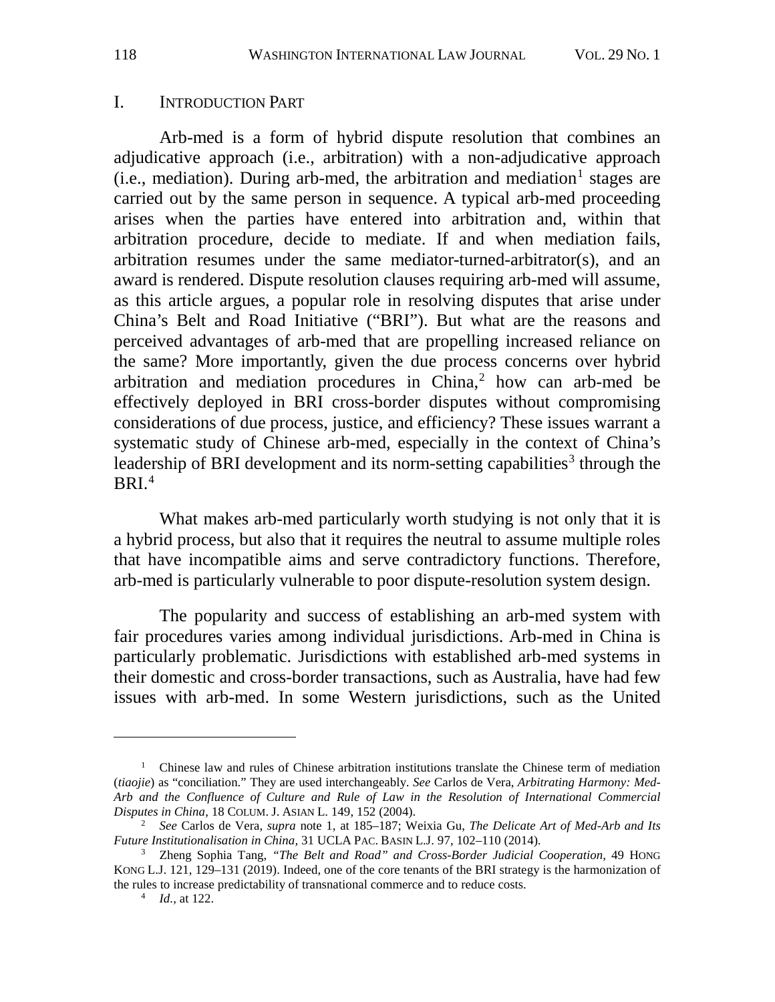#### I. INTRODUCTION PART

<span id="page-2-0"></span>Arb-med is a form of hybrid dispute resolution that combines an adjudicative approach (i.e., arbitration) with a non-adjudicative approach (i.e., mediation). During arb-med, the arbitration and mediation<sup>[1](#page-2-1)</sup> stages are carried out by the same person in sequence. A typical arb-med proceeding arises when the parties have entered into arbitration and, within that arbitration procedure, decide to mediate. If and when mediation fails, arbitration resumes under the same mediator-turned-arbitrator(s), and an award is rendered. Dispute resolution clauses requiring arb-med will assume, as this article argues, a popular role in resolving disputes that arise under China's Belt and Road Initiative ("BRI"). But what are the reasons and perceived advantages of arb-med that are propelling increased reliance on the same? More importantly, given the due process concerns over hybrid arbitration and mediation procedures in China,<sup>[2](#page-2-2)</sup> how can arb-med be effectively deployed in BRI cross-border disputes without compromising considerations of due process, justice, and efficiency? These issues warrant a systematic study of Chinese arb-med, especially in the context of China's leadership of BRI development and its norm-setting capabilities<sup>[3](#page-2-3)</sup> through the  $BRI<sup>4</sup>$  $BRI<sup>4</sup>$  $BRI<sup>4</sup>$ 

What makes arb-med particularly worth studying is not only that it is a hybrid process, but also that it requires the neutral to assume multiple roles that have incompatible aims and serve contradictory functions. Therefore, arb-med is particularly vulnerable to poor dispute-resolution system design.

The popularity and success of establishing an arb-med system with fair procedures varies among individual jurisdictions. Arb-med in China is particularly problematic. Jurisdictions with established arb-med systems in their domestic and cross-border transactions, such as Australia, have had few issues with arb-med. In some Western jurisdictions, such as the United

<span id="page-2-1"></span><sup>&</sup>lt;sup>1</sup> Chinese law and rules of Chinese arbitration institutions translate the Chinese term of mediation (*tiaojie*) as "conciliation." They are used interchangeably. *See* Carlos de Vera, *Arbitrating Harmony: Med-Arb and the Confluence of Culture and Rule of Law in the Resolution of International Commercial Disputes in China*, 18 COLUM. J. ASIAN L. 149, 152 (2004).

<span id="page-2-2"></span><sup>2</sup> *See* Carlos de Vera, *supra* note [1,](#page-2-0) at 185–187; Weixia Gu, *The Delicate Art of Med-Arb and Its Future Institutionalisation in China,* 31 UCLA PAC. BASIN L.J. 97, 102–110 (2014). 3 Zheng Sophia Tang, *"The Belt and Road" and Cross-Border Judicial Cooperation*, 49 HONG

<span id="page-2-4"></span><span id="page-2-3"></span>KONG L.J. 121, 129-131 (2019). Indeed, one of the core tenants of the BRI strategy is the harmonization of the rules to increase predictability of transnational commerce and to reduce costs.

<sup>4</sup> *Id.*, at 122.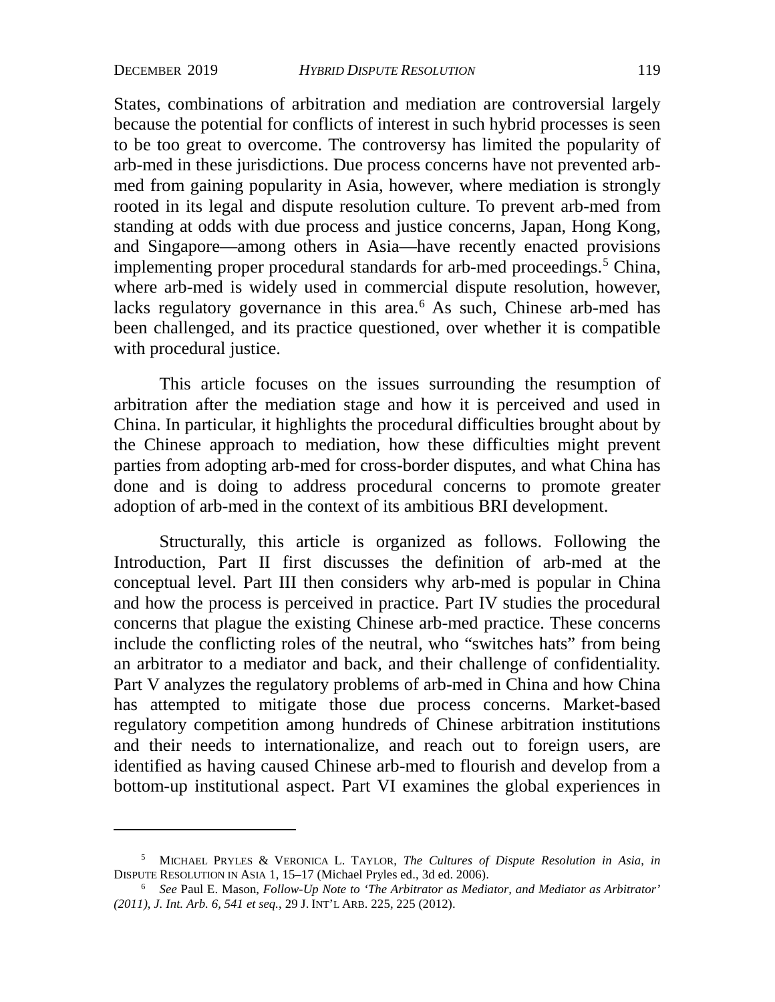States, combinations of arbitration and mediation are controversial largely because the potential for conflicts of interest in such hybrid processes is seen to be too great to overcome. The controversy has limited the popularity of arb-med in these jurisdictions. Due process concerns have not prevented arbmed from gaining popularity in Asia, however, where mediation is strongly rooted in its legal and dispute resolution culture. To prevent arb-med from standing at odds with due process and justice concerns, Japan, Hong Kong, and Singapore—among others in Asia—have recently enacted provisions implementing proper procedural standards for arb-med proceedings.<sup>[5](#page-3-0)</sup> China, where arb-med is widely used in commercial dispute resolution, however, lacks regulatory governance in this area.<sup>[6](#page-3-1)</sup> As such, Chinese arb-med has been challenged, and its practice questioned, over whether it is compatible with procedural justice.

This article focuses on the issues surrounding the resumption of arbitration after the mediation stage and how it is perceived and used in China. In particular, it highlights the procedural difficulties brought about by the Chinese approach to mediation, how these difficulties might prevent parties from adopting arb-med for cross-border disputes, and what China has done and is doing to address procedural concerns to promote greater adoption of arb-med in the context of its ambitious BRI development.

Structurally, this article is organized as follows. Following the Introduction, Part II first discusses the definition of arb-med at the conceptual level. Part III then considers why arb-med is popular in China and how the process is perceived in practice. Part IV studies the procedural concerns that plague the existing Chinese arb-med practice. These concerns include the conflicting roles of the neutral, who "switches hats" from being an arbitrator to a mediator and back, and their challenge of confidentiality. Part V analyzes the regulatory problems of arb-med in China and how China has attempted to mitigate those due process concerns. Market-based regulatory competition among hundreds of Chinese arbitration institutions and their needs to internationalize, and reach out to foreign users, are identified as having caused Chinese arb-med to flourish and develop from a bottom-up institutional aspect. Part VI examines the global experiences in

<span id="page-3-0"></span><sup>5</sup> MICHAEL PRYLES & VERONICA L. TAYLOR, *The Cultures of Dispute Resolution in Asia*, *in* DISPUTE RESOLUTION IN ASIA 1, 15–17 (Michael Pryles ed., 3d ed. 2006).

<span id="page-3-1"></span><sup>6</sup> *See* Paul E. Mason, *Follow-Up Note to 'The Arbitrator as Mediator, and Mediator as Arbitrator' (2011), J. Int. Arb. 6, 541 et seq.*, 29 J. INT'L ARB. 225, 225 (2012).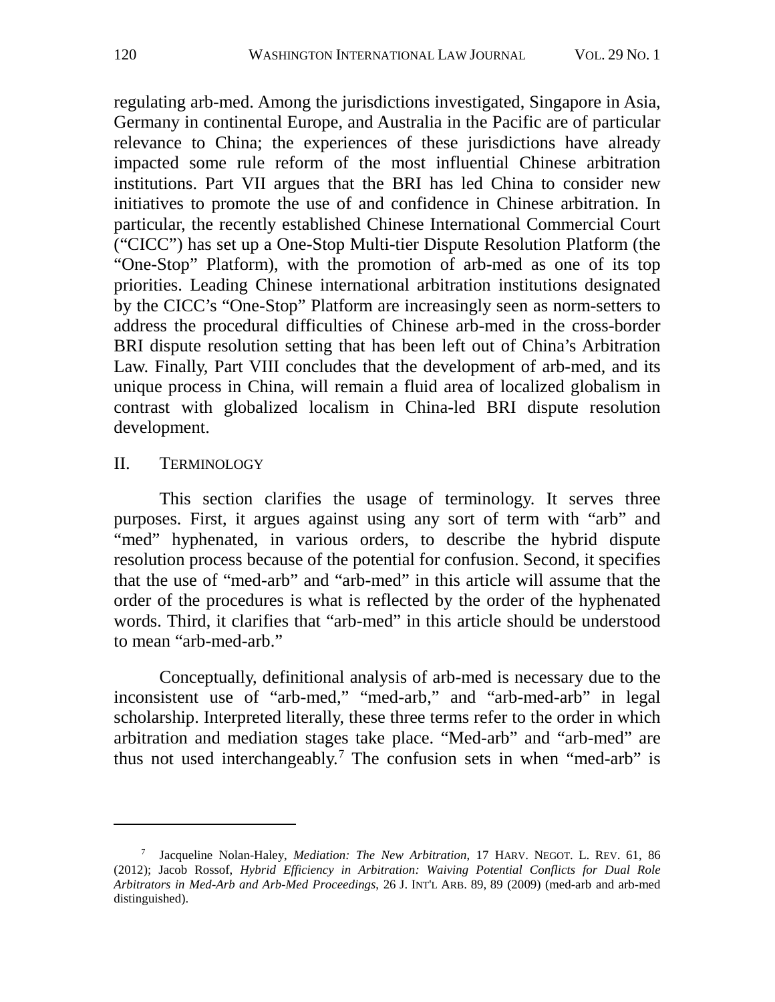regulating arb-med. Among the jurisdictions investigated, Singapore in Asia, Germany in continental Europe, and Australia in the Pacific are of particular relevance to China; the experiences of these jurisdictions have already impacted some rule reform of the most influential Chinese arbitration institutions. Part VII argues that the BRI has led China to consider new initiatives to promote the use of and confidence in Chinese arbitration. In particular, the recently established Chinese International Commercial Court ("CICC") has set up a One-Stop Multi-tier Dispute Resolution Platform (the "One-Stop" Platform), with the promotion of arb-med as one of its top priorities. Leading Chinese international arbitration institutions designated by the CICC's "One-Stop" Platform are increasingly seen as norm-setters to address the procedural difficulties of Chinese arb-med in the cross-border BRI dispute resolution setting that has been left out of China's Arbitration Law. Finally, Part VIII concludes that the development of arb-med, and its unique process in China, will remain a fluid area of localized globalism in contrast with globalized localism in China-led BRI dispute resolution development.

#### II. TERMINOLOGY

This section clarifies the usage of terminology. It serves three purposes. First, it argues against using any sort of term with "arb" and "med" hyphenated, in various orders, to describe the hybrid dispute resolution process because of the potential for confusion. Second, it specifies that the use of "med-arb" and "arb-med" in this article will assume that the order of the procedures is what is reflected by the order of the hyphenated words. Third, it clarifies that "arb-med" in this article should be understood to mean "arb-med-arb."

<span id="page-4-1"></span>Conceptually, definitional analysis of arb-med is necessary due to the inconsistent use of "arb-med," "med-arb," and "arb-med-arb" in legal scholarship. Interpreted literally, these three terms refer to the order in which arbitration and mediation stages take place. "Med-arb" and "arb-med" are thus not used interchangeably.<sup>[7](#page-4-0)</sup> The confusion sets in when "med-arb" is

<span id="page-4-0"></span><sup>7</sup> Jacqueline Nolan-Haley, *Mediation: The New Arbitration*, 17 HARV. NEGOT. L. REV. 61, 86 (2012); Jacob Rossof, *Hybrid Efficiency in Arbitration: Waiving Potential Conflicts for Dual Role Arbitrators in Med-Arb and Arb-Med Proceedings*, 26 J. INT'L ARB. 89, 89 (2009) (med-arb and arb-med distinguished).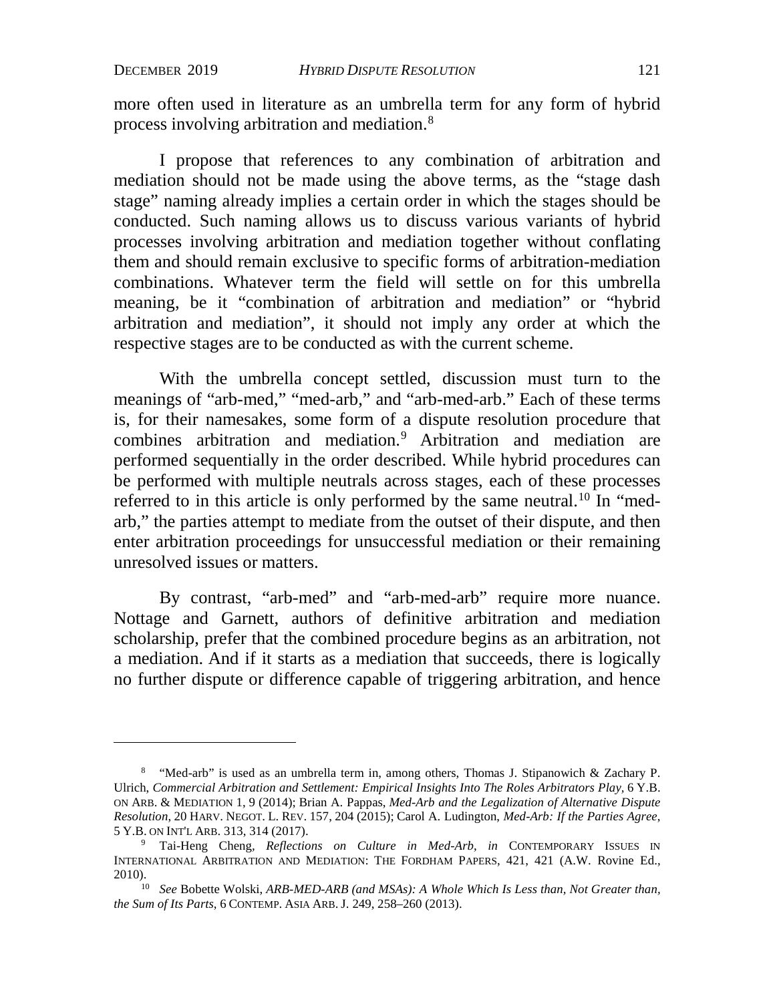more often used in literature as an umbrella term for any form of hybrid process involving arbitration and mediation.<sup>[8](#page-5-0)</sup>

I propose that references to any combination of arbitration and mediation should not be made using the above terms, as the "stage dash stage" naming already implies a certain order in which the stages should be conducted. Such naming allows us to discuss various variants of hybrid processes involving arbitration and mediation together without conflating them and should remain exclusive to specific forms of arbitration-mediation combinations. Whatever term the field will settle on for this umbrella meaning, be it "combination of arbitration and mediation" or "hybrid arbitration and mediation", it should not imply any order at which the respective stages are to be conducted as with the current scheme.

<span id="page-5-3"></span>With the umbrella concept settled, discussion must turn to the meanings of "arb-med," "med-arb," and "arb-med-arb." Each of these terms is, for their namesakes, some form of a dispute resolution procedure that combines arbitration and mediation.[9](#page-5-1) Arbitration and mediation are performed sequentially in the order described. While hybrid procedures can be performed with multiple neutrals across stages, each of these processes referred to in this article is only performed by the same neutral.<sup>[10](#page-5-2)</sup> In "medarb," the parties attempt to mediate from the outset of their dispute, and then enter arbitration proceedings for unsuccessful mediation or their remaining unresolved issues or matters.

By contrast, "arb-med" and "arb-med-arb" require more nuance. Nottage and Garnett, authors of definitive arbitration and mediation scholarship, prefer that the combined procedure begins as an arbitration, not a mediation. And if it starts as a mediation that succeeds, there is logically no further dispute or difference capable of triggering arbitration, and hence

<span id="page-5-0"></span><sup>&</sup>lt;sup>8</sup> "Med-arb" is used as an umbrella term in, among others, Thomas J. Stipanowich & Zachary P. Ulrich, *Commercial Arbitration and Settlement: Empirical Insights Into The Roles Arbitrators Play,* 6 Y.B. ON ARB. & MEDIATION 1, 9 (2014); Brian A. Pappas, *Med-Arb and the Legalization of Alternative Dispute Resolution*, 20 HARV. NEGOT. L. REV. 157, 204 (2015); Carol A. Ludington, *Med-Arb: If the Parties Agree*, 5 Y.B. ON INT'L ARB. 313, 314 (2017).

<span id="page-5-1"></span><sup>9</sup> Tai-Heng Cheng*, Reflections on Culture in Med-Arb*, *in* CONTEMPORARY ISSUES IN INTERNATIONAL ARBITRATION AND MEDIATION: THE FORDHAM PAPERS, 421, 421 (A.W. Rovine Ed., 2010).

<span id="page-5-2"></span><sup>&</sup>lt;sup>10</sup> *See* Bobette Wolski, *ARB-MED-ARB* (and *MSAs): A Whole Which Is Less than, Not Greater than, the Sum of Its Parts*, 6 CONTEMP. ASIA ARB. J. 249, 258–260 (2013).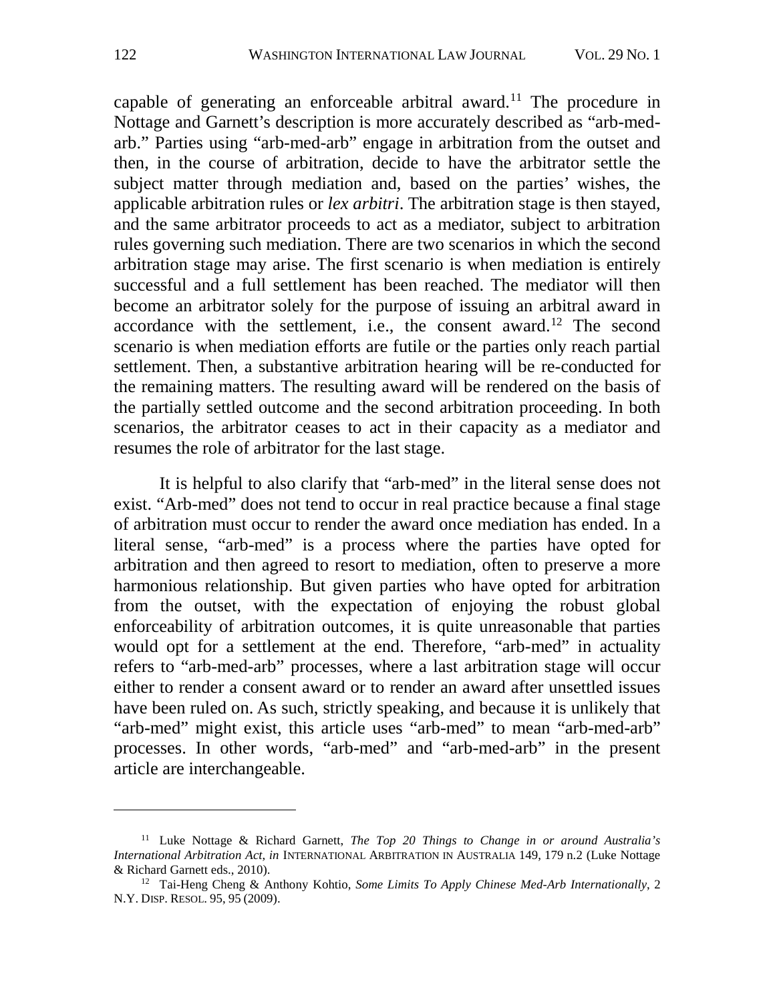capable of generating an enforceable arbitral award.<sup>[11](#page-6-0)</sup> The procedure in Nottage and Garnett's description is more accurately described as "arb-medarb." Parties using "arb-med-arb" engage in arbitration from the outset and then, in the course of arbitration, decide to have the arbitrator settle the subject matter through mediation and, based on the parties' wishes, the applicable arbitration rules or *lex arbitri*. The arbitration stage is then stayed, and the same arbitrator proceeds to act as a mediator, subject to arbitration rules governing such mediation. There are two scenarios in which the second arbitration stage may arise. The first scenario is when mediation is entirely successful and a full settlement has been reached. The mediator will then become an arbitrator solely for the purpose of issuing an arbitral award in accordance with the settlement, i.e., the consent award.<sup>[12](#page-6-1)</sup> The second scenario is when mediation efforts are futile or the parties only reach partial settlement. Then, a substantive arbitration hearing will be re-conducted for the remaining matters. The resulting award will be rendered on the basis of the partially settled outcome and the second arbitration proceeding. In both scenarios, the arbitrator ceases to act in their capacity as a mediator and resumes the role of arbitrator for the last stage.

It is helpful to also clarify that "arb-med" in the literal sense does not exist. "Arb-med" does not tend to occur in real practice because a final stage of arbitration must occur to render the award once mediation has ended. In a literal sense, "arb-med" is a process where the parties have opted for arbitration and then agreed to resort to mediation, often to preserve a more harmonious relationship. But given parties who have opted for arbitration from the outset, with the expectation of enjoying the robust global enforceability of arbitration outcomes, it is quite unreasonable that parties would opt for a settlement at the end. Therefore, "arb-med" in actuality refers to "arb-med-arb" processes, where a last arbitration stage will occur either to render a consent award or to render an award after unsettled issues have been ruled on. As such, strictly speaking, and because it is unlikely that "arb-med" might exist, this article uses "arb-med" to mean "arb-med-arb" processes. In other words, "arb-med" and "arb-med-arb" in the present article are interchangeable.

<span id="page-6-0"></span><sup>11</sup> Luke Nottage & Richard Garnett, *The Top 20 Things to Change in or around Australia's International Arbitration Act*, *in* INTERNATIONAL ARBITRATION IN AUSTRALIA 149, 179 n.2 (Luke Nottage & Richard Garnett eds., 2010).

<span id="page-6-1"></span><sup>12</sup> Tai-Heng Cheng & Anthony Kohtio, *Some Limits To Apply Chinese Med-Arb Internationally*, 2 N.Y. DISP. RESOL. 95, 95 (2009).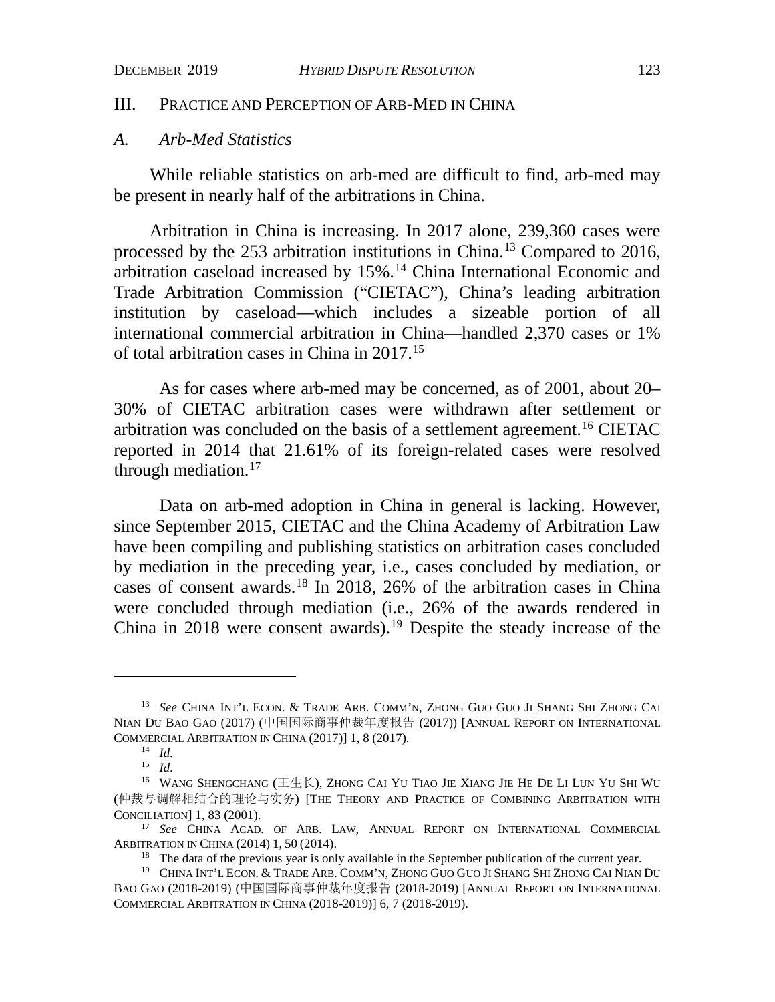#### III. PRACTICE AND PERCEPTION OF ARB-MED IN CHINA

### *A. Arb-Med Statistics*

While reliable statistics on arb-med are difficult to find, arb-med may be present in nearly half of the arbitrations in China.

<span id="page-7-7"></span>Arbitration in China is increasing. In 2017 alone, 239,360 cases were processed by the 253 arbitration institutions in China.[13](#page-7-0) Compared to 2016, arbitration caseload increased by 15%.[14](#page-7-1) China International Economic and Trade Arbitration Commission ("CIETAC"), China's leading arbitration institution by caseload—which includes a sizeable portion of all international commercial arbitration in China—handled 2,370 cases or 1% of total arbitration cases in China in 2017.[15](#page-7-2)

As for cases where arb-med may be concerned, as of 2001, about 20– 30% of CIETAC arbitration cases were withdrawn after settlement or arbitration was concluded on the basis of a settlement agreement.[16](#page-7-3) CIETAC reported in 2014 that 21.61% of its foreign-related cases were resolved through mediation.<sup>[17](#page-7-4)</sup>

<span id="page-7-8"></span>Data on arb-med adoption in China in general is lacking. However, since September 2015, CIETAC and the China Academy of Arbitration Law have been compiling and publishing statistics on arbitration cases concluded by mediation in the preceding year, i.e., cases concluded by mediation, or cases of consent awards.[18](#page-7-5) In 2018, 26% of the arbitration cases in China were concluded through mediation (i.e., 26% of the awards rendered in China in 2018 were consent awards).<sup>[19](#page-7-6)</sup> Despite the steady increase of the

<span id="page-7-0"></span><sup>13</sup> *See* CHINA INT'L ECON. & TRADE ARB. COMM'N, ZHONG GUO GUO JI SHANG SHI ZHONG CAI NIAN DU BAO GAO (2017) (中国国际商事仲裁年度报告 (2017)) [ANNUAL REPORT ON INTERNATIONAL COMMERCIAL ARBITRATION IN CHINA (2017)] 1, 8 (2017).

<sup>14</sup> *Id.*

<sup>15</sup> *Id.*

<span id="page-7-3"></span><span id="page-7-2"></span><span id="page-7-1"></span><sup>&</sup>lt;sup>16</sup> WANG SHENGCHANG ( $\pm\pm\text{K}$ ), ZHONG CAI YU TIAO JIE XIANG JIE HE DE LI LUN YU SHI WU (仲裁与调解相结合的理论与实务) [THE THEORY AND PRACTICE OF COMBINING ARBITRATION WITH CONCILIATION] 1, 83 (2001). 17 *See* CHINA ACAD. OF ARB. LAW, ANNUAL REPORT ON INTERNATIONAL COMMERCIAL

<span id="page-7-4"></span>ARBITRATION IN CHINA (2014) 1, 50 (2014).

<sup>&</sup>lt;sup>18</sup> The data of the previous year is only available in the September publication of the current year.

<span id="page-7-6"></span><span id="page-7-5"></span><sup>19</sup> CHINA INT'L ECON. & TRADE ARB. COMM'N, ZHONG GUO GUO JI SHANG SHI ZHONG CAI NIAN DU BAO GAO (2018-2019) (中国国际商事仲裁年度报告 (2018-2019) [ANNUAL REPORT ON INTERNATIONAL COMMERCIAL ARBITRATION IN CHINA (2018-2019)] 6, 7 (2018-2019).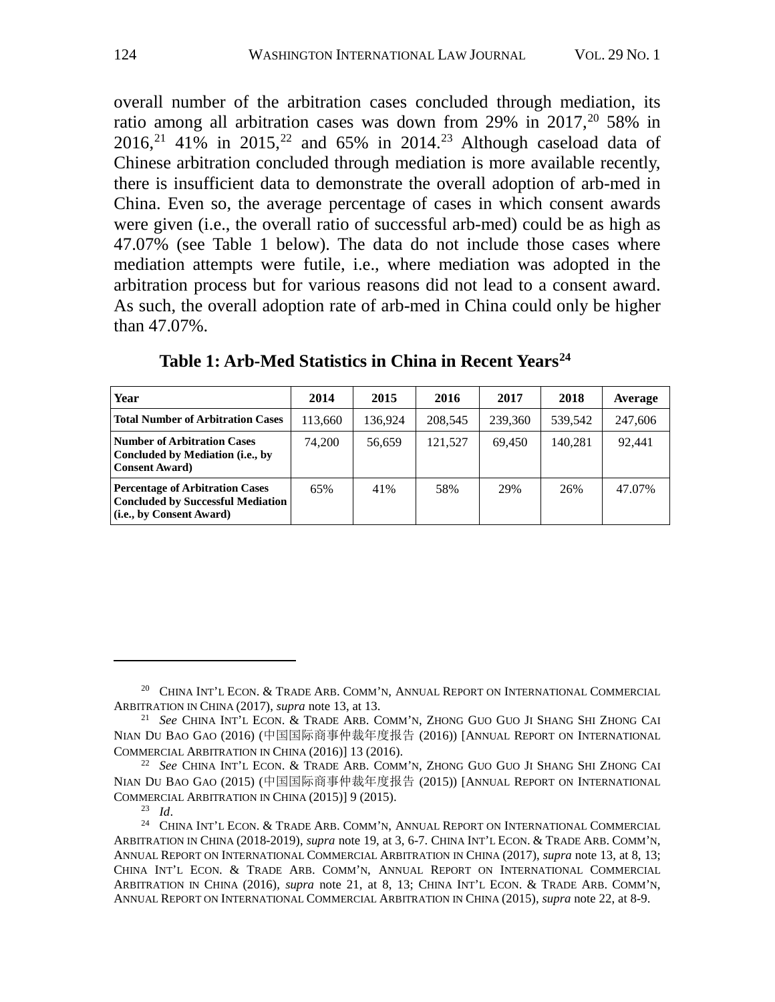<span id="page-8-5"></span>overall number of the arbitration cases concluded through mediation, its ratio among all arbitration cases was down from 29% in  $2017$  $2017$ ,  $20\frac{1}{20}$  58% in 2016,<sup>[21](#page-8-1)</sup> 41% in 2015,<sup>[22](#page-8-2)</sup> and 65% in 2014.<sup>[23](#page-8-3)</sup> Although caseload data of Chinese arbitration concluded through mediation is more available recently, there is insufficient data to demonstrate the overall adoption of arb-med in China. Even so, the average percentage of cases in which consent awards were given (i.e., the overall ratio of successful arb-med) could be as high as 47.07% (see Table 1 below). The data do not include those cases where mediation attempts were futile, i.e., where mediation was adopted in the arbitration process but for various reasons did not lead to a consent award. As such, the overall adoption rate of arb-med in China could only be higher than 47.07%.

| Year                                                                                                           | 2014    | 2015    | 2016    | 2017    | 2018    | Average |
|----------------------------------------------------------------------------------------------------------------|---------|---------|---------|---------|---------|---------|
| <b>Total Number of Arbitration Cases</b>                                                                       | 113,660 | 136.924 | 208,545 | 239,360 | 539.542 | 247,606 |
| Number of Arbitration Cases<br>Concluded by Mediation (i.e., by<br><b>Consent Award</b>                        | 74.200  | 56.659  | 121.527 | 69.450  | 140.281 | 92.441  |
| <b>Percentage of Arbitration Cases</b><br><b>Concluded by Successful Mediation</b><br>(i.e., by Consent Award) | 65%     | 41%     | 58%     | 29%     | 26%     | 47.07%  |

**Table 1: Arb-Med Statistics in China in Recent Years[24](#page-8-4)**

<span id="page-8-0"></span><sup>&</sup>lt;sup>20</sup> CHINA INT'L ECON. & TRADE ARB. COMM'N, ANNUAL REPORT ON INTERNATIONAL COMMERCIAL ARBITRATION IN CHINA (2017), *supra* note [13,](#page-7-7) at 13.

<span id="page-8-1"></span><sup>21</sup> *See* CHINA INT'L ECON. & TRADE ARB. COMM'N, ZHONG GUO GUO JI SHANG SHI ZHONG CAI NIAN DU BAO GAO (2016) (中国国际商事仲裁年度报告 (2016)) [ANNUAL REPORT ON INTERNATIONAL COMMERCIAL ARBITRATION IN CHINA (2016)] 13 (2016).

<span id="page-8-2"></span><sup>22</sup> *See* CHINA INT'L ECON. & TRADE ARB. COMM'N, ZHONG GUO GUO JI SHANG SHI ZHONG CAI NIAN DU BAO GAO (2015) (中国国际商事仲裁年度报告 (2015)) [ANNUAL REPORT ON INTERNATIONAL COMMERCIAL ARBITRATION IN CHINA (2015)] 9 (2015).<br><sup>23</sup> Id.

<span id="page-8-4"></span><span id="page-8-3"></span><sup>&</sup>lt;sup>24</sup> CHINA INT'L ECON. & TRADE ARB. COMM'N, ANNUAL REPORT ON INTERNATIONAL COMMERCIAL ARBITRATION IN CHINA (2018-2019), *supra* note 19, at 3, 6-7. CHINA INT'L ECON. & TRADE ARB. COMM'N, ANNUAL REPORT ON INTERNATIONAL COMMERCIAL ARBITRATION IN CHINA (2017), *supra* note [13,](#page-7-7) at 8, 13; CHINA INT'L ECON. & TRADE ARB. COMM'N, ANNUAL REPORT ON INTERNATIONAL COMMERCIAL ARBITRATION IN CHINA (2016), *supra* note 21, at 8, 13; CHINA INT'L ECON. & TRADE ARB. COMM'N, ANNUAL REPORT ON INTERNATIONAL COMMERCIAL ARBITRATION IN CHINA (2015), *supra* note 22, at 8-9.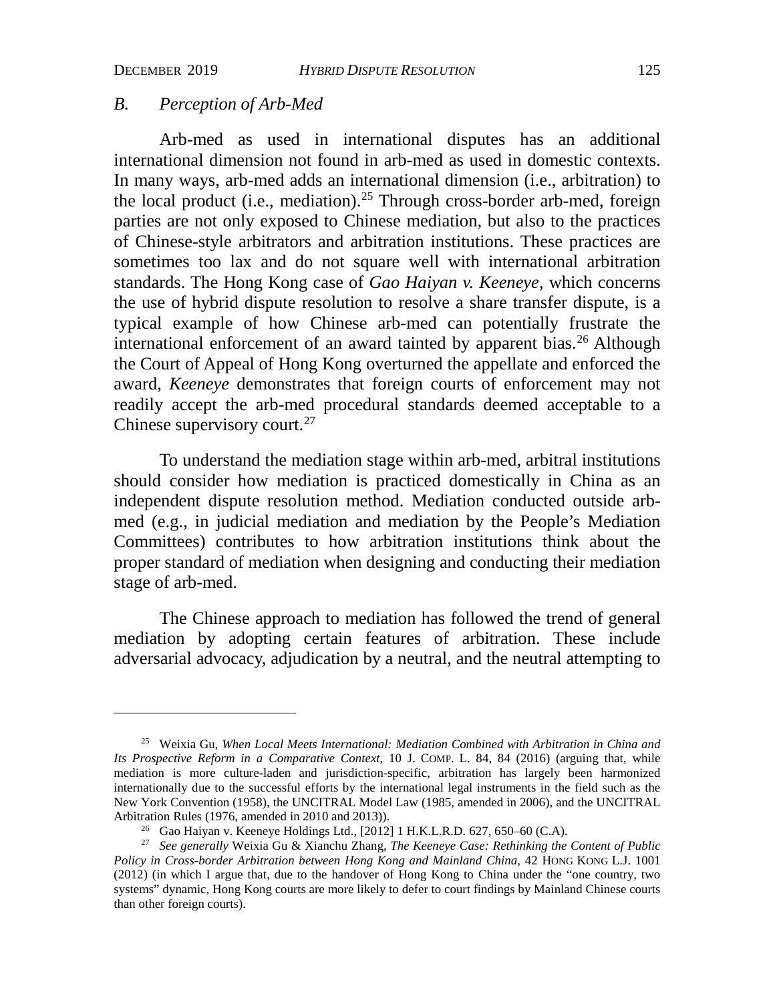## *B. Perception of Arb-Med*

<span id="page-9-3"></span>Arb-med as used in international disputes has an additional international dimension not found in arb-med as used in domestic contexts. In many ways, arb-med adds an international dimension (i.e., arbitration) to the local product (i.e., mediation).<sup>[25](#page-9-0)</sup> Through cross-border arb-med, foreign parties are not only exposed to Chinese mediation, but also to the practices of Chinese-style arbitrators and arbitration institutions. These practices are sometimes too lax and do not square well with international arbitration standards. The Hong Kong case of *Gao Haiyan v. Keeneye*, which concerns the use of hybrid dispute resolution to resolve a share transfer dispute, is a typical example of how Chinese arb-med can potentially frustrate the international enforcement of an award tainted by apparent bias.<sup>[26](#page-9-1)</sup> Although the Court of Appeal of Hong Kong overturned the appellate and enforced the award, *Keeneye* demonstrates that foreign courts of enforcement may not readily accept the arb-med procedural standards deemed acceptable to a Chinese supervisory court.<sup>[27](#page-9-2)</sup>

<span id="page-9-4"></span>To understand the mediation stage within arb-med, arbitral institutions should consider how mediation is practiced domestically in China as an independent dispute resolution method. Mediation conducted outside arbmed (e.g., in judicial mediation and mediation by the People's Mediation Committees) contributes to how arbitration institutions think about the proper standard of mediation when designing and conducting their mediation stage of arb-med.

The Chinese approach to mediation has followed the trend of general mediation by adopting certain features of arbitration. These include adversarial advocacy, adjudication by a neutral, and the neutral attempting to

<span id="page-9-0"></span><sup>25</sup> Weixia Gu, *When Local Meets International: Mediation Combined with Arbitration in China and Its Prospective Reform in a Comparative Context*, 10 J. COMP. L. 84, 84 (2016) (arguing that, while mediation is more culture-laden and jurisdiction-specific, arbitration has largely been harmonized internationally due to the successful efforts by the international legal instruments in the field such as the New York Convention (1958), the UNCITRAL Model Law (1985, amended in 2006), and the UNCITRAL Arbitration Rules (1976, amended in 2010 and 2013)).<br><sup>26</sup> Gao Haiyan v. Keeneye Holdings Ltd., [2012] 1 H.K.L.R.D. 627, 650–60 (C.A).

<span id="page-9-2"></span><span id="page-9-1"></span><sup>27</sup> *See generally* Weixia Gu & Xianchu Zhang, *The Keeneye Case: Rethinking the Content of Public Policy in Cross-border Arbitration between Hong Kong and Mainland China*, 42 HONG KONG L.J. 1001 (2012) (in which I argue that, due to the handover of Hong Kong to China under the "one country, two systems" dynamic, Hong Kong courts are more likely to defer to court findings by Mainland Chinese courts than other foreign courts).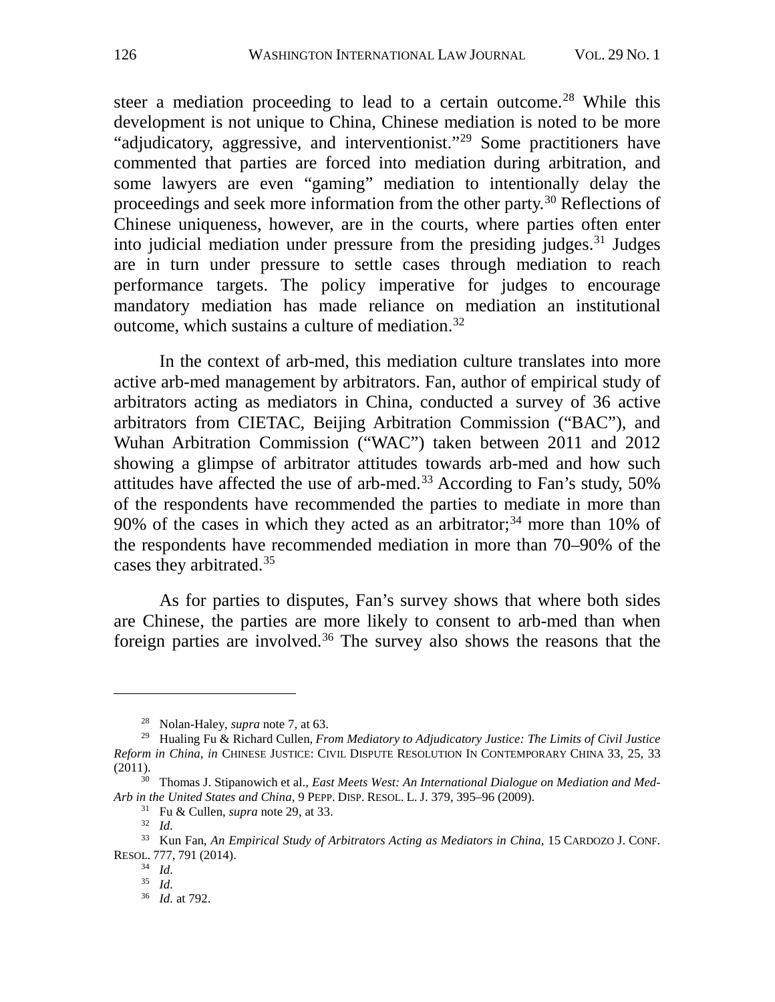<span id="page-10-11"></span><span id="page-10-0"></span>steer a mediation proceeding to lead to a certain outcome.<sup>[28](#page-10-1)</sup> While this development is not unique to China, Chinese mediation is noted to be more "adjudicatory, aggressive, and interventionist."[29](#page-10-2) Some practitioners have commented that parties are forced into mediation during arbitration, and some lawyers are even "gaming" mediation to intentionally delay the proceedings and seek more information from the other party.[30](#page-10-3) Reflections of Chinese uniqueness, however, are in the courts, where parties often enter into judicial mediation under pressure from the presiding judges. $31$  Judges are in turn under pressure to settle cases through mediation to reach performance targets. The policy imperative for judges to encourage mandatory mediation has made reliance on mediation an institutional outcome, which sustains a culture of mediation.[32](#page-10-5)

In the context of arb-med, this mediation culture translates into more active arb-med management by arbitrators. Fan, author of empirical study of arbitrators acting as mediators in China, conducted a survey of 36 active arbitrators from CIETAC, Beijing Arbitration Commission ("BAC"), and Wuhan Arbitration Commission ("WAC") taken between 2011 and 2012 showing a glimpse of arbitrator attitudes towards arb-med and how such attitudes have affected the use of arb-med.<sup>[33](#page-10-6)</sup> According to Fan's study,  $50\%$ of the respondents have recommended the parties to mediate in more than 90% of the cases in which they acted as an arbitrator;<sup>[34](#page-10-7)</sup> more than 10% of the respondents have recommended mediation in more than 70–90% of the cases they arbitrated.[35](#page-10-8)

<span id="page-10-10"></span>As for parties to disputes, Fan's survey shows that where both sides are Chinese, the parties are more likely to consent to arb-med than when foreign parties are involved.<sup>[36](#page-10-9)</sup> The survey also shows the reasons that the

<sup>28</sup> Nolan-Haley, *supra* not[e 7,](#page-4-1) at 63.

<span id="page-10-2"></span><span id="page-10-1"></span><sup>29</sup> Hualing Fu & Richard Cullen, *From Mediatory to Adjudicatory Justice: The Limits of Civil Justice Reform in China*, *in* CHINESE JUSTICE: CIVIL DISPUTE RESOLUTION IN CONTEMPORARY CHINA 33, 25, 33 (2011).

<span id="page-10-4"></span><span id="page-10-3"></span><sup>30</sup> Thomas J. Stipanowich et al., *East Meets West: An International Dialogue on Mediation and Med-Arb in the United States and China*, 9 PEPP. DISP. RESOL. L. J. 379, 395–96 (2009).

<sup>31</sup> Fu & Cullen, *supra* note [29,](#page-10-0) at 33.

<sup>32</sup> *Id.*

<span id="page-10-9"></span><span id="page-10-8"></span><span id="page-10-7"></span><span id="page-10-6"></span><span id="page-10-5"></span><sup>33</sup> Kun Fan, *An Empirical Study of Arbitrators Acting as Mediators in China*, 15 CARDOZO J. CONF. RESOL. 777, 791 (2014).

<sup>34</sup> *Id.*

<sup>35</sup> *Id.*

<sup>36</sup> *Id.* at 792.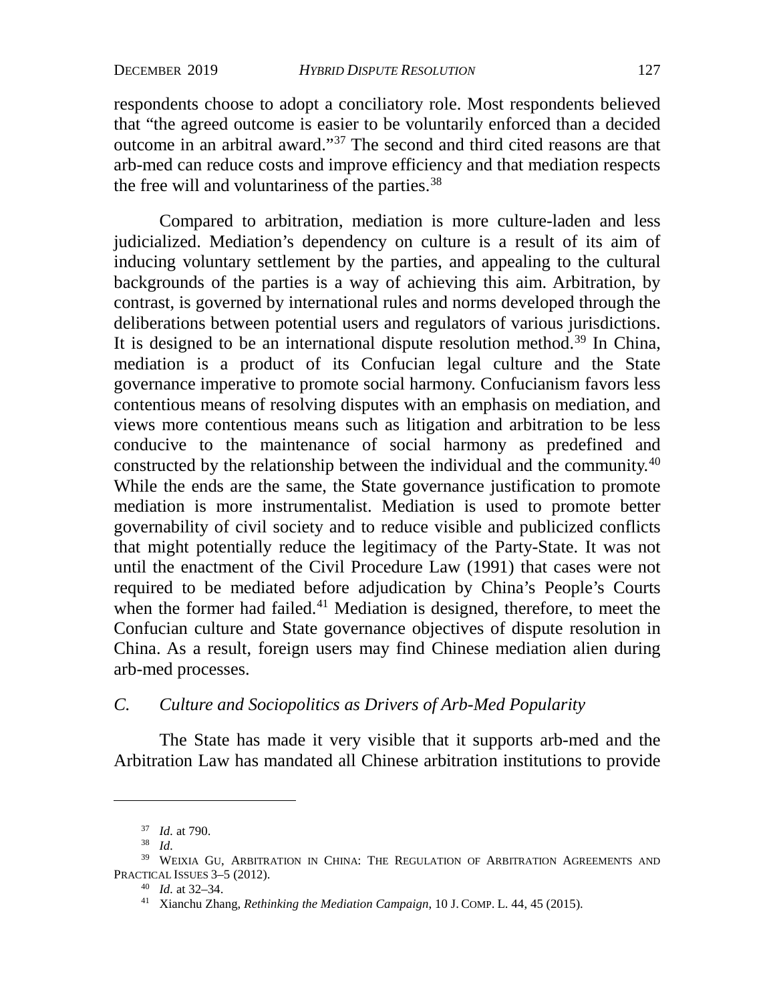respondents choose to adopt a conciliatory role. Most respondents believed that "the agreed outcome is easier to be voluntarily enforced than a decided outcome in an arbitral award."[37](#page-11-0) The second and third cited reasons are that arb-med can reduce costs and improve efficiency and that mediation respects the free will and voluntariness of the parties.<sup>[38](#page-11-1)</sup>

<span id="page-11-5"></span>Compared to arbitration, mediation is more culture-laden and less judicialized. Mediation's dependency on culture is a result of its aim of inducing voluntary settlement by the parties, and appealing to the cultural backgrounds of the parties is a way of achieving this aim. Arbitration, by contrast, is governed by international rules and norms developed through the deliberations between potential users and regulators of various jurisdictions. It is designed to be an international dispute resolution method.<sup>[39](#page-11-2)</sup> In China, mediation is a product of its Confucian legal culture and the State governance imperative to promote social harmony. Confucianism favors less contentious means of resolving disputes with an emphasis on mediation, and views more contentious means such as litigation and arbitration to be less conducive to the maintenance of social harmony as predefined and constructed by the relationship between the individual and the community.[40](#page-11-3) While the ends are the same, the State governance justification to promote mediation is more instrumentalist. Mediation is used to promote better governability of civil society and to reduce visible and publicized conflicts that might potentially reduce the legitimacy of the Party-State. It was not until the enactment of the Civil Procedure Law (1991) that cases were not required to be mediated before adjudication by China's People's Courts when the former had failed.<sup>41</sup> Mediation is designed, therefore, to meet the Confucian culture and State governance objectives of dispute resolution in China. As a result, foreign users may find Chinese mediation alien during arb-med processes.

## *C. Culture and Sociopolitics as Drivers of Arb-Med Popularity*

The State has made it very visible that it supports arb-med and the Arbitration Law has mandated all Chinese arbitration institutions to provide

<sup>37</sup> *Id.* at 790.

<sup>38</sup> *Id.*

<span id="page-11-4"></span><span id="page-11-3"></span><span id="page-11-2"></span><span id="page-11-1"></span><span id="page-11-0"></span><sup>39</sup> WEIXIA GU, ARBITRATION IN CHINA: THE REGULATION OF ARBITRATION AGREEMENTS AND PRACTICAL ISSUES 3–5 (2012).

<sup>40</sup> *Id.* at 32–34.

<sup>41</sup> Xianchu Zhang, *Rethinking the Mediation Campaign*, 10 J. COMP. L. 44, 45 (2015).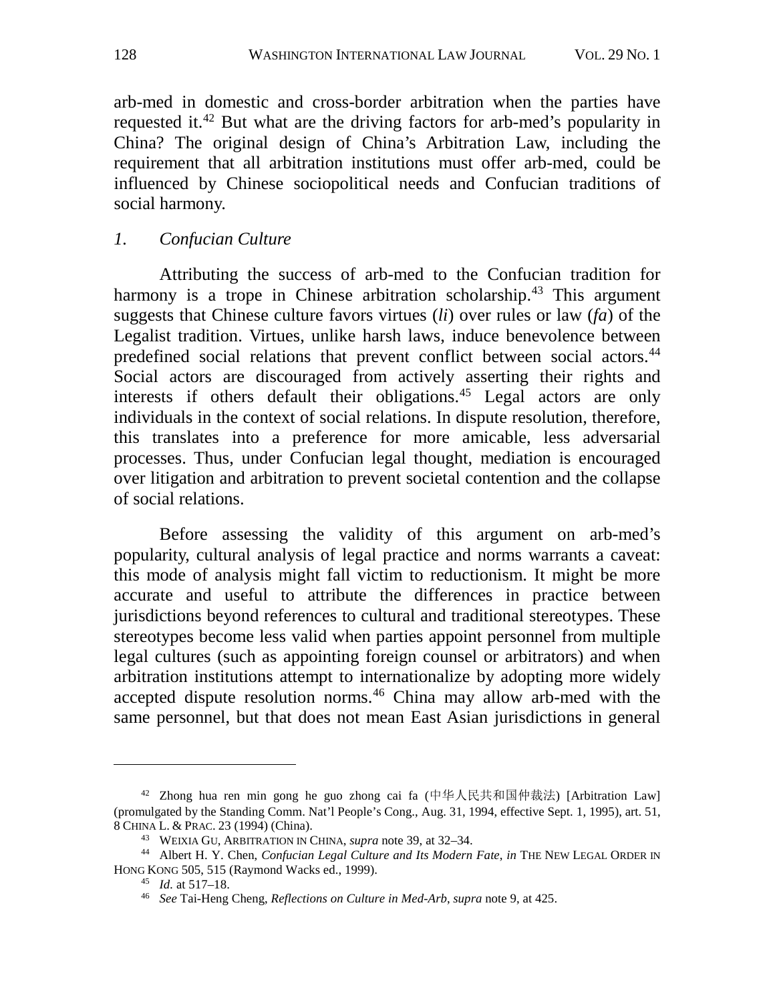arb-med in domestic and cross-border arbitration when the parties have requested it.<sup>[42](#page-12-0)</sup> But what are the driving factors for arb-med's popularity in China? The original design of China's Arbitration Law, including the requirement that all arbitration institutions must offer arb-med, could be influenced by Chinese sociopolitical needs and Confucian traditions of social harmony.

## *1. Confucian Culture*

Attributing the success of arb-med to the Confucian tradition for harmony is a trope in Chinese arbitration scholarship.<sup>[43](#page-12-1)</sup> This argument suggests that Chinese culture favors virtues (*li*) over rules or law (*fa*) of the Legalist tradition. Virtues, unlike harsh laws, induce benevolence between predefined social relations that prevent conflict between social actors.<sup>[44](#page-12-2)</sup> Social actors are discouraged from actively asserting their rights and interests if others default their obligations.<sup>[45](#page-12-3)</sup> Legal actors are only individuals in the context of social relations. In dispute resolution, therefore, this translates into a preference for more amicable, less adversarial processes. Thus, under Confucian legal thought, mediation is encouraged over litigation and arbitration to prevent societal contention and the collapse of social relations.

Before assessing the validity of this argument on arb-med's popularity, cultural analysis of legal practice and norms warrants a caveat: this mode of analysis might fall victim to reductionism. It might be more accurate and useful to attribute the differences in practice between jurisdictions beyond references to cultural and traditional stereotypes. These stereotypes become less valid when parties appoint personnel from multiple legal cultures (such as appointing foreign counsel or arbitrators) and when arbitration institutions attempt to internationalize by adopting more widely accepted dispute resolution norms.[46](#page-12-4) China may allow arb-med with the same personnel, but that does not mean East Asian jurisdictions in general

<span id="page-12-0"></span><sup>&</sup>lt;sup>42</sup> Zhong hua ren min gong he guo zhong cai fa (中华人民共和国仲裁法) [Arbitration Law] (promulgated by the Standing Comm. Nat'l People's Cong., Aug. 31, 1994, effective Sept. 1, 1995), art. 51, 8 CHINA L. & PRAC. 23 (1994) (China).

<sup>43</sup> WEIXIA GU, ARBITRATION IN CHINA, *supra* note [39,](#page-11-5) at 32–34.

<span id="page-12-4"></span><span id="page-12-3"></span><span id="page-12-2"></span><span id="page-12-1"></span><sup>44</sup> Albert H. Y. Chen, *Confucian Legal Culture and Its Modern Fate*, *in* THE NEW LEGAL ORDER IN HONG KONG 505, 515 (Raymond Wacks ed., 1999).

<sup>45</sup> *Id.* at 517–18.

<sup>46</sup> *See* Tai-Heng Cheng, *Reflections on Culture in Med-Arb*, *supra* note [9,](#page-5-3) at 425.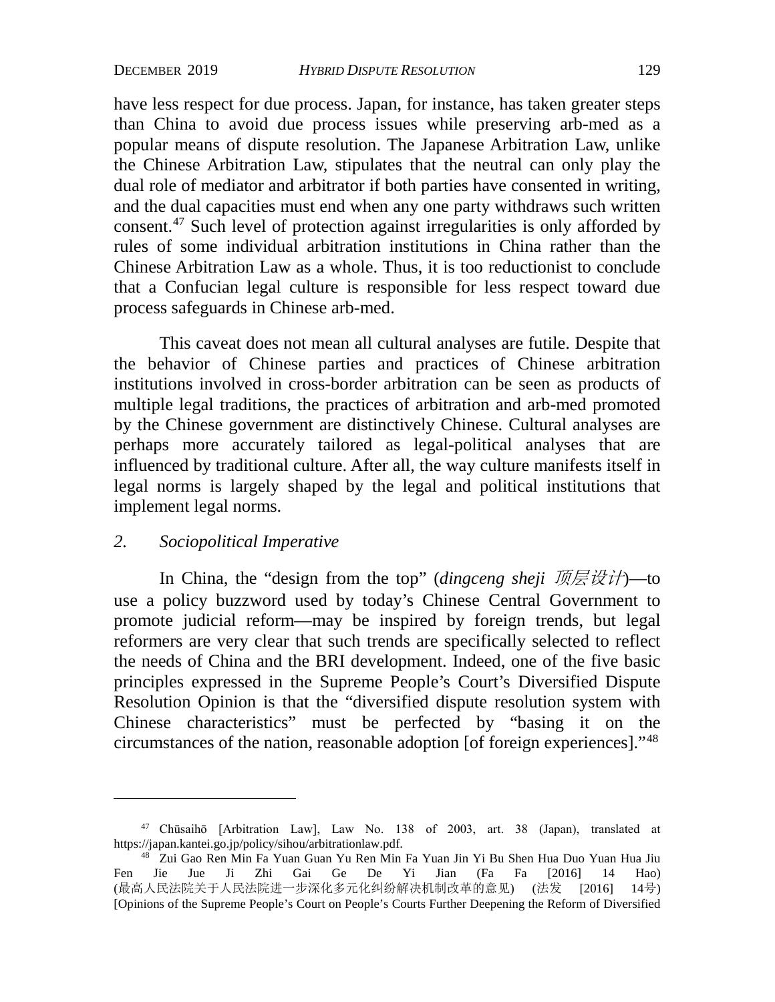have less respect for due process. Japan, for instance, has taken greater steps than China to avoid due process issues while preserving arb-med as a popular means of dispute resolution. The Japanese Arbitration Law, unlike the Chinese Arbitration Law, stipulates that the neutral can only play the dual role of mediator and arbitrator if both parties have consented in writing, and the dual capacities must end when any one party withdraws such written consent.[47](#page-13-0) Such level of protection against irregularities is only afforded by rules of some individual arbitration institutions in China rather than the Chinese Arbitration Law as a whole. Thus, it is too reductionist to conclude that a Confucian legal culture is responsible for less respect toward due process safeguards in Chinese arb-med.

This caveat does not mean all cultural analyses are futile. Despite that the behavior of Chinese parties and practices of Chinese arbitration institutions involved in cross-border arbitration can be seen as products of multiple legal traditions, the practices of arbitration and arb-med promoted by the Chinese government are distinctively Chinese. Cultural analyses are perhaps more accurately tailored as legal-political analyses that are influenced by traditional culture. After all, the way culture manifests itself in legal norms is largely shaped by the legal and political institutions that implement legal norms.

## *2. Sociopolitical Imperative*

In China, the "design from the top" (*dingceng sheji* 顶层设计)—to use a policy buzzword used by today's Chinese Central Government to promote judicial reform—may be inspired by foreign trends, but legal reformers are very clear that such trends are specifically selected to reflect the needs of China and the BRI development. Indeed, one of the five basic principles expressed in the Supreme People's Court's Diversified Dispute Resolution Opinion is that the "diversified dispute resolution system with Chinese characteristics" must be perfected by "basing it on the circumstances of the nation, reasonable adoption [of foreign experiences]."[48](#page-13-1)

<span id="page-13-0"></span><sup>47</sup> Chūsaihō [Arbitration Law], Law No. 138 of 2003, art. 38 (Japan), translated at https://japan.kantei.go.jp/policy/sihou/arbitrationlaw.pdf.

<span id="page-13-1"></span><sup>48</sup> Zui Gao Ren Min Fa Yuan Guan Yu Ren Min Fa Yuan Jin Yi Bu Shen Hua Duo Yuan Hua Jiu Fen Jie Jue Ji Zhi Gai Ge De Yi Jian (Fa Fa [2016] 14 Hao) (最高人民法院关于人民法院进一步深化多元化纠纷解决机制改革的意见) (法发 [2016] 14号) [Opinions of the Supreme People's Court on People's Courts Further Deepening the Reform of Diversified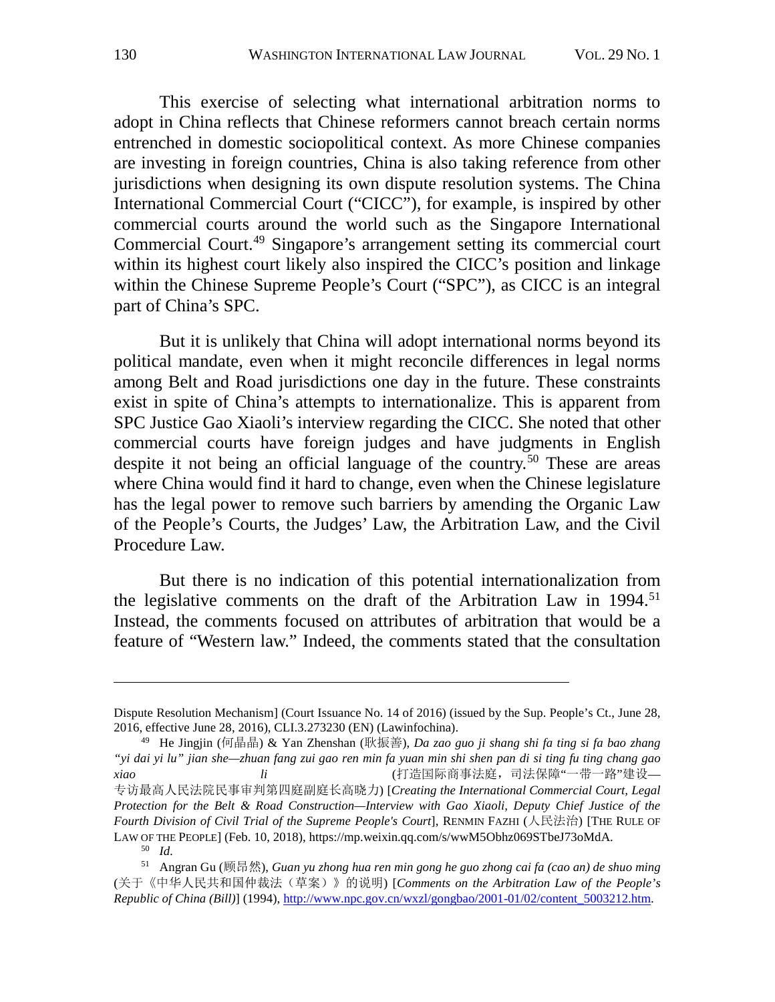This exercise of selecting what international arbitration norms to adopt in China reflects that Chinese reformers cannot breach certain norms entrenched in domestic sociopolitical context. As more Chinese companies are investing in foreign countries, China is also taking reference from other jurisdictions when designing its own dispute resolution systems. The China International Commercial Court ("CICC"), for example, is inspired by other commercial courts around the world such as the Singapore International Commercial Court.[49](#page-14-0) Singapore's arrangement setting its commercial court within its highest court likely also inspired the CICC's position and linkage within the Chinese Supreme People's Court ("SPC"), as CICC is an integral part of China's SPC.

<span id="page-14-3"></span>But it is unlikely that China will adopt international norms beyond its political mandate, even when it might reconcile differences in legal norms among Belt and Road jurisdictions one day in the future. These constraints exist in spite of China's attempts to internationalize. This is apparent from SPC Justice Gao Xiaoli's interview regarding the CICC. She noted that other commercial courts have foreign judges and have judgments in English despite it not being an official language of the country.<sup>[50](#page-14-1)</sup> These are areas where China would find it hard to change, even when the Chinese legislature has the legal power to remove such barriers by amending the Organic Law of the People's Courts, the Judges' Law, the Arbitration Law, and the Civil Procedure Law.

But there is no indication of this potential internationalization from the legislative comments on the draft of the Arbitration Law in  $1994$ <sup>[51](#page-14-2)</sup> Instead, the comments focused on attributes of arbitration that would be a feature of "Western law." Indeed, the comments stated that the consultation

Dispute Resolution Mechanism] (Court Issuance No. 14 of 2016) (issued by the Sup. People's Ct., June 28, 2016, effective June 28, 2016), CLI.3.273230 (EN) (Lawinfochina).

<span id="page-14-0"></span><sup>49</sup> He Jingjin (何晶晶) & Yan Zhenshan (耿振善), *Da zao guo ji shang shi fa ting si fa bao zhang "yi dai yi lu" jian she—zhuan fang zui gao ren min fa yuan min shi shen pan di si ting fu ting chang gao xiao li li* li li die die die die die die die geboorte (打造国际商事法庭, 司法保障"一带一路"建设— 专访最高人民法院民事审判第四庭副庭长高晓力) [*Creating the International Commercial Court, Legal Protection for the Belt & Road Construction—Interview with Gao Xiaoli, Deputy Chief Justice of the Fourth Division of Civil Trial of the Supreme People's Court*], RENMIN FAZHI (人民法治) [THE RULE OF LAW OF THE PEOPLE] (Feb. 10, 2018), https://mp.weixin.qq.com/s/wwM5Obhz069STbeJ73oMdA. 50 *Id.*

<span id="page-14-2"></span><span id="page-14-1"></span><sup>51</sup> Angran Gu (顾昂然), *Guan yu zhong hua ren min gong he guo zhong cai fa (cao an) de shuo ming* (关于《中华人民共和国仲裁法(草案)》的说明) [*Comments on the Arbitration Law of the People's Republic of China (Bill)*] (1994), http://www.npc.gov.cn/wxzl/gongbao/2001-01/02/content\_5003212.htm.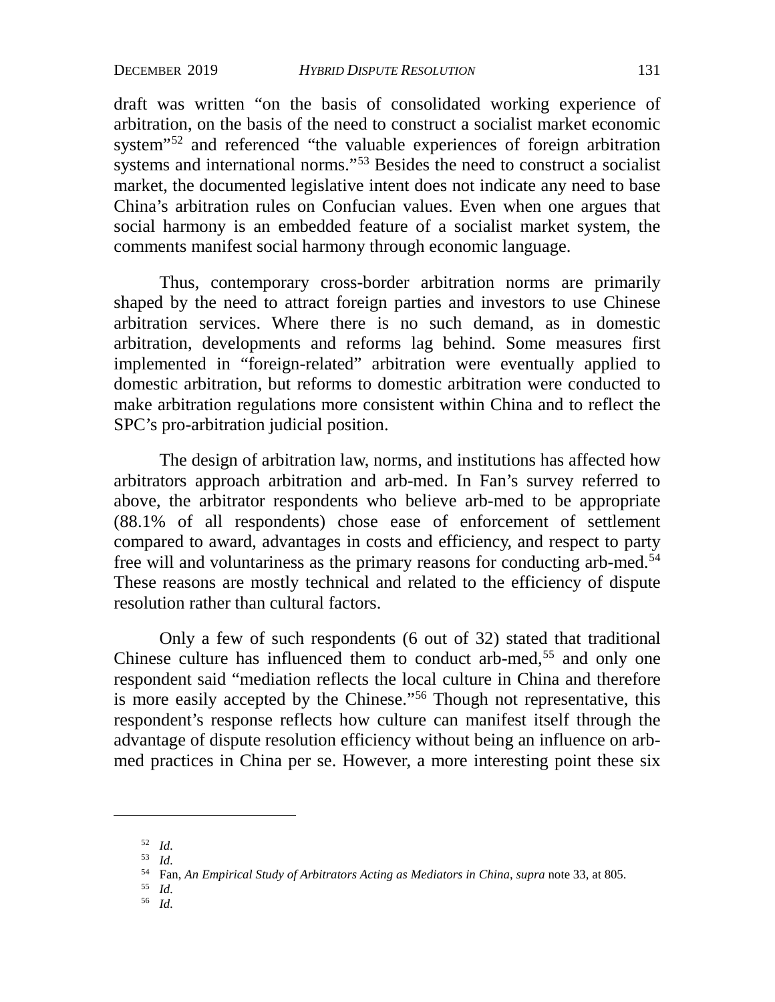draft was written "on the basis of consolidated working experience of arbitration, on the basis of the need to construct a socialist market economic system"[52](#page-15-0) and referenced "the valuable experiences of foreign arbitration systems and international norms."<sup>[53](#page-15-1)</sup> Besides the need to construct a socialist market, the documented legislative intent does not indicate any need to base China's arbitration rules on Confucian values. Even when one argues that social harmony is an embedded feature of a socialist market system, the comments manifest social harmony through economic language.

Thus, contemporary cross-border arbitration norms are primarily shaped by the need to attract foreign parties and investors to use Chinese arbitration services. Where there is no such demand, as in domestic arbitration, developments and reforms lag behind. Some measures first implemented in "foreign-related" arbitration were eventually applied to domestic arbitration, but reforms to domestic arbitration were conducted to make arbitration regulations more consistent within China and to reflect the SPC's pro-arbitration judicial position.

The design of arbitration law, norms, and institutions has affected how arbitrators approach arbitration and arb-med. In Fan's survey referred to above, the arbitrator respondents who believe arb-med to be appropriate (88.1% of all respondents) chose ease of enforcement of settlement compared to award, advantages in costs and efficiency, and respect to party free will and voluntariness as the primary reasons for conducting arb-med.<sup>[54](#page-15-2)</sup> These reasons are mostly technical and related to the efficiency of dispute resolution rather than cultural factors.

Only a few of such respondents (6 out of 32) stated that traditional Chinese culture has influenced them to conduct arb-med,<sup>[55](#page-15-3)</sup> and only one respondent said "mediation reflects the local culture in China and therefore is more easily accepted by the Chinese."[56](#page-15-4) Though not representative, this respondent's response reflects how culture can manifest itself through the advantage of dispute resolution efficiency without being an influence on arbmed practices in China per se. However, a more interesting point these six

- <span id="page-15-2"></span><sup>55</sup> *Id.*
- <span id="page-15-4"></span><span id="page-15-3"></span><sup>56</sup> *Id.*

<span id="page-15-1"></span><span id="page-15-0"></span><sup>52</sup> *Id.*

<sup>53</sup> *Id.*

<sup>54</sup> Fan, *An Empirical Study of Arbitrators Acting as Mediators in China*, *supra* note 33, at 805.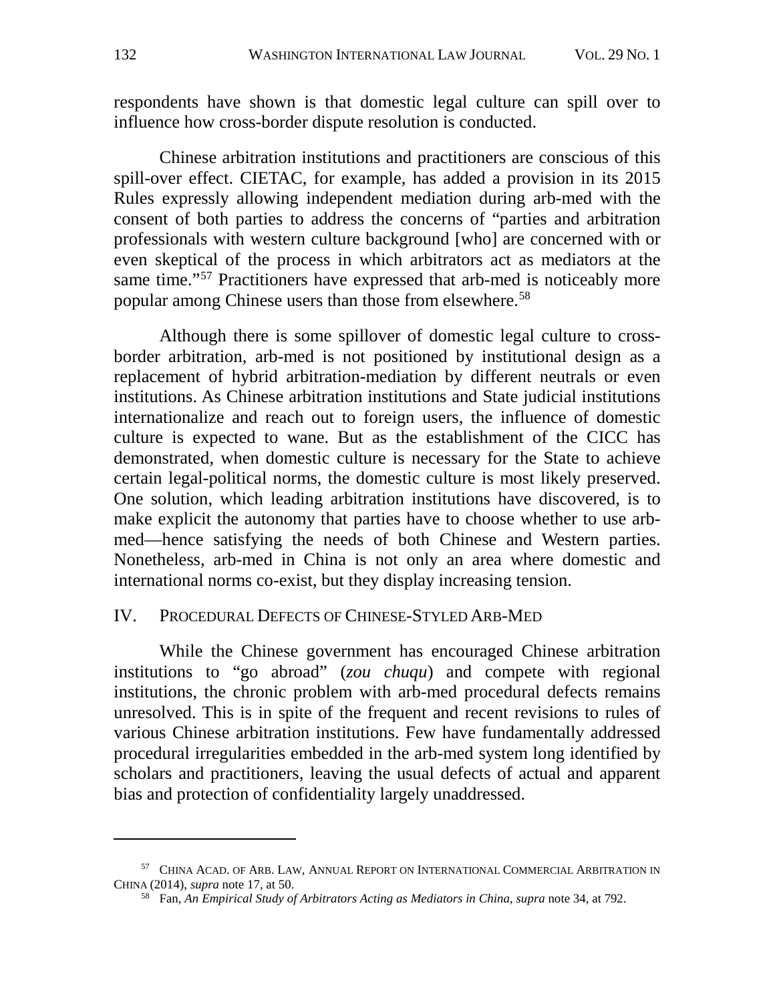respondents have shown is that domestic legal culture can spill over to influence how cross-border dispute resolution is conducted.

Chinese arbitration institutions and practitioners are conscious of this spill-over effect. CIETAC, for example, has added a provision in its 2015 Rules expressly allowing independent mediation during arb-med with the consent of both parties to address the concerns of "parties and arbitration professionals with western culture background [who] are concerned with or even skeptical of the process in which arbitrators act as mediators at the same time."<sup>[57](#page-16-0)</sup> Practitioners have expressed that arb-med is noticeably more popular among Chinese users than those from elsewhere.<sup>[58](#page-16-1)</sup>

Although there is some spillover of domestic legal culture to crossborder arbitration, arb-med is not positioned by institutional design as a replacement of hybrid arbitration-mediation by different neutrals or even institutions. As Chinese arbitration institutions and State judicial institutions internationalize and reach out to foreign users, the influence of domestic culture is expected to wane. But as the establishment of the CICC has demonstrated, when domestic culture is necessary for the State to achieve certain legal-political norms, the domestic culture is most likely preserved. One solution, which leading arbitration institutions have discovered, is to make explicit the autonomy that parties have to choose whether to use arbmed—hence satisfying the needs of both Chinese and Western parties. Nonetheless, arb-med in China is not only an area where domestic and international norms co-exist, but they display increasing tension.

#### IV. PROCEDURAL DEFECTS OF CHINESE-STYLED ARB-MED

While the Chinese government has encouraged Chinese arbitration institutions to "go abroad" (*zou chuqu*) and compete with regional institutions, the chronic problem with arb-med procedural defects remains unresolved. This is in spite of the frequent and recent revisions to rules of various Chinese arbitration institutions. Few have fundamentally addressed procedural irregularities embedded in the arb-med system long identified by scholars and practitioners, leaving the usual defects of actual and apparent bias and protection of confidentiality largely unaddressed.

<span id="page-16-1"></span><span id="page-16-0"></span><sup>57</sup> CHINA ACAD. OF ARB. LAW, ANNUAL REPORT ON INTERNATIONAL COMMERCIAL ARBITRATION IN CHINA (2014), *supra* note [17,](#page-7-8) at 50.

<sup>58</sup> Fan, *An Empirical Study of Arbitrators Acting as Mediators in China*, *supra* note [34,](#page-10-10) at 792.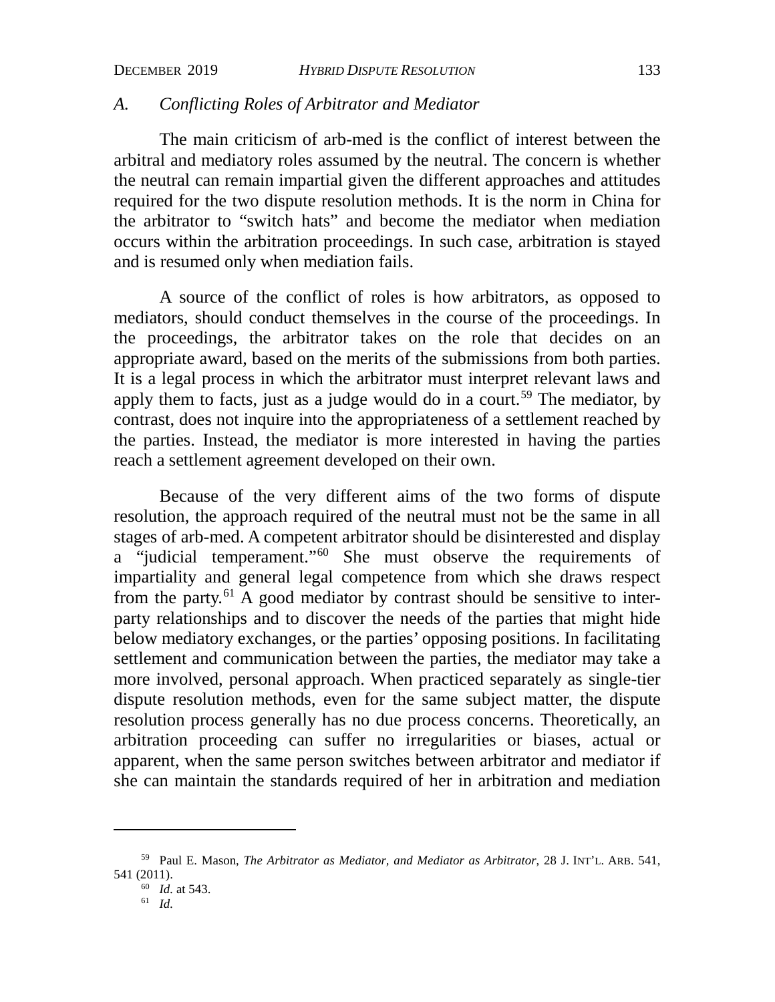## *A. Conflicting Roles of Arbitrator and Mediator*

The main criticism of arb-med is the conflict of interest between the arbitral and mediatory roles assumed by the neutral. The concern is whether the neutral can remain impartial given the different approaches and attitudes required for the two dispute resolution methods. It is the norm in China for the arbitrator to "switch hats" and become the mediator when mediation occurs within the arbitration proceedings. In such case, arbitration is stayed and is resumed only when mediation fails.

A source of the conflict of roles is how arbitrators, as opposed to mediators, should conduct themselves in the course of the proceedings. In the proceedings, the arbitrator takes on the role that decides on an appropriate award, based on the merits of the submissions from both parties. It is a legal process in which the arbitrator must interpret relevant laws and apply them to facts, just as a judge would do in a court.<sup>[59](#page-17-0)</sup> The mediator, by contrast, does not inquire into the appropriateness of a settlement reached by the parties. Instead, the mediator is more interested in having the parties reach a settlement agreement developed on their own.

Because of the very different aims of the two forms of dispute resolution, the approach required of the neutral must not be the same in all stages of arb-med. A competent arbitrator should be disinterested and display a "judicial temperament."[60](#page-17-1) She must observe the requirements of impartiality and general legal competence from which she draws respect from the party.<sup>[61](#page-17-2)</sup> A good mediator by contrast should be sensitive to interparty relationships and to discover the needs of the parties that might hide below mediatory exchanges, or the parties' opposing positions. In facilitating settlement and communication between the parties, the mediator may take a more involved, personal approach. When practiced separately as single-tier dispute resolution methods, even for the same subject matter, the dispute resolution process generally has no due process concerns. Theoretically, an arbitration proceeding can suffer no irregularities or biases, actual or apparent, when the same person switches between arbitrator and mediator if she can maintain the standards required of her in arbitration and mediation

<span id="page-17-2"></span><span id="page-17-1"></span><span id="page-17-0"></span><sup>59</sup> Paul E. Mason, *The Arbitrator as Mediator, and Mediator as Arbitrator*, 28 J. INT'L. ARB. 541, 541 (2011).

<sup>60</sup> *Id.* at 543. <sup>61</sup> *Id.*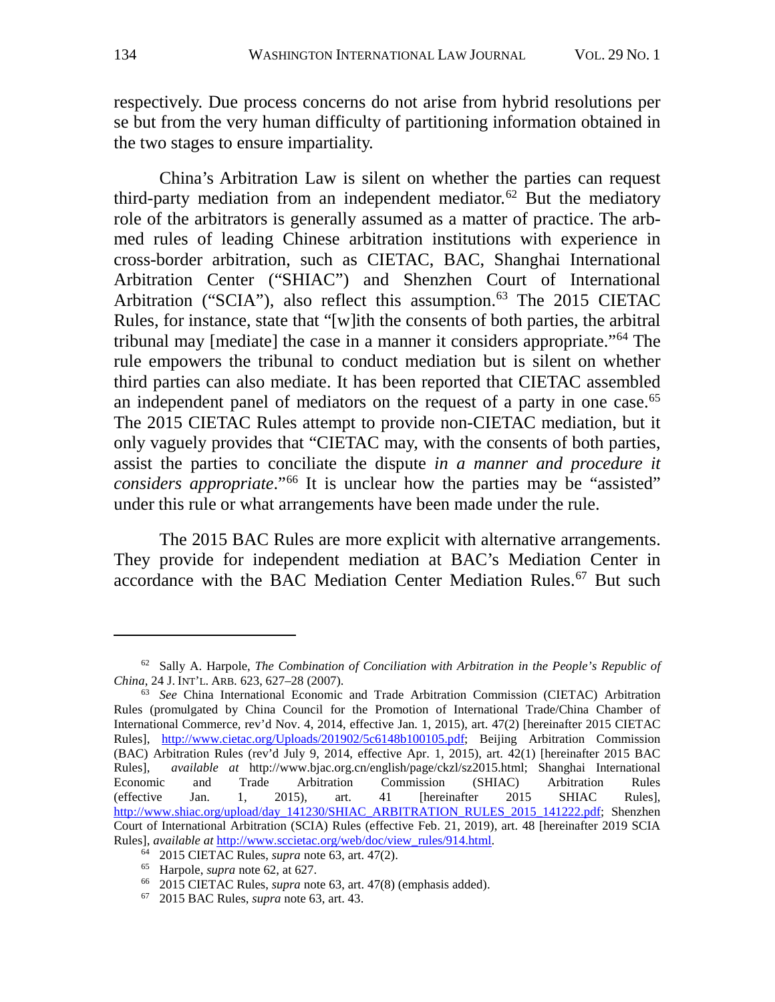respectively. Due process concerns do not arise from hybrid resolutions per se but from the very human difficulty of partitioning information obtained in the two stages to ensure impartiality.

<span id="page-18-1"></span><span id="page-18-0"></span>China's Arbitration Law is silent on whether the parties can request third-party mediation from an independent mediator.<sup>[62](#page-18-2)</sup> But the mediatory role of the arbitrators is generally assumed as a matter of practice. The arbmed rules of leading Chinese arbitration institutions with experience in cross-border arbitration, such as CIETAC, BAC, Shanghai International Arbitration Center ("SHIAC") and Shenzhen Court of International Arbitration ("SCIA"), also reflect this assumption.<sup>[63](#page-18-3)</sup> The 2015 CIETAC Rules, for instance, state that "[w]ith the consents of both parties, the arbitral tribunal may [mediate] the case in a manner it considers appropriate."[64](#page-18-4) The rule empowers the tribunal to conduct mediation but is silent on whether third parties can also mediate. It has been reported that CIETAC assembled an independent panel of mediators on the request of a party in one case.<sup>[65](#page-18-5)</sup> The 2015 CIETAC Rules attempt to provide non-CIETAC mediation, but it only vaguely provides that "CIETAC may, with the consents of both parties, assist the parties to conciliate the dispute *in a manner and procedure it considers appropriate.*"<sup>[66](#page-18-6)</sup> It is unclear how the parties may be "assisted" under this rule or what arrangements have been made under the rule.

The 2015 BAC Rules are more explicit with alternative arrangements. They provide for independent mediation at BAC's Mediation Center in accordance with the BAC Mediation Center Mediation Rules.<sup>[67](#page-18-7)</sup> But such

<span id="page-18-2"></span><sup>62</sup> Sally A. Harpole, *The Combination of Conciliation with Arbitration in the People's Republic of China*, 24 J. INT'L. ARB. 623, 627–28 (2007).

<span id="page-18-3"></span><sup>63</sup> *See* China International Economic and Trade Arbitration Commission (CIETAC) Arbitration Rules (promulgated by China Council for the Promotion of International Trade/China Chamber of International Commerce, rev'd Nov. 4, 2014, effective Jan. 1, 2015), art. 47(2) [hereinafter 2015 CIETAC Rules], http://www.cietac.org/Uploads/201902/5c6148b100105.pdf; Beijing Arbitration Commission (BAC) Arbitration Rules (rev'd July 9, 2014, effective Apr. 1, 2015), art. 42(1) [hereinafter 2015 BAC Rules], *available at* http://www.bjac.org.cn/english/page/ckzl/sz2015.html; Shanghai International Economic and Trade Arbitration Commission (SHIAC) Arbitration Rules (effective Jan. 1, 2015), art. 41 [hereinafter 2015 SHIAC Rules], http://www.shiac.org/upload/day\_141230/SHIAC\_ARBITRATION\_RULES\_2015\_141222.pdf; Shenzhen Court of International Arbitration (SCIA) Rules (effective Feb. 21, 2019), art. 48 [hereinafter 2019 SCIA Rules], *available at* http://www.sccietac.[org/w](#page-18-0)eb/doc/view\_rules/914.html. 64 2015 CIETAC Rules, *supra* note 63, art. 47(2).

<span id="page-18-5"></span><span id="page-18-4"></span><sup>65</sup> Harpole, *supra* note [62,](#page-18-1) at 627.

<span id="page-18-6"></span><sup>66</sup> 2015 CIETAC Rules, *supra* note [63,](#page-18-0) art. 47(8) (emphasis added).

<span id="page-18-7"></span><sup>67</sup> 2015 BAC Rules, *supra* note [63,](#page-18-0) art. 43.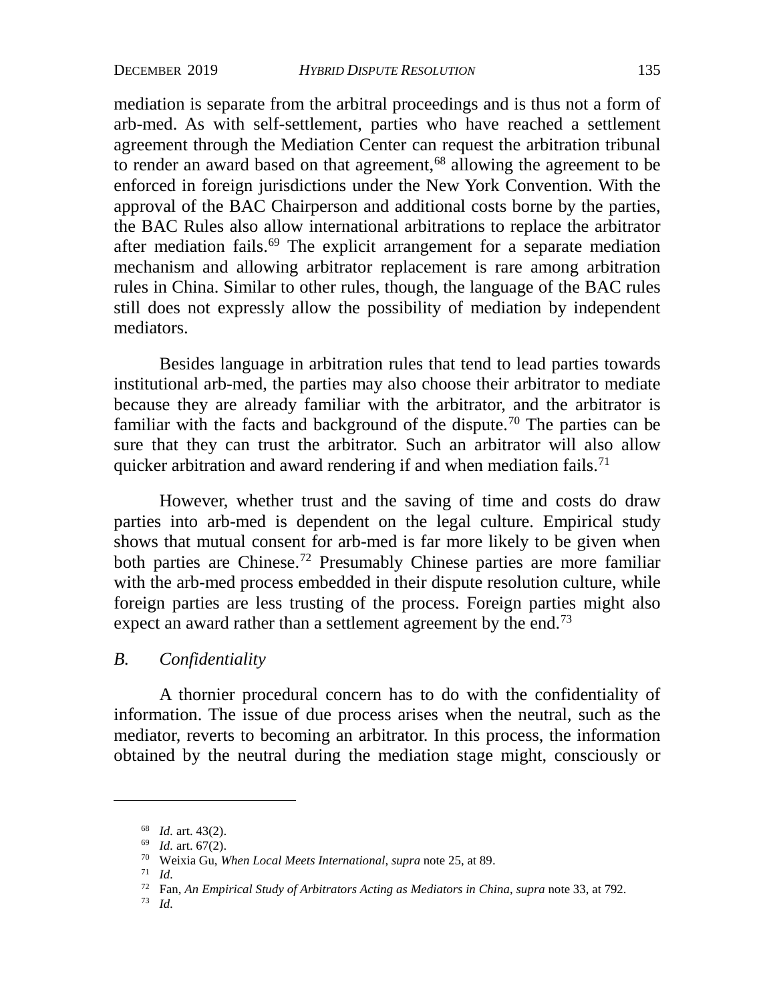mediation is separate from the arbitral proceedings and is thus not a form of arb-med. As with self-settlement, parties who have reached a settlement agreement through the Mediation Center can request the arbitration tribunal to render an award based on that agreement,<sup>[68](#page-19-0)</sup> allowing the agreement to be enforced in foreign jurisdictions under the New York Convention. With the approval of the BAC Chairperson and additional costs borne by the parties, the BAC Rules also allow international arbitrations to replace the arbitrator after mediation fails.[69](#page-19-1) The explicit arrangement for a separate mediation mechanism and allowing arbitrator replacement is rare among arbitration rules in China. Similar to other rules, though, the language of the BAC rules still does not expressly allow the possibility of mediation by independent mediators.

Besides language in arbitration rules that tend to lead parties towards institutional arb-med, the parties may also choose their arbitrator to mediate because they are already familiar with the arbitrator, and the arbitrator is familiar with the facts and background of the dispute.<sup>[70](#page-19-2)</sup> The parties can be sure that they can trust the arbitrator. Such an arbitrator will also allow quicker arbitration and award rendering if and when mediation fails.<sup>[71](#page-19-3)</sup>

However, whether trust and the saving of time and costs do draw parties into arb-med is dependent on the legal culture. Empirical study shows that mutual consent for arb-med is far more likely to be given when both parties are Chinese.[72](#page-19-4) Presumably Chinese parties are more familiar with the arb-med process embedded in their dispute resolution culture, while foreign parties are less trusting of the process. Foreign parties might also expect an award rather than a settlement agreement by the end.<sup>[73](#page-19-5)</sup>

## *B. Confidentiality*

A thornier procedural concern has to do with the confidentiality of information. The issue of due process arises when the neutral, such as the mediator, reverts to becoming an arbitrator. In this process, the information obtained by the neutral during the mediation stage might, consciously or

<span id="page-19-0"></span><sup>68</sup> *Id.* art. 43(2).

<span id="page-19-1"></span><sup>69</sup> *Id.* art. 67(2).

<sup>70</sup> Weixia Gu, *When Local Meets International*, *supra* note [25,](#page-9-3) at 89.

<span id="page-19-3"></span><span id="page-19-2"></span><sup>71</sup> *Id.*

<span id="page-19-4"></span><sup>72</sup> Fan, *An Empirical Study of Arbitrators Acting as Mediators in China*, *supra* note 33, at 792.

<span id="page-19-5"></span><sup>73</sup> *Id.*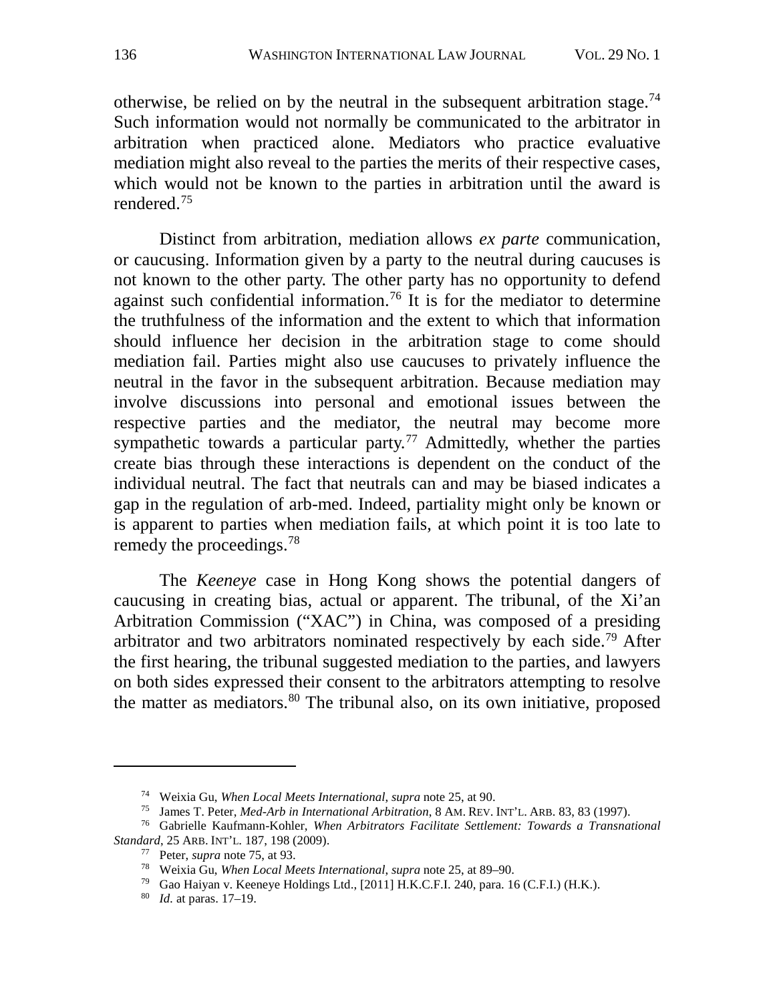otherwise, be relied on by the neutral in the subsequent arbitration stage.<sup>[74](#page-20-1)</sup> Such information would not normally be communicated to the arbitrator in arbitration when practiced alone. Mediators who practice evaluative mediation might also reveal to the parties the merits of their respective cases, which would not be known to the parties in arbitration until the award is rendered.[75](#page-20-2)

<span id="page-20-8"></span><span id="page-20-0"></span>Distinct from arbitration, mediation allows *ex parte* communication, or caucusing. Information given by a party to the neutral during caucuses is not known to the other party. The other party has no opportunity to defend against such confidential information.<sup>[76](#page-20-3)</sup> It is for the mediator to determine the truthfulness of the information and the extent to which that information should influence her decision in the arbitration stage to come should mediation fail. Parties might also use caucuses to privately influence the neutral in the favor in the subsequent arbitration. Because mediation may involve discussions into personal and emotional issues between the respective parties and the mediator, the neutral may become more sympathetic towards a particular party.<sup>[77](#page-20-4)</sup> Admittedly, whether the parties create bias through these interactions is dependent on the conduct of the individual neutral. The fact that neutrals can and may be biased indicates a gap in the regulation of arb-med. Indeed, partiality might only be known or is apparent to parties when mediation fails, at which point it is too late to remedy the proceedings.[78](#page-20-5)

The *Keeneye* case in Hong Kong shows the potential dangers of caucusing in creating bias, actual or apparent. The tribunal, of the Xi'an Arbitration Commission ("XAC") in China, was composed of a presiding arbitrator and two arbitrators nominated respectively by each side.[79](#page-20-6) After the first hearing, the tribunal suggested mediation to the parties, and lawyers on both sides expressed their consent to the arbitrators attempting to resolve the matter as mediators. $80$  The tribunal also, on its own initiative, proposed

<sup>74</sup> Weixia Gu, *When Local Meets International*, *supra* note [25,](#page-9-3) at 90.

<sup>75</sup> James T. Peter, *Med-Arb in International Arbitration*, 8 AM. REV. INT'L. ARB. 83, 83 (1997).

<span id="page-20-7"></span><span id="page-20-6"></span><span id="page-20-5"></span><span id="page-20-4"></span><span id="page-20-3"></span><span id="page-20-2"></span><span id="page-20-1"></span><sup>76</sup> Gabrielle Kaufmann-Kohler, *When Arbitrators Facilitate Settlement: Towards a Transnational Standard*, 25 ARB. INT'L. 187, 198 (2009).

<sup>77</sup> Peter, *supra* note [75,](#page-20-0) at 93.

<sup>78</sup> Weixia Gu, *When Local Meets International*, *supra* note [25,](#page-9-3) at 89–90.

<sup>79</sup> Gao Haiyan v. Keeneye Holdings Ltd., [2011] H.K.C.F.I. 240, para. 16 (C.F.I.) (H.K.).

<sup>80</sup> *Id.* at paras. 17–19.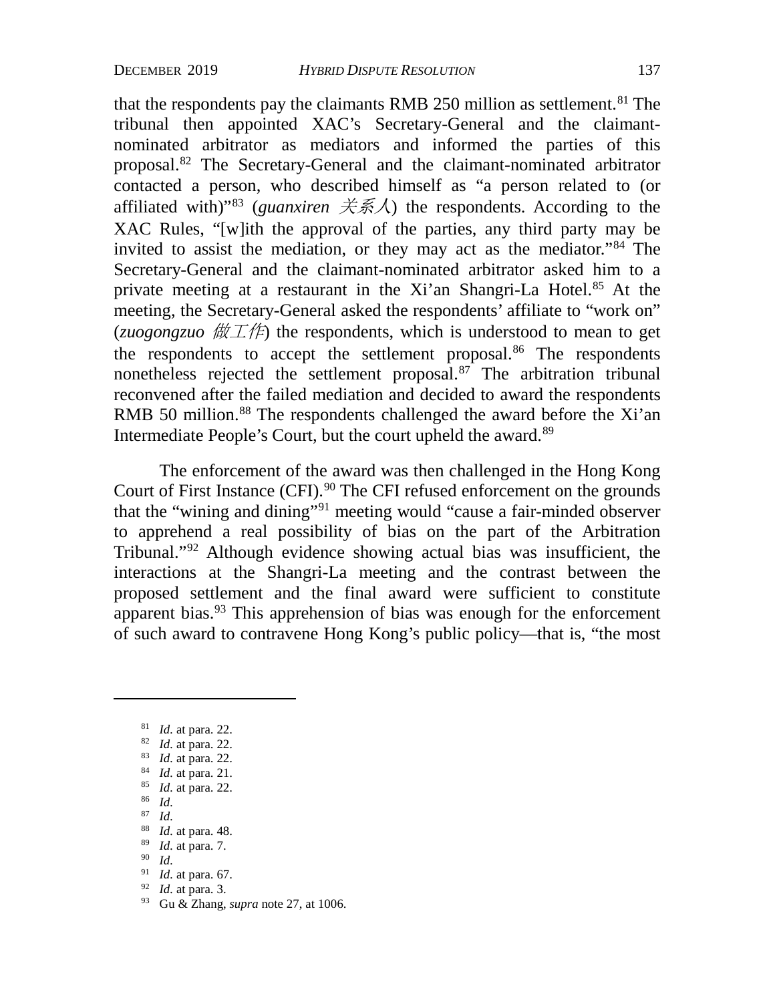that the respondents pay the claimants RMB 250 million as settlement.<sup>[81](#page-21-0)</sup> The tribunal then appointed XAC's Secretary-General and the claimantnominated arbitrator as mediators and informed the parties of this proposal.[82](#page-21-1) The Secretary-General and the claimant-nominated arbitrator contacted a person, who described himself as "a person related to (or affiliated with)<sup>"83</sup> (*guanxiren*  $\angle \angle \angle \angle$  for respondents. According to the XAC Rules, "[w]ith the approval of the parties, any third party may be invited to assist the mediation, or they may act as the mediator."[84](#page-21-3) The Secretary-General and the claimant-nominated arbitrator asked him to a private meeting at a restaurant in the Xi'an Shangri-La Hotel.[85](#page-21-4) At the meeting, the Secretary-General asked the respondents' affiliate to "work on" (*zuogongzuo*  $\sharp \sharp \pm \sharp$ ) the respondents, which is understood to mean to get the respondents to accept the settlement proposal.<sup>[86](#page-21-5)</sup> The respondents nonetheless rejected the settlement proposal.[87](#page-21-6) The arbitration tribunal reconvened after the failed mediation and decided to award the respondents RMB 50 million.<sup>[88](#page-21-7)</sup> The respondents challenged the award before the Xi'an Intermediate People's Court, but the court upheld the award.<sup>[89](#page-21-8)</sup>

The enforcement of the award was then challenged in the Hong Kong Court of First Instance (CFI).<sup>[90](#page-21-9)</sup> The CFI refused enforcement on the grounds that the "wining and dining"[91](#page-21-10) meeting would "cause a fair-minded observer to apprehend a real possibility of bias on the part of the Arbitration Tribunal."[92](#page-21-11) Although evidence showing actual bias was insufficient, the interactions at the Shangri-La meeting and the contrast between the proposed settlement and the final award were sufficient to constitute apparent bias.<sup>[93](#page-21-12)</sup> This apprehension of bias was enough for the enforcement of such award to contravene Hong Kong's public policy—that is, "the most

- <span id="page-21-5"></span><span id="page-21-4"></span>86 *Id.*
- <span id="page-21-6"></span>87 *Id.*
- <span id="page-21-7"></span>88 *Id.* at para. 48.
- <span id="page-21-8"></span>89 *Id.* at para. 7.
- <span id="page-21-9"></span>90 *Id.*

- <span id="page-21-11"></span><sup>92</sup> *Id.* at para. 3.
- <span id="page-21-12"></span><sup>93</sup> Gu & Zhang, *supra* note [27,](#page-9-4) at 1006.

<span id="page-21-0"></span><sup>81</sup> *Id.* at para. 22.

<span id="page-21-1"></span><sup>82</sup> *Id.* at para. 22.

<span id="page-21-3"></span><span id="page-21-2"></span><sup>83</sup> *Id.* at para. 22.

<sup>84</sup> *Id.* at para. 21.

<sup>85</sup> *Id.* at para. 22.

<span id="page-21-10"></span><sup>91</sup> *Id.* at para. 67.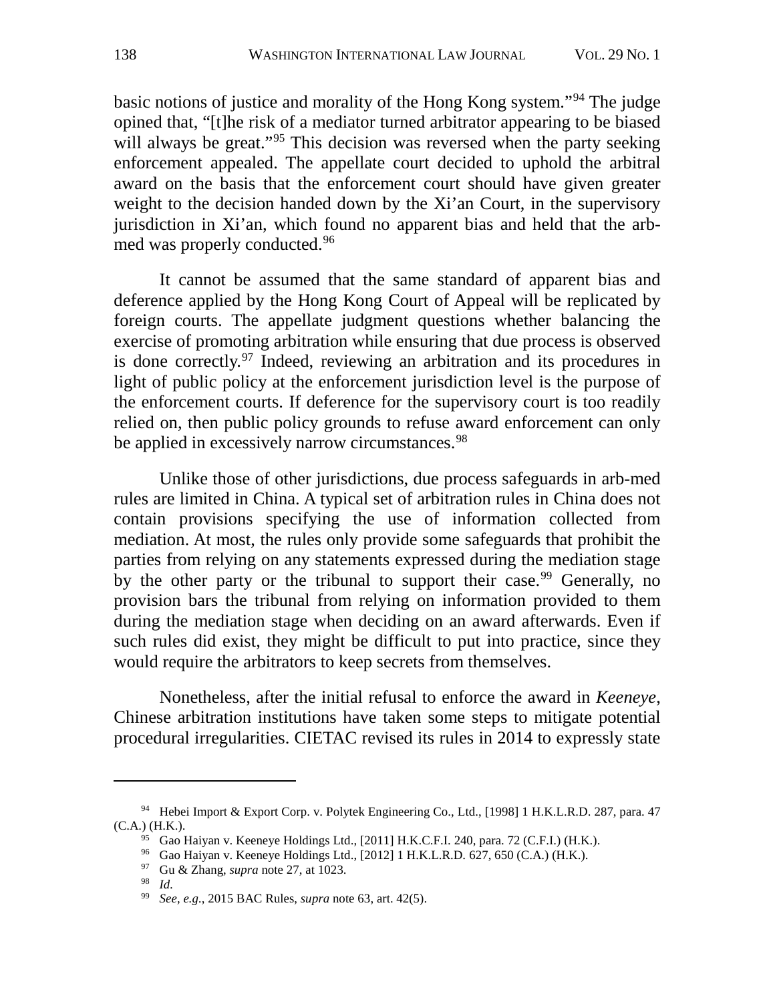basic notions of justice and morality of the Hong Kong system."[94](#page-22-0) The judge opined that, "[t]he risk of a mediator turned arbitrator appearing to be biased will always be great."<sup>[95](#page-22-1)</sup> This decision was reversed when the party seeking enforcement appealed. The appellate court decided to uphold the arbitral award on the basis that the enforcement court should have given greater weight to the decision handed down by the Xi'an Court, in the supervisory jurisdiction in Xi'an, which found no apparent bias and held that the arbmed was properly conducted.[96](#page-22-2)

It cannot be assumed that the same standard of apparent bias and deference applied by the Hong Kong Court of Appeal will be replicated by foreign courts. The appellate judgment questions whether balancing the exercise of promoting arbitration while ensuring that due process is observed is done correctly.[97](#page-22-3) Indeed, reviewing an arbitration and its procedures in light of public policy at the enforcement jurisdiction level is the purpose of the enforcement courts. If deference for the supervisory court is too readily relied on, then public policy grounds to refuse award enforcement can only be applied in excessively narrow circumstances.<sup>[98](#page-22-4)</sup>

Unlike those of other jurisdictions, due process safeguards in arb-med rules are limited in China. A typical set of arbitration rules in China does not contain provisions specifying the use of information collected from mediation. At most, the rules only provide some safeguards that prohibit the parties from relying on any statements expressed during the mediation stage by the other party or the tribunal to support their case.<sup>[99](#page-22-5)</sup> Generally, no provision bars the tribunal from relying on information provided to them during the mediation stage when deciding on an award afterwards. Even if such rules did exist, they might be difficult to put into practice, since they would require the arbitrators to keep secrets from themselves.

Nonetheless, after the initial refusal to enforce the award in *Keeneye*, Chinese arbitration institutions have taken some steps to mitigate potential procedural irregularities. CIETAC revised its rules in 2014 to expressly state

<span id="page-22-4"></span><span id="page-22-3"></span><span id="page-22-2"></span><span id="page-22-1"></span><span id="page-22-0"></span><sup>94</sup> Hebei Import & Export Corp. v. Polytek Engineering Co., Ltd., [1998] 1 H.K.L.R.D. 287, para. 47 (C.A.) (H.K.). 95 Gao Haiyan v. Keeneye Holdings Ltd., [2011] H.K.C.F.I. 240, para. 72 (C.F.I.) (H.K.).

<sup>96</sup> Gao Haiyan v. Keeneye Holdings Ltd., [2012] 1 H.K.L.R.D. 627, 650 (C.A.) (H.K.).

<sup>97</sup> Gu & Zhang, *supra* note [27,](#page-9-4) at 1023.

<sup>98</sup> *Id.*

<span id="page-22-5"></span><sup>99</sup> *See, e.g.*, 2015 BAC Rules, *supra* not[e 63,](#page-18-0) art. 42(5).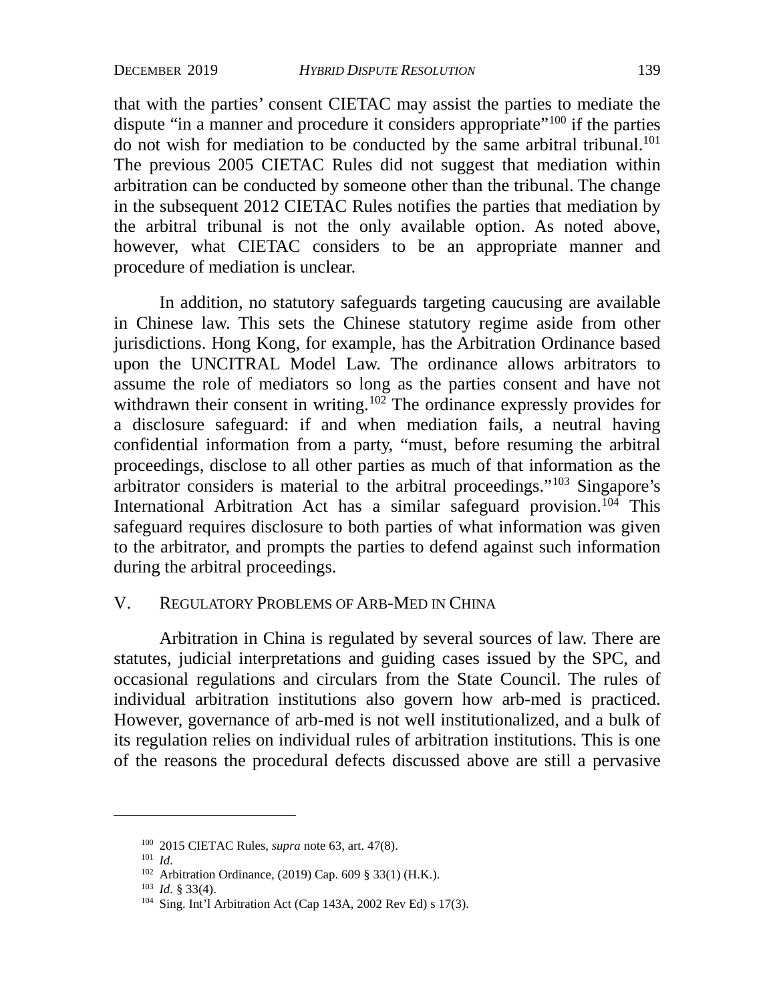that with the parties' consent CIETAC may assist the parties to mediate the dispute "in a manner and procedure it considers appropriate"<sup>[100](#page-23-0)</sup> if the parties do not wish for mediation to be conducted by the same arbitral tribunal[.101](#page-23-1) The previous 2005 CIETAC Rules did not suggest that mediation within arbitration can be conducted by someone other than the tribunal. The change in the subsequent 2012 CIETAC Rules notifies the parties that mediation by the arbitral tribunal is not the only available option. As noted above, however, what CIETAC considers to be an appropriate manner and procedure of mediation is unclear.

In addition, no statutory safeguards targeting caucusing are available in Chinese law. This sets the Chinese statutory regime aside from other jurisdictions. Hong Kong, for example, has the Arbitration Ordinance based upon the UNCITRAL Model Law. The ordinance allows arbitrators to assume the role of mediators so long as the parties consent and have not withdrawn their consent in writing.<sup>[102](#page-23-2)</sup> The ordinance expressly provides for a disclosure safeguard: if and when mediation fails, a neutral having confidential information from a party, "must, before resuming the arbitral proceedings, disclose to all other parties as much of that information as the arbitrator considers is material to the arbitral proceedings."[103](#page-23-3) Singapore's International Arbitration Act has a similar safeguard provision.[104](#page-23-4) This safeguard requires disclosure to both parties of what information was given to the arbitrator, and prompts the parties to defend against such information during the arbitral proceedings.

## V. REGULATORY PROBLEMS OF ARB-MED IN CHINA

Arbitration in China is regulated by several sources of law. There are statutes, judicial interpretations and guiding cases issued by the SPC, and occasional regulations and circulars from the State Council. The rules of individual arbitration institutions also govern how arb-med is practiced. However, governance of arb-med is not well institutionalized, and a bulk of its regulation relies on individual rules of arbitration institutions. This is one of the reasons the procedural defects discussed above are still a pervasive

<span id="page-23-1"></span><span id="page-23-0"></span><sup>100</sup> 2015 CIETAC Rules, *supra* note [63,](#page-18-0) art. 47(8).

<sup>101</sup> *Id.*

<sup>102</sup> Arbitration Ordinance, (2019) Cap. 609 § 33(1) (H.K.).

<span id="page-23-3"></span><span id="page-23-2"></span><sup>103</sup> *Id.* § 33(4).

<span id="page-23-4"></span><sup>104</sup> Sing. Int'l Arbitration Act (Cap 143A, 2002 Rev Ed) s 17(3).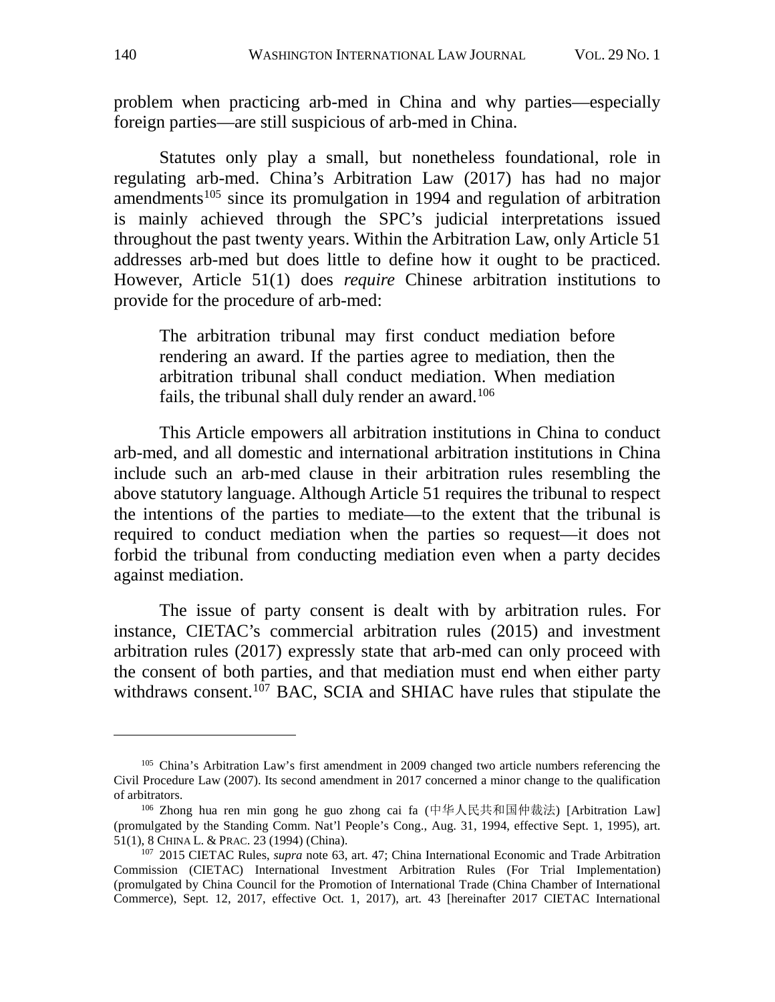problem when practicing arb-med in China and why parties—especially foreign parties—are still suspicious of arb-med in China.

Statutes only play a small, but nonetheless foundational, role in regulating arb-med. China's Arbitration Law (2017) has had no major amendments<sup>[105](#page-24-0)</sup> since its promulgation in 1994 and regulation of arbitration is mainly achieved through the SPC's judicial interpretations issued throughout the past twenty years. Within the Arbitration Law, only Article 51 addresses arb-med but does little to define how it ought to be practiced. However, Article 51(1) does *require* Chinese arbitration institutions to provide for the procedure of arb-med:

The arbitration tribunal may first conduct mediation before rendering an award. If the parties agree to mediation, then the arbitration tribunal shall conduct mediation. When mediation fails, the tribunal shall duly render an award.<sup>[106](#page-24-1)</sup>

This Article empowers all arbitration institutions in China to conduct arb-med, and all domestic and international arbitration institutions in China include such an arb-med clause in their arbitration rules resembling the above statutory language. Although Article 51 requires the tribunal to respect the intentions of the parties to mediate—to the extent that the tribunal is required to conduct mediation when the parties so request—it does not forbid the tribunal from conducting mediation even when a party decides against mediation.

The issue of party consent is dealt with by arbitration rules. For instance, CIETAC's commercial arbitration rules (2015) and investment arbitration rules (2017) expressly state that arb-med can only proceed with the consent of both parties, and that mediation must end when either party withdraws consent.<sup>[107](#page-24-2)</sup> BAC, SCIA and SHIAC have rules that stipulate the

<span id="page-24-3"></span><span id="page-24-0"></span><sup>105</sup> China's Arbitration Law's first amendment in 2009 changed two article numbers referencing the Civil Procedure Law (2007). Its second amendment in 2017 concerned a minor change to the qualification of arbitrators.

<span id="page-24-1"></span><sup>106</sup> Zhong hua ren min gong he guo zhong cai fa (中华人民共和国仲裁法) [Arbitration Law] (promulgated by the Standing Comm. Nat'l People's Cong., Aug. 31, 1994, effective Sept. 1, 1995), art. 51(1), 8 CHINA L. & PRAC. 23 (1994) (China).

<span id="page-24-2"></span><sup>107</sup> 2015 CIETAC Rules, *supra* note [63,](#page-18-0) art. 47; China International Economic and Trade Arbitration Commission (CIETAC) International Investment Arbitration Rules (For Trial Implementation) (promulgated by China Council for the Promotion of International Trade (China Chamber of International Commerce), Sept. 12, 2017, effective Oct. 1, 2017), art. 43 [hereinafter 2017 CIETAC International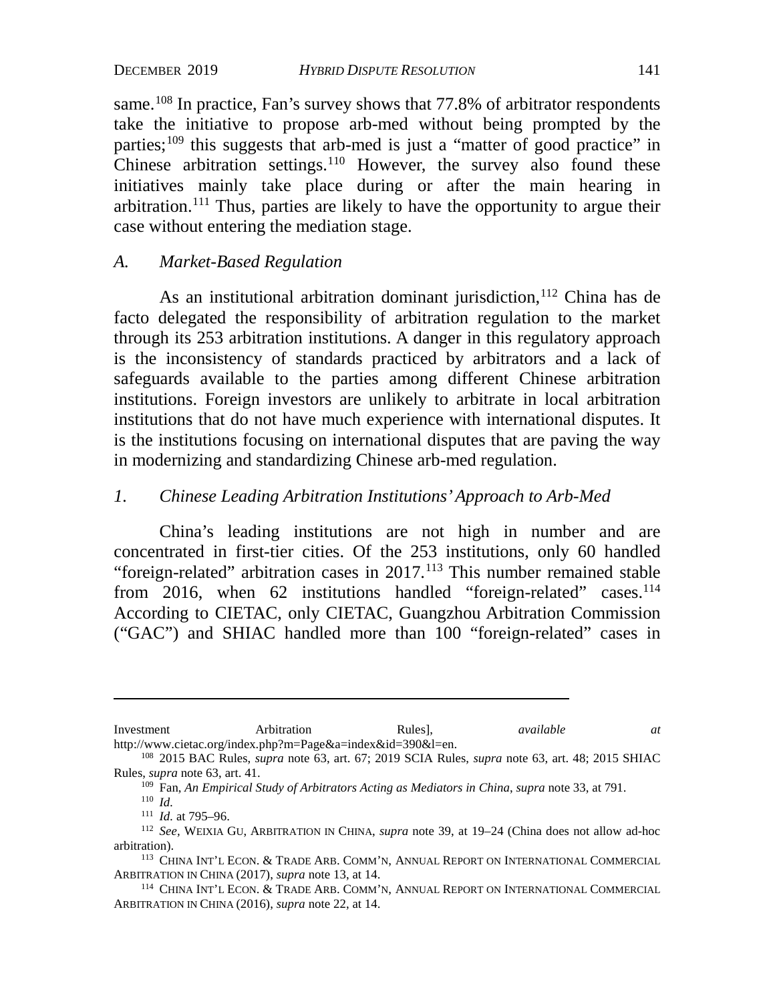same.<sup>[108](#page-25-0)</sup> In practice, Fan's survey shows that 77.8% of arbitrator respondents take the initiative to propose arb-med without being prompted by the parties;<sup>[109](#page-25-1)</sup> this suggests that arb-med is just a "matter of good practice" in Chinese arbitration settings.<sup>[110](#page-25-2)</sup> However, the survey also found these initiatives mainly take place during or after the main hearing in arbitration.[111](#page-25-3) Thus, parties are likely to have the opportunity to argue their case without entering the mediation stage.

## *A. Market-Based Regulation*

As an institutional arbitration dominant jurisdiction,<sup>[112](#page-25-4)</sup> China has de facto delegated the responsibility of arbitration regulation to the market through its 253 arbitration institutions. A danger in this regulatory approach is the inconsistency of standards practiced by arbitrators and a lack of safeguards available to the parties among different Chinese arbitration institutions. Foreign investors are unlikely to arbitrate in local arbitration institutions that do not have much experience with international disputes. It is the institutions focusing on international disputes that are paving the way in modernizing and standardizing Chinese arb-med regulation.

## *1. Chinese Leading Arbitration Institutions' Approach to Arb-Med*

China's leading institutions are not high in number and are concentrated in first-tier cities. Of the 253 institutions, only 60 handled "foreign-related" arbitration cases in  $2017$ .<sup>[113](#page-25-5)</sup> This number remained stable from 2016, when 62 institutions handled "foreign-related" cases.<sup>114</sup> According to CIETAC, only CIETAC, Guangzhou Arbitration Commission ("GAC") and SHIAC handled more than 100 "foreign-related" cases in

<span id="page-25-6"></span>114 CHINA INT'L ECON. & TRADE ARB. COMM'N, ANNUAL REPORT ON INTERNATIONAL COMMERCIAL ARBITRATION IN CHINA (2016), *supra* note [22,](#page-8-5) at 14.

Investment Arbitration Rules], *available at* http://www.cietac.org/index.php?m=Page&a=index&id=390&l=en.<br><sup>108</sup> 2015 BAC Rules, *supra* note [63,](#page-18-0) art. 67; 2019 SCIA Rules, *supra* note 63, art. 48; 2015 SHIAC

<span id="page-25-1"></span><span id="page-25-0"></span>Rules, *supra* note [63,](#page-18-0) art. 41.

<sup>109</sup> Fan, *An Empirical Study of Arbitrators Acting as Mediators in China*, *supra* note 33, at 791.

<sup>110</sup> *Id.*

<sup>111</sup> *Id.* at 795–96.

<span id="page-25-4"></span><span id="page-25-3"></span><span id="page-25-2"></span><sup>112</sup> *See,* WEIXIA GU, ARBITRATION IN CHINA, *supra* note [39,](#page-11-5) at 19–24 (China does not allow ad-hoc arbitration).

<span id="page-25-5"></span><sup>113</sup> CHINA INT'L ECON. & TRADE ARB. COMM'N, ANNUAL REPORT ON INTERNATIONAL COMMERCIAL ARBITRATION IN CHINA (2017), *supra* note [13,](#page-7-7) at 14.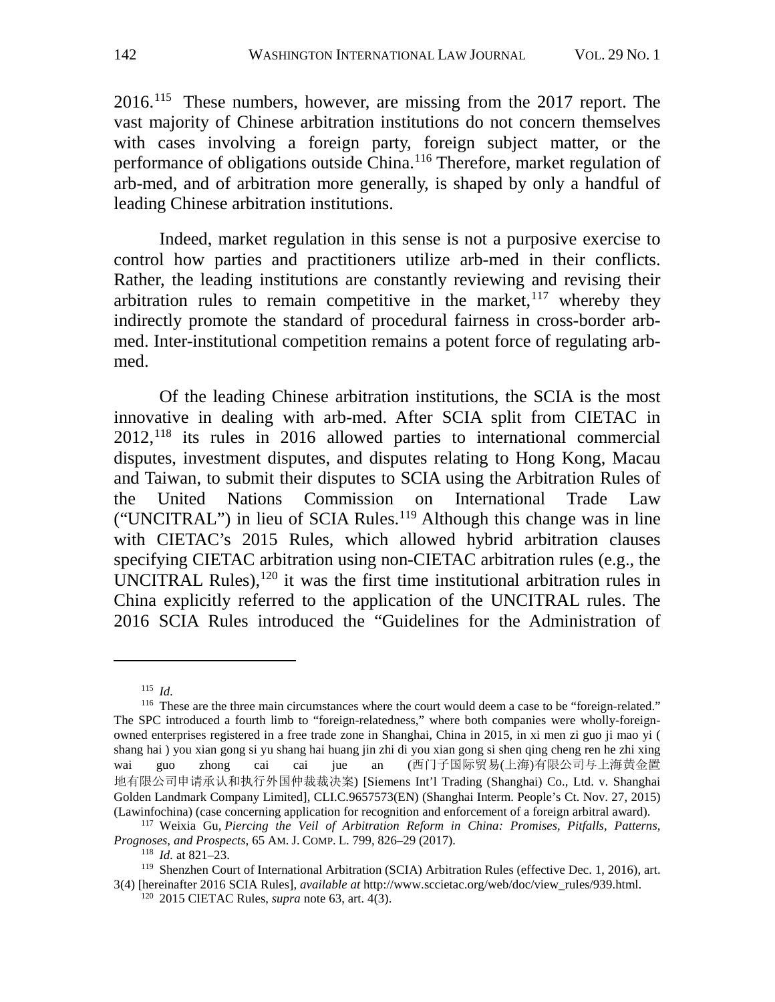2016.[115](#page-26-0) These numbers, however, are missing from the 2017 report. The vast majority of Chinese arbitration institutions do not concern themselves with cases involving a foreign party, foreign subject matter, or the performance of obligations outside China.<sup>[116](#page-26-1)</sup> Therefore, market regulation of arb-med, and of arbitration more generally, is shaped by only a handful of leading Chinese arbitration institutions.

Indeed, market regulation in this sense is not a purposive exercise to control how parties and practitioners utilize arb-med in their conflicts. Rather, the leading institutions are constantly reviewing and revising their arbitration rules to remain competitive in the market,  $117$  whereby they indirectly promote the standard of procedural fairness in cross-border arbmed. Inter-institutional competition remains a potent force of regulating arbmed.

<span id="page-26-6"></span>Of the leading Chinese arbitration institutions, the SCIA is the most innovative in dealing with arb-med. After SCIA split from CIETAC in 2012,[118](#page-26-3) its rules in 2016 allowed parties to international commercial disputes, investment disputes, and disputes relating to Hong Kong, Macau and Taiwan, to submit their disputes to SCIA using the Arbitration Rules of the United Nations Commission on International Trade Law ("UNCITRAL") in lieu of SCIA Rules.<sup>[119](#page-26-4)</sup> Although this change was in line with CIETAC's 2015 Rules, which allowed hybrid arbitration clauses specifying CIETAC arbitration using non-CIETAC arbitration rules (e.g., the UNCITRAL Rules), $120$  it was the first time institutional arbitration rules in China explicitly referred to the application of the UNCITRAL rules. The 2016 SCIA Rules introduced the "Guidelines for the Administration of

<sup>115</sup> *Id.*

<span id="page-26-1"></span><span id="page-26-0"></span><sup>&</sup>lt;sup>116</sup> These are the three main circumstances where the court would deem a case to be "foreign-related." The SPC introduced a fourth limb to "foreign-relatedness," where both companies were wholly-foreignowned enterprises registered in a free trade zone in Shanghai, China in 2015, in xi men zi guo ji mao yi ( shang hai ) you xian gong si yu shang hai huang jin zhi di you xian gong si shen qing cheng ren he zhi xing wai guo zhong cai cai jue an (西门子国际贸易(上海)有限公司与上海黄金置 地有限公司申请承认和执行外国仲裁裁决案) [Siemens Int'l Trading (Shanghai) Co., Ltd. v. Shanghai Golden Landmark Company Limited], CLI.C.9657573(EN) (Shanghai Interm. People's Ct. Nov. 27, 2015) (Lawinfochina) (case concerning application for recognition and enforcement of a foreign arbitral award).

<span id="page-26-2"></span><sup>117</sup> Weixia Gu*, Piercing the Veil of Arbitration Reform in China: Promises, Pitfalls, Patterns, Prognoses, and Prospects*, 65 AM. J. COMP. L. 799, 826–29 (2017).

<sup>118</sup> *Id.* at 821–23.

<span id="page-26-5"></span><span id="page-26-4"></span><span id="page-26-3"></span><sup>119</sup> Shenzhen Court of International Arbitration (SCIA) Arbitration Rules (effective Dec. 1, 2016), art. 3(4) [hereinafter 2016 SCIA Rules], *available at* http://www.sccietac.org/web/doc/view\_rules/939.html. 120 2015 CIETAC Rules, *supra* note [63,](#page-18-0) art. 4(3).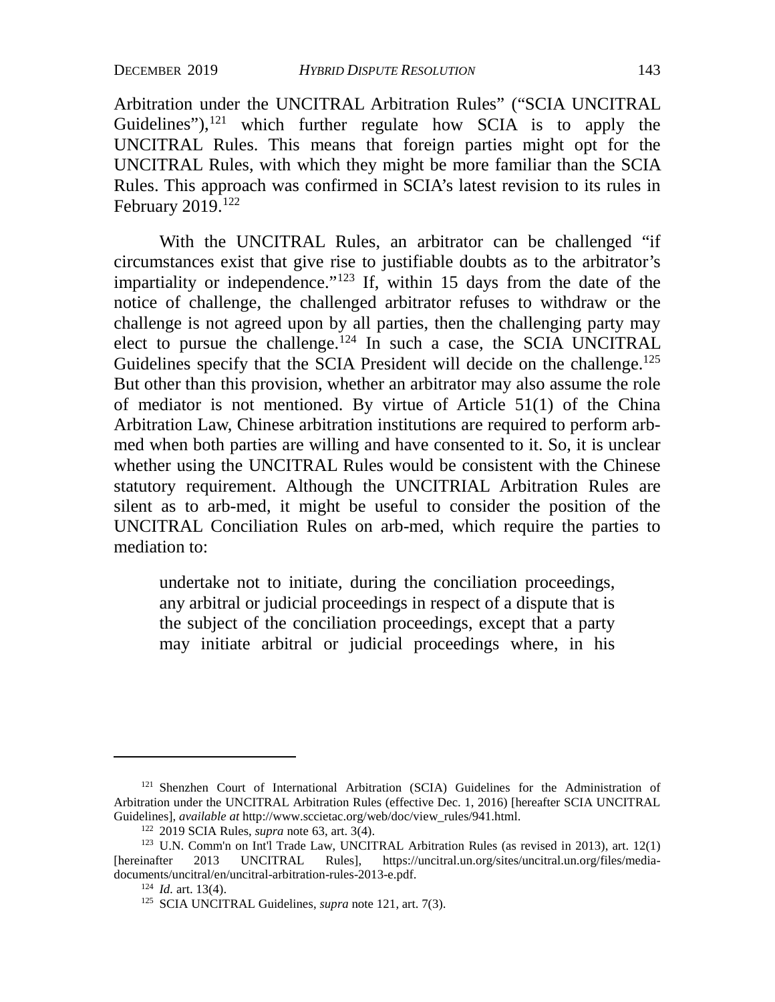<span id="page-27-0"></span>Arbitration under the UNCITRAL Arbitration Rules" ("SCIA UNCITRAL Guidelines"), $121$  which further regulate how SCIA is to apply the UNCITRAL Rules. This means that foreign parties might opt for the UNCITRAL Rules, with which they might be more familiar than the SCIA Rules. This approach was confirmed in SCIA's latest revision to its rules in February 2019.[122](#page-27-2)

With the UNCITRAL Rules, an arbitrator can be challenged "if circumstances exist that give rise to justifiable doubts as to the arbitrator's impartiality or independence."<sup>[123](#page-27-3)</sup> If, within 15 days from the date of the notice of challenge, the challenged arbitrator refuses to withdraw or the challenge is not agreed upon by all parties, then the challenging party may elect to pursue the challenge.<sup>[124](#page-27-4)</sup> In such a case, the SCIA UNCITRAL Guidelines specify that the SCIA President will decide on the challenge.<sup>125</sup> But other than this provision, whether an arbitrator may also assume the role of mediator is not mentioned. By virtue of Article 51(1) of the China Arbitration Law, Chinese arbitration institutions are required to perform arbmed when both parties are willing and have consented to it. So, it is unclear whether using the UNCITRAL Rules would be consistent with the Chinese statutory requirement. Although the UNCITRIAL Arbitration Rules are silent as to arb-med, it might be useful to consider the position of the UNCITRAL Conciliation Rules on arb-med, which require the parties to mediation to:

undertake not to initiate, during the conciliation proceedings, any arbitral or judicial proceedings in respect of a dispute that is the subject of the conciliation proceedings, except that a party may initiate arbitral or judicial proceedings where, in his

<span id="page-27-1"></span><sup>121</sup> Shenzhen Court of International Arbitration (SCIA) Guidelines for the Administration of Arbitration under the UNCITRAL Arbitration Rules (effective Dec. 1, 2016) [hereafter SCIA UNCITRAL Guidelines], *available at* http://www.sccietac.org/web/doc/view\_rules/941.html.<br><sup>122</sup> 2019 SCIA Rules, *supra* note [63,](#page-18-0) art. 3(4).<br><sup>123</sup> U.N. Comm'n on Int'l Trade Law, UNCITRAL Arbitration Rules (as revised in 2013), art

<span id="page-27-5"></span><span id="page-27-4"></span><span id="page-27-3"></span><span id="page-27-2"></span><sup>[</sup>hereinafter 2013 UNCITRAL Rules], https://uncitral.un.org/sites/uncitral.un.org/files/mediadocuments/uncitral/en/uncitral-arbitration-rules-2013-e.pdf. 124 *Id.* art. 13(4).

<sup>125</sup> SCIA UNCITRAL Guidelines, *supra* not[e 121,](#page-27-0) art. 7(3).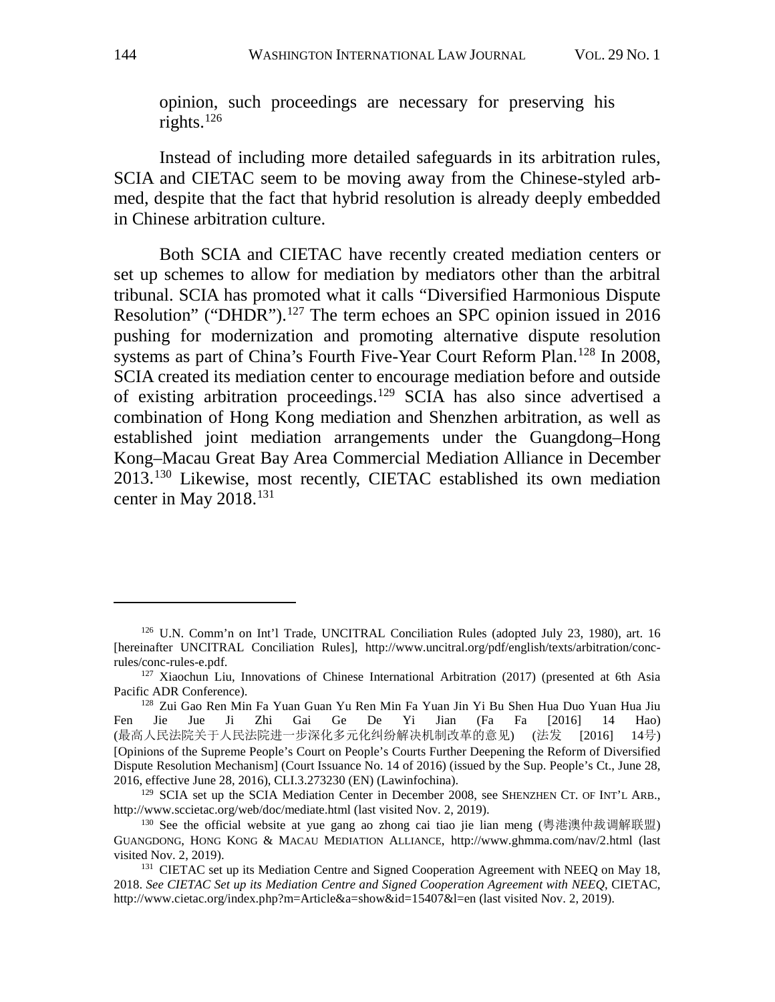opinion, such proceedings are necessary for preserving his rights. $126$ 

Instead of including more detailed safeguards in its arbitration rules, SCIA and CIETAC seem to be moving away from the Chinese-styled arbmed, despite that the fact that hybrid resolution is already deeply embedded in Chinese arbitration culture.

Both SCIA and CIETAC have recently created mediation centers or set up schemes to allow for mediation by mediators other than the arbitral tribunal. SCIA has promoted what it calls "Diversified Harmonious Dispute Resolution" ("DHDR").<sup>[127](#page-28-1)</sup> The term echoes an SPC opinion issued in 2016 pushing for modernization and promoting alternative dispute resolution systems as part of China's Fourth Five-Year Court Reform Plan.<sup>[128](#page-28-2)</sup> In 2008, SCIA created its mediation center to encourage mediation before and outside of existing arbitration proceedings.[129](#page-28-3) SCIA has also since advertised a combination of Hong Kong mediation and Shenzhen arbitration, as well as established joint mediation arrangements under the Guangdong–Hong Kong–Macau Great Bay Area Commercial Mediation Alliance in December 2013.[130](#page-28-4) Likewise, most recently, CIETAC established its own mediation center in May 2018.<sup>[131](#page-28-5)</sup>

<span id="page-28-0"></span><sup>126</sup> U.N. Comm'n on Int'l Trade, UNCITRAL Conciliation Rules (adopted July 23, 1980), art. 16 [hereinafter UNCITRAL Conciliation Rules], http://www.uncitral.org/pdf/english/texts/arbitration/conc-

<span id="page-28-1"></span> $127$  Xiaochun Liu, Innovations of Chinese International Arbitration (2017) (presented at 6th Asia Pacific ADR Conference).

<span id="page-28-2"></span><sup>128</sup> Zui Gao Ren Min Fa Yuan Guan Yu Ren Min Fa Yuan Jin Yi Bu Shen Hua Duo Yuan Hua Jiu Fen Jie Jue Ji Zhi Gai Ge De Yi Jian (Fa Fa [2016] 14 Hao) (最高人民法院关于人民法院进一步深化多元化纠纷解决机制改革的意见) (法发 [2016] 14号) [Opinions of the Supreme People's Court on People's Courts Further Deepening the Reform of Diversified Dispute Resolution Mechanism] (Court Issuance No. 14 of 2016) (issued by the Sup. People's Ct., June 28, 2016, effective June 28, 2016), CLI.3.273230 (EN) (Lawinfochina).

<span id="page-28-3"></span><sup>&</sup>lt;sup>129</sup> SCIA set up the SCIA Mediation Center in December 2008, see SHENZHEN CT. OF INT'L ARB., http://www.sccietac.org/web/doc/mediate.html (last visited Nov. 2, 2019).

<span id="page-28-4"></span><sup>130</sup> See the official website at yue gang ao zhong cai tiao jie lian meng (粤港澳仲裁调解联盟) GUANGDONG, HONG KONG & MACAU MEDIATION ALLIANCE, http://www.ghmma.com/nav/2.html (last

<span id="page-28-5"></span><sup>&</sup>lt;sup>131</sup> CIETAC set up its Mediation Centre and Signed Cooperation Agreement with NEEQ on May 18, 2018. *See CIETAC Set up its Mediation Centre and Signed Cooperation Agreement with NEEQ*, CIETAC, http://www.cietac.org/index.php?m=Article&a=show&id=15407&l=en (last visited Nov. 2, 2019).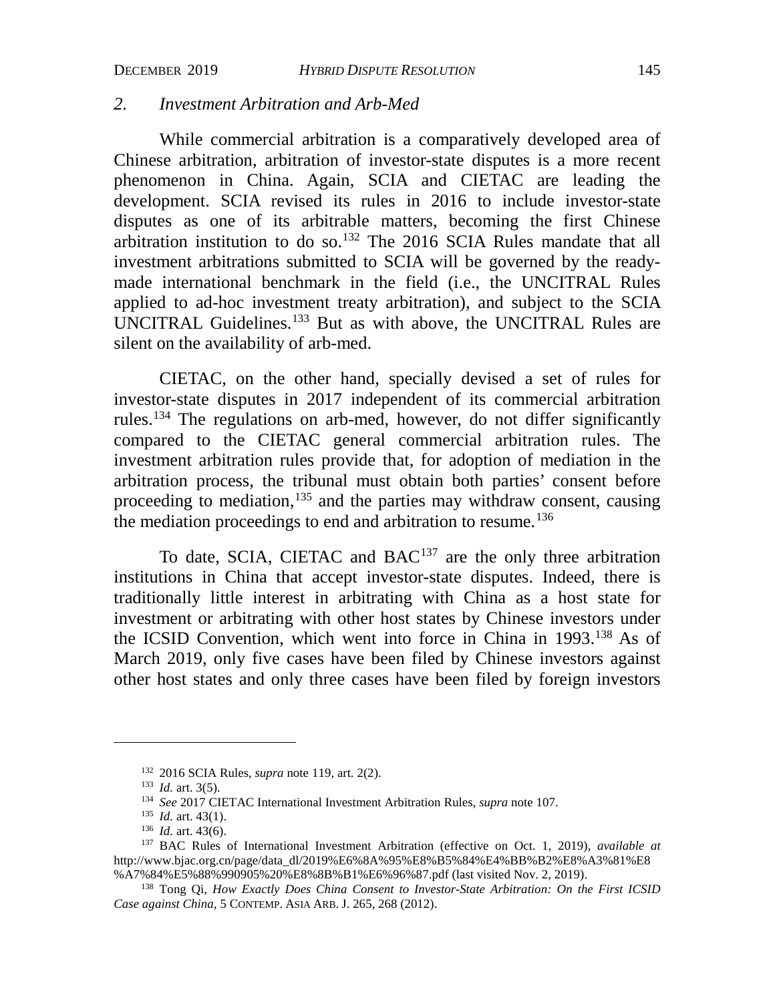## *2. Investment Arbitration and Arb-Med*

While commercial arbitration is a comparatively developed area of Chinese arbitration, arbitration of investor-state disputes is a more recent phenomenon in China. Again, SCIA and CIETAC are leading the development. SCIA revised its rules in 2016 to include investor-state disputes as one of its arbitrable matters, becoming the first Chinese arbitration institution to do so.[132](#page-29-0) The 2016 SCIA Rules mandate that all investment arbitrations submitted to SCIA will be governed by the readymade international benchmark in the field (i.e., the UNCITRAL Rules applied to ad-hoc investment treaty arbitration), and subject to the SCIA UNCITRAL Guidelines.[133](#page-29-1) But as with above, the UNCITRAL Rules are silent on the availability of arb-med.

CIETAC, on the other hand, specially devised a set of rules for investor-state disputes in 2017 independent of its commercial arbitration rules.<sup>[134](#page-29-2)</sup> The regulations on arb-med, however, do not differ significantly compared to the CIETAC general commercial arbitration rules. The investment arbitration rules provide that, for adoption of mediation in the arbitration process, the tribunal must obtain both parties' consent before proceeding to mediation,  $135$  and the parties may withdraw consent, causing the mediation proceedings to end and arbitration to resume.<sup>[136](#page-29-4)</sup>

To date, SCIA, CIETAC and BAC<sup>137</sup> are the only three arbitration institutions in China that accept investor-state disputes. Indeed, there is traditionally little interest in arbitrating with China as a host state for investment or arbitrating with other host states by Chinese investors under the ICSID Convention, which went into force in China in 1993[.138](#page-29-6) As of March 2019, only five cases have been filed by Chinese investors against other host states and only three cases have been filed by foreign investors

<sup>132</sup> 2016 SCIA Rules, *supra* note [119,](#page-26-6) art. 2(2).

<sup>133</sup> *Id.* art. 3(5).

<sup>134</sup> *See* 2017 CIETAC International Investment Arbitration Rules, *supra* not[e 107.](#page-24-3) 135 *Id.* art. 43(1).

<sup>136</sup> *Id.* art. 43(6).

<span id="page-29-5"></span><span id="page-29-4"></span><span id="page-29-3"></span><span id="page-29-2"></span><span id="page-29-1"></span><span id="page-29-0"></span><sup>137</sup> BAC Rules of International Investment Arbitration (effective on Oct. 1, 2019), *available at* [http://www.bjac.org.cn/page/data\\_dl/2019%E6%8A%95%E8%B5%84%E4%BB%B2%E8%A3%81%E8](http://www.bjac.org.cn/page/data_dl/2019%E6%8A%95%E8%B5%84%E4%BB%B2%E8%A3%81%E8%A7%84%E5%88%990905%20%E8%8B%B1%E6%96%87.pdf) [%A7%84%E5%88%990905%20%E8%8B%B1%E6%96%87.pdf](http://www.bjac.org.cn/page/data_dl/2019%E6%8A%95%E8%B5%84%E4%BB%B2%E8%A3%81%E8%A7%84%E5%88%990905%20%E8%8B%B1%E6%96%87.pdf) (last visited Nov. 2, 2019).

<span id="page-29-6"></span><sup>138</sup> Tong Qi, *How Exactly Does China Consent to Investor-State Arbitration: On the First ICSID Case against China*, 5 CONTEMP. ASIA ARB. J. 265, 268 (2012).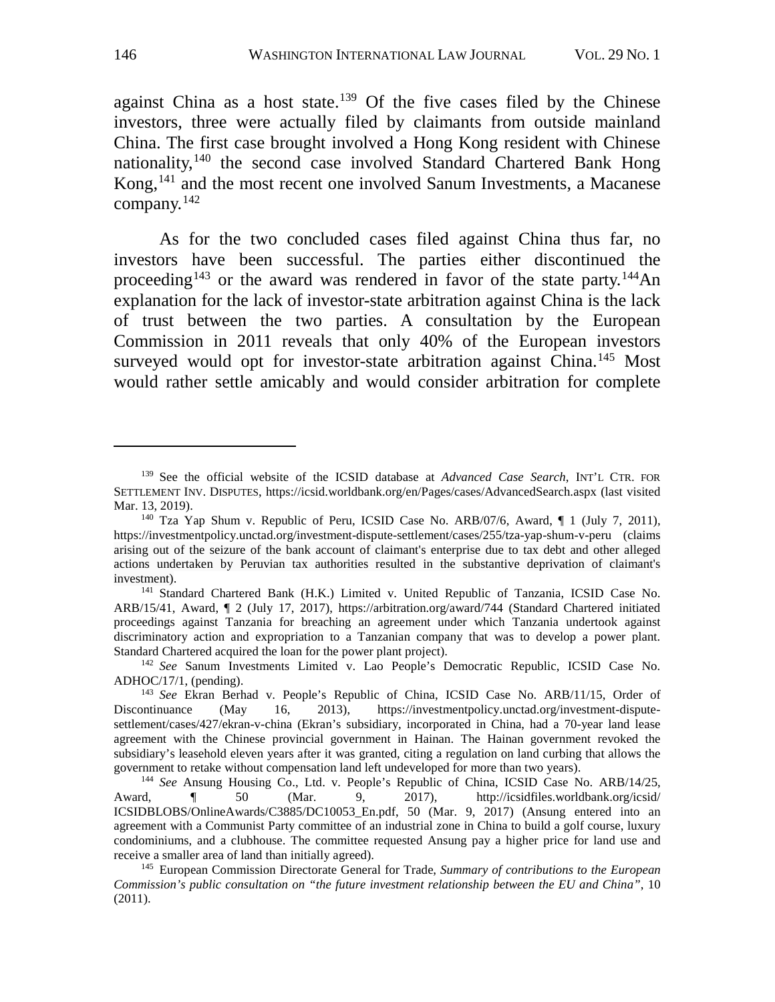against China as a host state.<sup>139</sup> Of the five cases filed by the Chinese investors, three were actually filed by claimants from outside mainland China. The first case brought involved a Hong Kong resident with Chinese nationality,<sup>[140](#page-30-1)</sup> the second case involved Standard Chartered Bank Hong Kong,<sup>[141](#page-30-2)</sup> and the most recent one involved Sanum Investments, a Macanese company.[142](#page-30-3)

As for the two concluded cases filed against China thus far, no investors have been successful. The parties either discontinued the proceeding<sup>[143](#page-30-4)</sup> or the award was rendered in favor of the state party.<sup>[144](#page-30-5)</sup>An explanation for the lack of investor-state arbitration against China is the lack of trust between the two parties. A consultation by the European Commission in 2011 reveals that only 40% of the European investors surveyed would opt for investor-state arbitration against China.<sup>[145](#page-30-6)</sup> Most would rather settle amicably and would consider arbitration for complete

<span id="page-30-0"></span><sup>139</sup> See the official website of the ICSID database at *Advanced Case Search*, INT'L CTR. FOR SETTLEMENT INV. DISPUTES, https://icsid.worldbank.org/en/Pages/cases/AdvancedSearch.aspx (last visited Mar. 13, 2019).

<span id="page-30-1"></span><sup>&</sup>lt;sup>140</sup> Tza Yap Shum v. Republic of Peru, ICSID Case No. ARB/07/6, Award,  $\P$  1 (July 7, 2011), https://investmentpolicy.unctad.org/investment-dispute-settlement/cases/255/tza-yap-shum-v-peru (claims arising out of the seizure of the bank account of claimant's enterprise due to tax debt and other alleged actions undertaken by Peruvian tax authorities resulted in the substantive deprivation of claimant's investment). 141 Standard Chartered Bank (H.K.) Limited v. United Republic of Tanzania, ICSID Case No.

<span id="page-30-2"></span>ARB/15/41, Award, ¶ 2 (July 17, 2017), https://arbitration.org/award/744 (Standard Chartered initiated proceedings against Tanzania for breaching an agreement under which Tanzania undertook against discriminatory action and expropriation to a Tanzanian company that was to develop a power plant. Standard Chartered acquired the loan for the power plant project). 142 *See* Sanum Investments Limited v. Lao People's Democratic Republic, ICSID Case No.

<span id="page-30-3"></span>ADHOC/17/1, (pending).

<span id="page-30-4"></span><sup>&</sup>lt;sup>143</sup> *See* Ekran Berhad v. People's Republic of China, ICSID Case No. ARB/11/15, Order of Discontinuance (May 16, 2013), https://investmentpolicy.unctad.org/investment-dispute-(May 16, 2013), https://investmentpolicy.unctad.org/investment-disputesettlement/cases/427/ekran-v-china (Ekran's subsidiary, incorporated in China, had a 70-year land lease agreement with the Chinese provincial government in Hainan. The Hainan government revoked the subsidiary's leasehold eleven years after it was granted, citing a regulation on land curbing that allows the government to retake without compensation land left undeveloped for more than two years).

<span id="page-30-5"></span><sup>&</sup>lt;sup>144</sup> See Ansung Housing Co., Ltd. v. People's Republic of China, ICSID Case No. ARB/14/25, d. **1444** So (Mar. 9, 2017). http://icsidfiles.worldbank.org/icsid/ Award, ¶ 50 (Mar. 9, 2017), http://icsidfiles.worldbank.org/icsid/ ICSIDBLOBS/OnlineAwards/C3885/DC10053\_En.pdf, 50 (Mar. 9, 2017) (Ansung entered into an agreement with a Communist Party committee of an industrial zone in China to build a golf course, luxury condominiums, and a clubhouse. The committee requested Ansung pay a higher price for land use and receive a smaller area of land than initially agreed).

<span id="page-30-6"></span><sup>145</sup> European Commission Directorate General for Trade, *Summary of contributions to the European Commission's public consultation on "the future investment relationship between the EU and China"*, 10 (2011).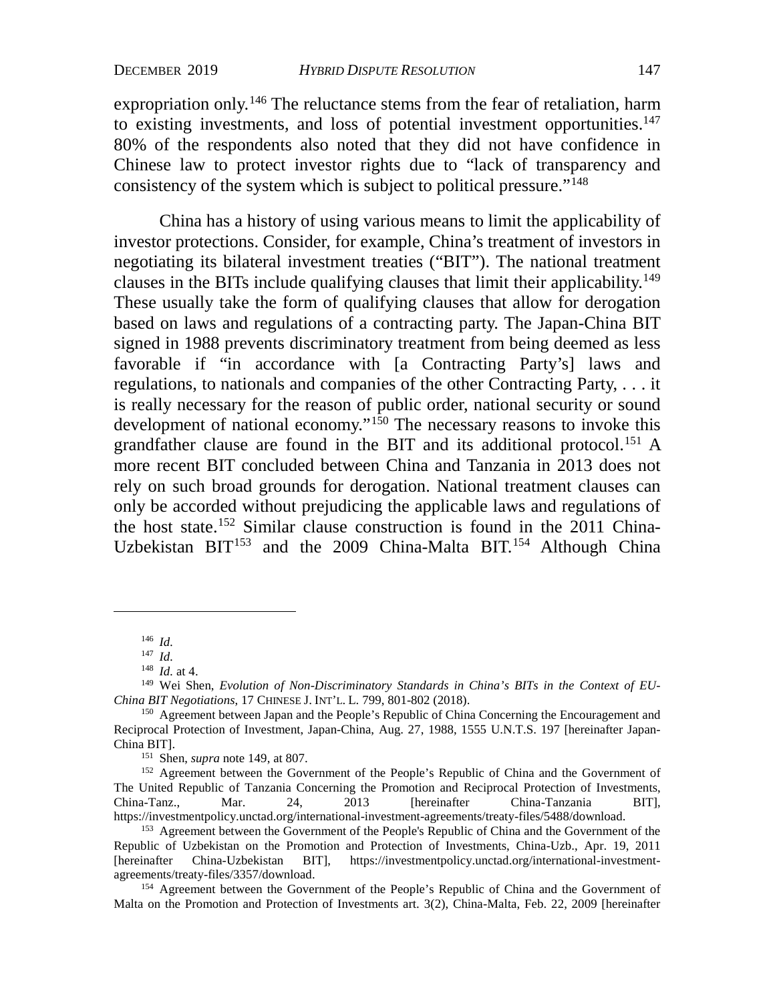expropriation only.<sup>[146](#page-31-0)</sup> The reluctance stems from the fear of retaliation, harm to existing investments, and loss of potential investment opportunities. $147$ 80% of the respondents also noted that they did not have confidence in Chinese law to protect investor rights due to "lack of transparency and consistency of the system which is subject to political pressure."[148](#page-31-2)

China has a history of using various means to limit the applicability of investor protections. Consider, for example, China's treatment of investors in negotiating its bilateral investment treaties ("BIT"). The national treatment clauses in the BITs include qualifying clauses that limit their applicability.<sup>[149](#page-31-3)</sup> These usually take the form of qualifying clauses that allow for derogation based on laws and regulations of a contracting party. The Japan-China BIT signed in 1988 prevents discriminatory treatment from being deemed as less favorable if "in accordance with [a Contracting Party's] laws and regulations, to nationals and companies of the other Contracting Party, . . . it is really necessary for the reason of public order, national security or sound development of national economy."<sup>[150](#page-31-4)</sup> The necessary reasons to invoke this grandfather clause are found in the BIT and its additional protocol.[151](#page-31-5) A more recent BIT concluded between China and Tanzania in 2013 does not rely on such broad grounds for derogation. National treatment clauses can only be accorded without prejudicing the applicable laws and regulations of the host state.[152](#page-31-6) Similar clause construction is found in the 2011 China-Uzbekistan BIT<sup>[153](#page-31-7)</sup> and the 2009 China-Malta BIT.<sup>[154](#page-31-8)</sup> Although China

151 Shen, *supra* note 149, at 807.

<span id="page-31-6"></span><span id="page-31-5"></span><sup>152</sup> Agreement between the Government of the People's Republic of China and the Government of The United Republic of Tanzania Concerning the Promotion and Reciprocal Protection of Investments, China-Tanz., Mar. 24, 2013 [hereinafter China-Tanzania BIT], https://investmentpolicy.unctad.org/international-investment-agreements/treaty-files/5488/download.

<sup>146</sup> *Id.*

<sup>147</sup> *Id.*

<sup>148</sup> *Id.* at 4.

<span id="page-31-3"></span><span id="page-31-2"></span><span id="page-31-1"></span><span id="page-31-0"></span><sup>149</sup> Wei Shen, *Evolution of Non-Discriminatory Standards in China's BITs in the Context of EU-China BIT Negotiations*, 17 CHINESE J. INT'L. L. 799, 801-802 (2018).

<span id="page-31-4"></span><sup>&</sup>lt;sup>150</sup> Agreement between Japan and the People's Republic of China Concerning the Encouragement and Reciprocal Protection of Investment, Japan-China, Aug. 27, 1988, 1555 U.N.T.S. 197 [hereinafter Japan-China BIT].

<span id="page-31-7"></span><sup>&</sup>lt;sup>153</sup> Agreement between the Government of the People's Republic of China and the Government of the Republic of Uzbekistan on the Promotion and Protection of Investments, China-Uzb., Apr. 19, 2011 [hereinafter China-Uzbekistan BIT], https://investmentpolicy.unctad.org/international-investmentagreements/treaty-files/3357/download.

<span id="page-31-8"></span><sup>&</sup>lt;sup>154</sup> Agreement between the Government of the People's Republic of China and the Government of Malta on the Promotion and Protection of Investments art. 3(2), China-Malta, Feb. 22, 2009 [hereinafter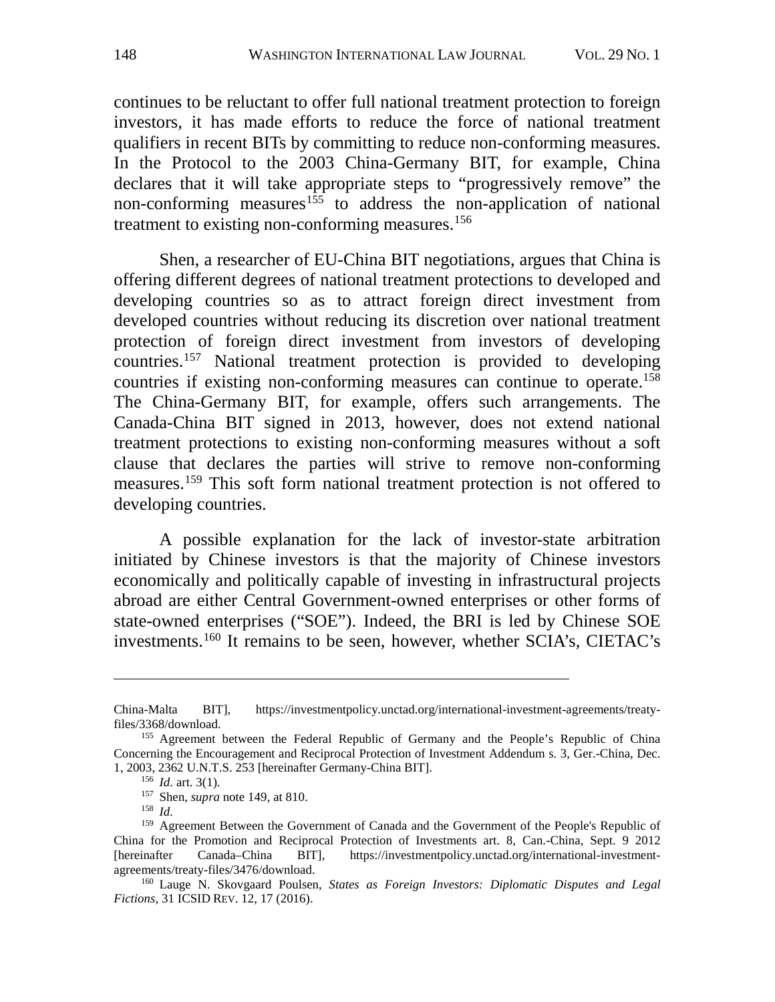continues to be reluctant to offer full national treatment protection to foreign investors, it has made efforts to reduce the force of national treatment qualifiers in recent BITs by committing to reduce non-conforming measures. In the Protocol to the 2003 China-Germany BIT, for example, China declares that it will take appropriate steps to "progressively remove" the non-conforming measures<sup>[155](#page-32-0)</sup> to address the non-application of national treatment to existing non-conforming measures.<sup>[156](#page-32-1)</sup>

Shen, a researcher of EU-China BIT negotiations, argues that China is offering different degrees of national treatment protections to developed and developing countries so as to attract foreign direct investment from developed countries without reducing its discretion over national treatment protection of foreign direct investment from investors of developing countries.[157](#page-32-2) National treatment protection is provided to developing countries if existing non-conforming measures can continue to operate.<sup>158</sup> The China-Germany BIT, for example, offers such arrangements. The Canada-China BIT signed in 2013, however, does not extend national treatment protections to existing non-conforming measures without a soft clause that declares the parties will strive to remove non-conforming measures.[159](#page-32-4) This soft form national treatment protection is not offered to developing countries.

A possible explanation for the lack of investor-state arbitration initiated by Chinese investors is that the majority of Chinese investors economically and politically capable of investing in infrastructural projects abroad are either Central Government-owned enterprises or other forms of state-owned enterprises ("SOE"). Indeed, the BRI is led by Chinese SOE investments.[160](#page-32-5) It remains to be seen, however, whether SCIA's, CIETAC's

China-Malta BIT], https://investmentpolicy.unctad.org/international-investment-agreements/treatyfiles/3368/download.

<span id="page-32-1"></span><span id="page-32-0"></span><sup>&</sup>lt;sup>155</sup> Agreement between the Federal Republic of Germany and the People's Republic of China Concerning the Encouragement and Reciprocal Protection of Investment Addendum s. 3, Ger.-China, Dec. 1, 2003, 2362 U.N.T.S. 253 [hereinafter Germany-China BIT].

<sup>156</sup> *Id.* art. 3(1).

<sup>157</sup> Shen, *supra* note 149, at 810.

<sup>158</sup> *Id.*

<span id="page-32-4"></span><span id="page-32-3"></span><span id="page-32-2"></span><sup>&</sup>lt;sup>159</sup> Agreement Between the Government of Canada and the Government of the People's Republic of China for the Promotion and Reciprocal Protection of Investments art. 8, Can.-China, Sept. 9 2012 [hereinafter Canada–China BIT], [https://investmentpolicy.unctad.org/international-investment](https://investmentpolicy.unctad.org/international-investment-agreements/treaty-files/3476/download)[agreements/treaty-files/3476/download.](https://investmentpolicy.unctad.org/international-investment-agreements/treaty-files/3476/download) 160 Lauge N. Skovgaard Poulsen, *States as Foreign Investors: Diplomatic Disputes and Legal* 

<span id="page-32-5"></span>*Fictions*, 31 ICSID REV. 12, 17 (2016).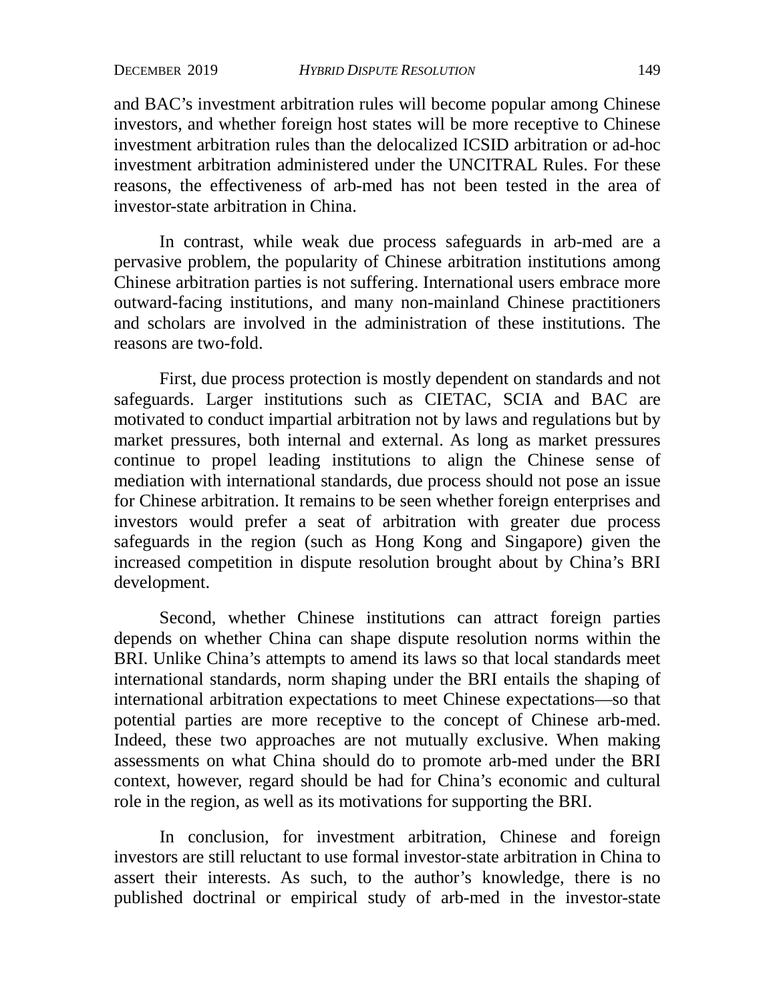and BAC's investment arbitration rules will become popular among Chinese investors, and whether foreign host states will be more receptive to Chinese investment arbitration rules than the delocalized ICSID arbitration or ad-hoc investment arbitration administered under the UNCITRAL Rules. For these reasons, the effectiveness of arb-med has not been tested in the area of investor-state arbitration in China.

In contrast, while weak due process safeguards in arb-med are a pervasive problem, the popularity of Chinese arbitration institutions among Chinese arbitration parties is not suffering. International users embrace more outward-facing institutions, and many non-mainland Chinese practitioners and scholars are involved in the administration of these institutions. The reasons are two-fold.

First, due process protection is mostly dependent on standards and not safeguards. Larger institutions such as CIETAC, SCIA and BAC are motivated to conduct impartial arbitration not by laws and regulations but by market pressures, both internal and external. As long as market pressures continue to propel leading institutions to align the Chinese sense of mediation with international standards, due process should not pose an issue for Chinese arbitration. It remains to be seen whether foreign enterprises and investors would prefer a seat of arbitration with greater due process safeguards in the region (such as Hong Kong and Singapore) given the increased competition in dispute resolution brought about by China's BRI development.

Second, whether Chinese institutions can attract foreign parties depends on whether China can shape dispute resolution norms within the BRI. Unlike China's attempts to amend its laws so that local standards meet international standards, norm shaping under the BRI entails the shaping of international arbitration expectations to meet Chinese expectations—so that potential parties are more receptive to the concept of Chinese arb-med. Indeed, these two approaches are not mutually exclusive. When making assessments on what China should do to promote arb-med under the BRI context, however, regard should be had for China's economic and cultural role in the region, as well as its motivations for supporting the BRI.

In conclusion, for investment arbitration, Chinese and foreign investors are still reluctant to use formal investor-state arbitration in China to assert their interests. As such, to the author's knowledge, there is no published doctrinal or empirical study of arb-med in the investor-state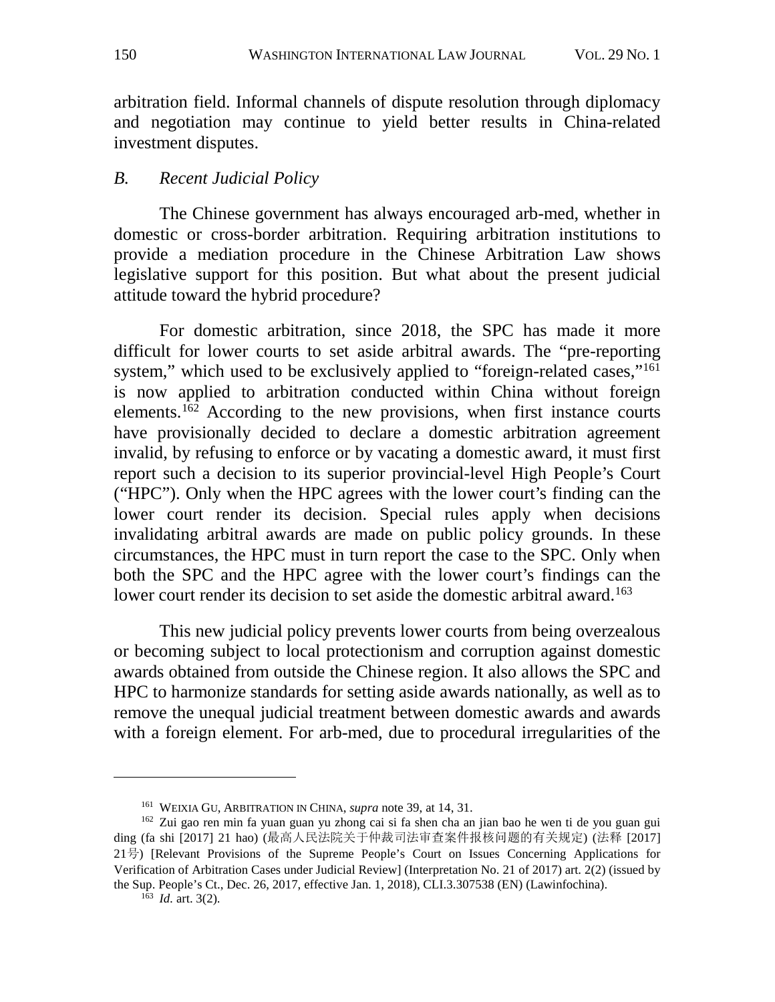arbitration field. Informal channels of dispute resolution through diplomacy and negotiation may continue to yield better results in China-related investment disputes.

## *B. Recent Judicial Policy*

The Chinese government has always encouraged arb-med, whether in domestic or cross-border arbitration. Requiring arbitration institutions to provide a mediation procedure in the Chinese Arbitration Law shows legislative support for this position. But what about the present judicial attitude toward the hybrid procedure?

For domestic arbitration, since 2018, the SPC has made it more difficult for lower courts to set aside arbitral awards. The "pre-reporting system," which used to be exclusively applied to "foreign-related cases,"<sup>161</sup> is now applied to arbitration conducted within China without foreign elements.<sup>[162](#page-34-1)</sup> According to the new provisions, when first instance courts have provisionally decided to declare a domestic arbitration agreement invalid, by refusing to enforce or by vacating a domestic award, it must first report such a decision to its superior provincial-level High People's Court ("HPC"). Only when the HPC agrees with the lower court's finding can the lower court render its decision. Special rules apply when decisions invalidating arbitral awards are made on public policy grounds. In these circumstances, the HPC must in turn report the case to the SPC. Only when both the SPC and the HPC agree with the lower court's findings can the lower court render its decision to set aside the domestic arbitral award.<sup>[163](#page-34-2)</sup>

This new judicial policy prevents lower courts from being overzealous or becoming subject to local protectionism and corruption against domestic awards obtained from outside the Chinese region. It also allows the SPC and HPC to harmonize standards for setting aside awards nationally, as well as to remove the unequal judicial treatment between domestic awards and awards with a foreign element. For arb-med, due to procedural irregularities of the

<sup>163</sup> *Id.* art. 3(2).

<sup>161</sup> WEIXIA GU, ARBITRATION IN CHINA, *supra* note [39,](#page-11-5) at 14, 31.

<span id="page-34-2"></span><span id="page-34-1"></span><span id="page-34-0"></span><sup>162</sup> Zui gao ren min fa yuan guan yu zhong cai si fa shen cha an jian bao he wen ti de you guan gui ding (fa shi [2017] 21 hao) (最高人民法院关于仲裁司法审查案件报核问题的有关规定) (法释 [2017] 21号) [Relevant Provisions of the Supreme People's Court on Issues Concerning Applications for Verification of Arbitration Cases under Judicial Review] (Interpretation No. 21 of 2017) art. 2(2) (issued by the Sup. People's Ct., Dec. 26, 2017, effective Jan. 1, 2018), CLI.3.307538 (EN) (Lawinfochina).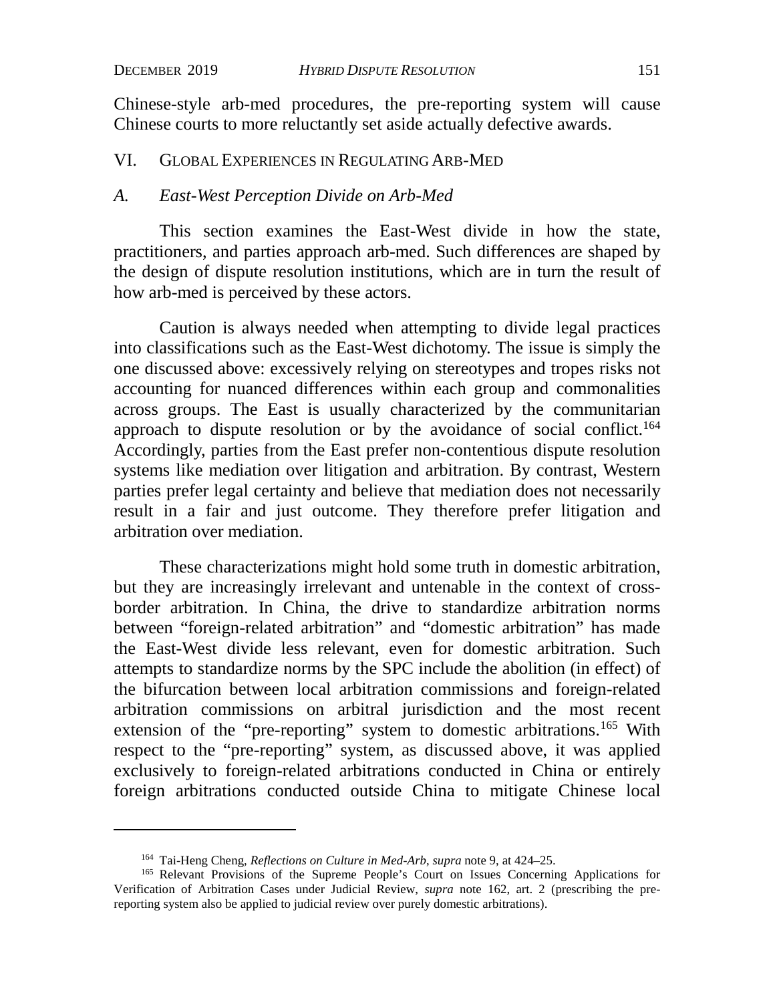Chinese-style arb-med procedures, the pre-reporting system will cause Chinese courts to more reluctantly set aside actually defective awards.

#### VI. GLOBAL EXPERIENCES IN REGULATING ARB-MED

#### *A. East-West Perception Divide on Arb-Med*

This section examines the East-West divide in how the state, practitioners, and parties approach arb-med. Such differences are shaped by the design of dispute resolution institutions, which are in turn the result of how arb-med is perceived by these actors.

Caution is always needed when attempting to divide legal practices into classifications such as the East-West dichotomy. The issue is simply the one discussed above: excessively relying on stereotypes and tropes risks not accounting for nuanced differences within each group and commonalities across groups. The East is usually characterized by the communitarian approach to dispute resolution or by the avoidance of social conflict.<sup>164</sup> Accordingly, parties from the East prefer non-contentious dispute resolution systems like mediation over litigation and arbitration. By contrast, Western parties prefer legal certainty and believe that mediation does not necessarily result in a fair and just outcome. They therefore prefer litigation and arbitration over mediation.

These characterizations might hold some truth in domestic arbitration, but they are increasingly irrelevant and untenable in the context of crossborder arbitration. In China, the drive to standardize arbitration norms between "foreign-related arbitration" and "domestic arbitration" has made the East-West divide less relevant, even for domestic arbitration. Such attempts to standardize norms by the SPC include the abolition (in effect) of the bifurcation between local arbitration commissions and foreign-related arbitration commissions on arbitral jurisdiction and the most recent extension of the "pre-reporting" system to domestic arbitrations.<sup>[165](#page-35-1)</sup> With respect to the "pre-reporting" system, as discussed above, it was applied exclusively to foreign-related arbitrations conducted in China or entirely foreign arbitrations conducted outside China to mitigate Chinese local

<sup>164</sup> Tai-Heng Cheng, *Reflections on Culture in Med-Arb*, *supra* note [9,](#page-5-3) at 424–25.

<span id="page-35-1"></span><span id="page-35-0"></span><sup>165</sup> Relevant Provisions of the Supreme People's Court on Issues Concerning Applications for Verification of Arbitration Cases under Judicial Review, *supra* note 162, art. 2 (prescribing the prereporting system also be applied to judicial review over purely domestic arbitrations).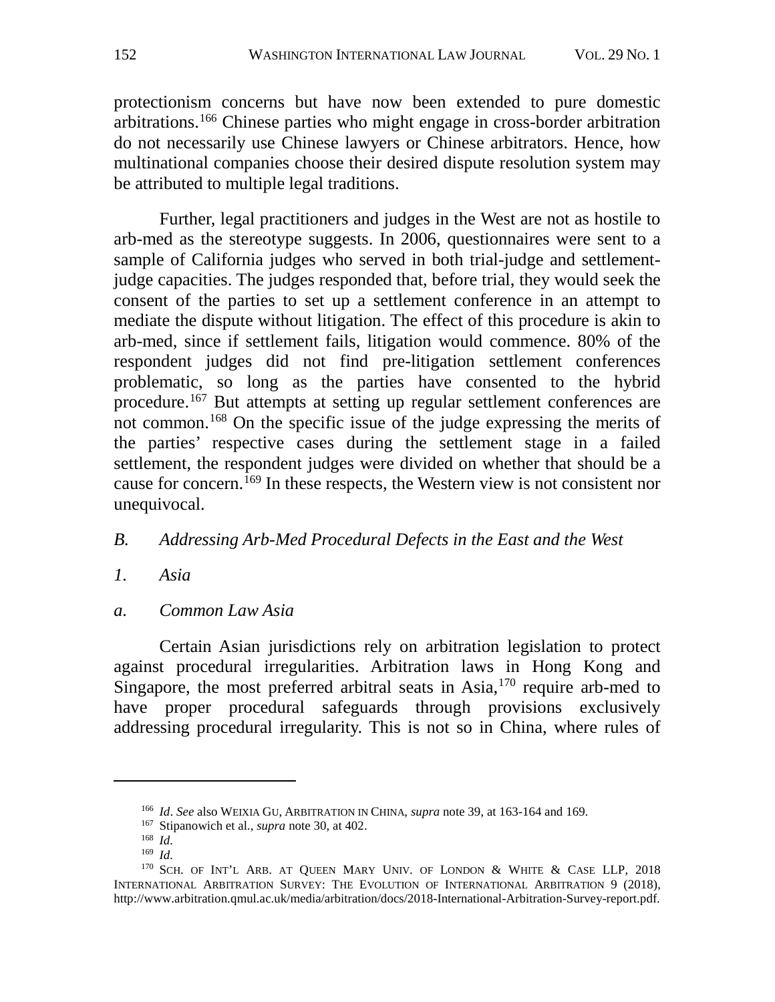protectionism concerns but have now been extended to pure domestic arbitrations.[166](#page-36-0) Chinese parties who might engage in cross-border arbitration do not necessarily use Chinese lawyers or Chinese arbitrators. Hence, how multinational companies choose their desired dispute resolution system may be attributed to multiple legal traditions.

Further, legal practitioners and judges in the West are not as hostile to arb-med as the stereotype suggests. In 2006, questionnaires were sent to a sample of California judges who served in both trial-judge and settlementjudge capacities. The judges responded that, before trial, they would seek the consent of the parties to set up a settlement conference in an attempt to mediate the dispute without litigation. The effect of this procedure is akin to arb-med, since if settlement fails, litigation would commence. 80% of the respondent judges did not find pre-litigation settlement conferences problematic, so long as the parties have consented to the hybrid procedure.[167](#page-36-1) But attempts at setting up regular settlement conferences are not common.[168](#page-36-2) On the specific issue of the judge expressing the merits of the parties' respective cases during the settlement stage in a failed settlement, the respondent judges were divided on whether that should be a cause for concern.<sup>[169](#page-36-3)</sup> In these respects, the Western view is not consistent nor unequivocal.

## *B. Addressing Arb-Med Procedural Defects in the East and the West*

- *1. Asia*
- *a. Common Law Asia*

Certain Asian jurisdictions rely on arbitration legislation to protect against procedural irregularities. Arbitration laws in Hong Kong and Singapore, the most preferred arbitral seats in  $Asia$ ,  $170$  require arb-med to have proper procedural safeguards through provisions exclusively addressing procedural irregularity. This is not so in China, where rules of

<sup>166</sup> *Id*. *See* also WEIXIA GU, ARBITRATION IN CHINA, *supra* note [39,](#page-11-5) at 163-164 and 169.

<sup>167</sup> Stipanowich et al., *supra* note [30,](#page-10-11) at 402.

<sup>168</sup> *Id.*

<sup>169</sup> *Id.*

<span id="page-36-4"></span><span id="page-36-3"></span><span id="page-36-2"></span><span id="page-36-1"></span><span id="page-36-0"></span><sup>&</sup>lt;sup>170</sup> SCH. OF INT'L ARB. AT QUEEN MARY UNIV. OF LONDON & WHITE & CASE LLP, 2018 INTERNATIONAL ARBITRATION SURVEY: THE EVOLUTION OF INTERNATIONAL ARBITRATION 9 (2018), http://www.arbitration.qmul.ac.uk/media/arbitration/docs/2018-International-Arbitration-Survey-report.pdf.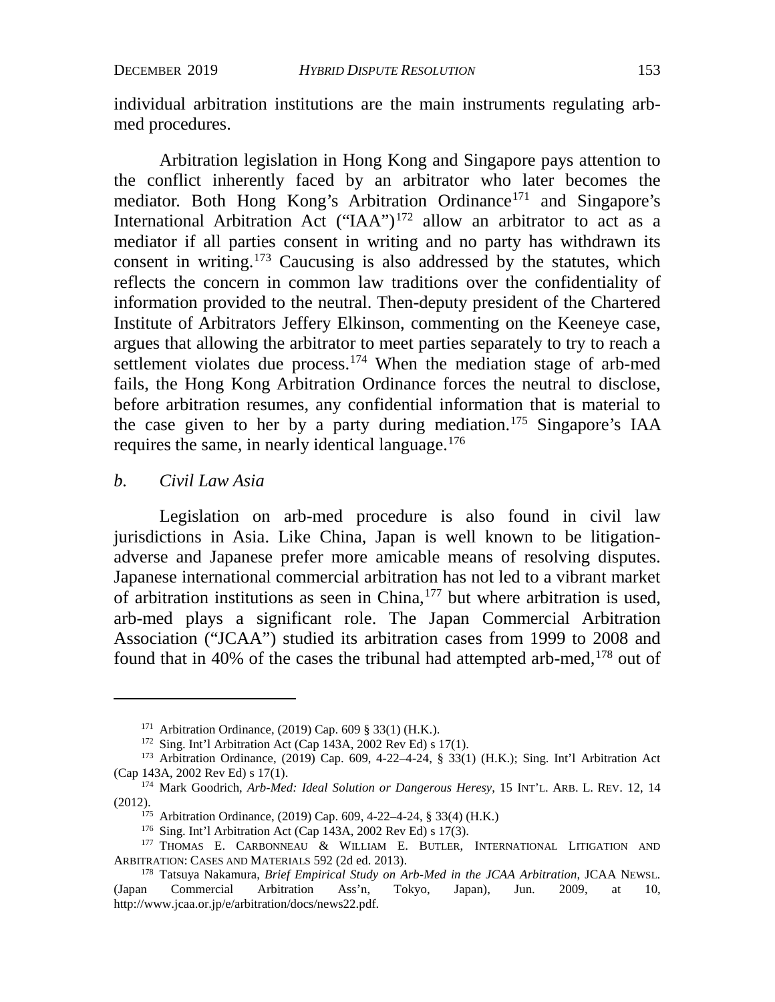individual arbitration institutions are the main instruments regulating arbmed procedures.

Arbitration legislation in Hong Kong and Singapore pays attention to the conflict inherently faced by an arbitrator who later becomes the mediator. Both Hong Kong's Arbitration Ordinance<sup>[171](#page-37-0)</sup> and Singapore's International Arbitration Act ("IAA")<sup>[172](#page-37-1)</sup> allow an arbitrator to act as a mediator if all parties consent in writing and no party has withdrawn its consent in writing.[173](#page-37-2) Caucusing is also addressed by the statutes, which reflects the concern in common law traditions over the confidentiality of information provided to the neutral. Then-deputy president of the Chartered Institute of Arbitrators Jeffery Elkinson, commenting on the Keeneye case, argues that allowing the arbitrator to meet parties separately to try to reach a settlement violates due process.<sup>[174](#page-37-3)</sup> When the mediation stage of arb-med fails, the Hong Kong Arbitration Ordinance forces the neutral to disclose, before arbitration resumes, any confidential information that is material to the case given to her by a party during mediation.<sup>175</sup> Singapore's IAA requires the same, in nearly identical language.[176](#page-37-5)

#### *b. Civil Law Asia*

Legislation on arb-med procedure is also found in civil law jurisdictions in Asia. Like China, Japan is well known to be litigationadverse and Japanese prefer more amicable means of resolving disputes. Japanese international commercial arbitration has not led to a vibrant market of arbitration institutions as seen in China,  $177$  but where arbitration is used, arb-med plays a significant role. The Japan Commercial Arbitration Association ("JCAA") studied its arbitration cases from 1999 to 2008 and found that in 40% of the cases the tribunal had attempted arb-med, $178$  out of

<sup>171</sup> Arbitration Ordinance, (2019) Cap. 609 § 33(1) (H.K.).

<sup>172</sup> Sing. Int'l Arbitration Act (Cap 143A, 2002 Rev Ed) s 17(1).

<span id="page-37-2"></span><span id="page-37-1"></span><span id="page-37-0"></span><sup>173</sup> Arbitration Ordinance, (2019) Cap. 609, 4-22–4-24, § 33(1) (H.K.); Sing. Int'l Arbitration Act (Cap 143A, 2002 Rev Ed) s 17(1).

<span id="page-37-4"></span><span id="page-37-3"></span><sup>174</sup> Mark Goodrich, *Arb-Med: Ideal Solution or Dangerous Heresy*, 15 INT'L. ARB. L. REV. 12, 14 (2012).

<sup>175</sup> Arbitration Ordinance, (2019) Cap. 609, 4-22–4-24, § 33(4) (H.K.)

<sup>176</sup> Sing. Int'l Arbitration Act (Cap 143A, 2002 Rev Ed) s 17(3).

<span id="page-37-6"></span><span id="page-37-5"></span><sup>&</sup>lt;sup>177</sup> THOMAS E. CARBONNEAU & WILLIAM E. BUTLER, INTERNATIONAL LITIGATION AND ARBITRATION: CASES AND MATERIALS 592 (2d ed. 2013).

<span id="page-37-7"></span><sup>178</sup> Tatsuya Nakamura, *Brief Empirical Study on Arb-Med in the JCAA Arbitration*, JCAA NEWSL. (Japan Commercial Arbitration Ass'n, Tokyo, Japan), Jun. 2009, at 10, http://www.jcaa.or.jp/e/arbitration/docs/news22.pdf.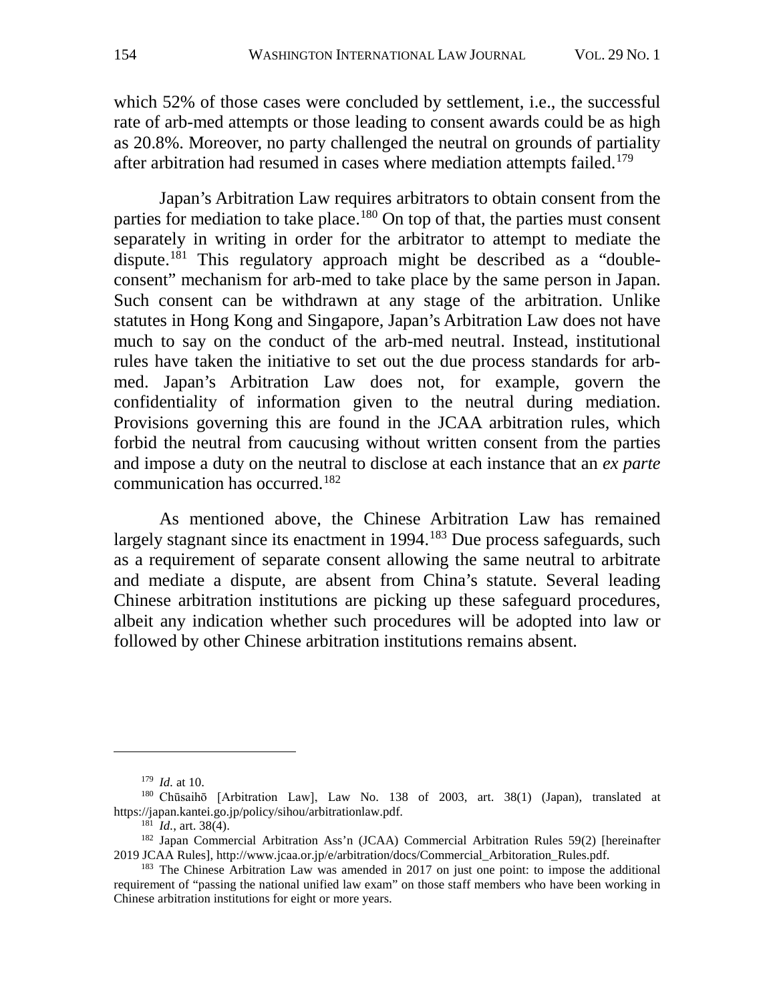which 52% of those cases were concluded by settlement, i.e., the successful rate of arb-med attempts or those leading to consent awards could be as high as 20.8%. Moreover, no party challenged the neutral on grounds of partiality after arbitration had resumed in cases where mediation attempts failed.<sup>[179](#page-38-0)</sup>

Japan's Arbitration Law requires arbitrators to obtain consent from the parties for mediation to take place.<sup>[180](#page-38-1)</sup> On top of that, the parties must consent separately in writing in order for the arbitrator to attempt to mediate the dispute[.181](#page-38-2) This regulatory approach might be described as a "doubleconsent" mechanism for arb-med to take place by the same person in Japan. Such consent can be withdrawn at any stage of the arbitration. Unlike statutes in Hong Kong and Singapore, Japan's Arbitration Law does not have much to say on the conduct of the arb-med neutral. Instead, institutional rules have taken the initiative to set out the due process standards for arbmed. Japan's Arbitration Law does not, for example, govern the confidentiality of information given to the neutral during mediation. Provisions governing this are found in the JCAA arbitration rules, which forbid the neutral from caucusing without written consent from the parties and impose a duty on the neutral to disclose at each instance that an *ex parte* communication has occurred. [182](#page-38-3)

As mentioned above, the Chinese Arbitration Law has remained largely stagnant since its enactment in 1994.<sup>[183](#page-38-4)</sup> Due process safeguards, such as a requirement of separate consent allowing the same neutral to arbitrate and mediate a dispute, are absent from China's statute. Several leading Chinese arbitration institutions are picking up these safeguard procedures, albeit any indication whether such procedures will be adopted into law or followed by other Chinese arbitration institutions remains absent.

<sup>179</sup> *Id.* at 10.

<span id="page-38-1"></span><span id="page-38-0"></span><sup>180</sup> Chūsaihō [Arbitration Law], Law No. 138 of 2003, art. 38(1) (Japan), translated at https://japan.kantei.go.jp/policy/sihou/arbitrationlaw.pdf.

<sup>181</sup> *Id.*, art. 38(4).

<span id="page-38-3"></span><span id="page-38-2"></span><sup>&</sup>lt;sup>182</sup> Japan Commercial Arbitration Ass'n (JCAA) Commercial Arbitration Rules 59(2) [hereinafter 2019 JCAA Rules], http://www.jcaa.or.jp/e/arbitration/docs/Commercial\_Arbitoration\_Rules.pdf.

<span id="page-38-4"></span> $183$  The Chinese Arbitration Law was amended in 2017 on just one point: to impose the additional requirement of "passing the national unified law exam" on those staff members who have been working in Chinese arbitration institutions for eight or more years.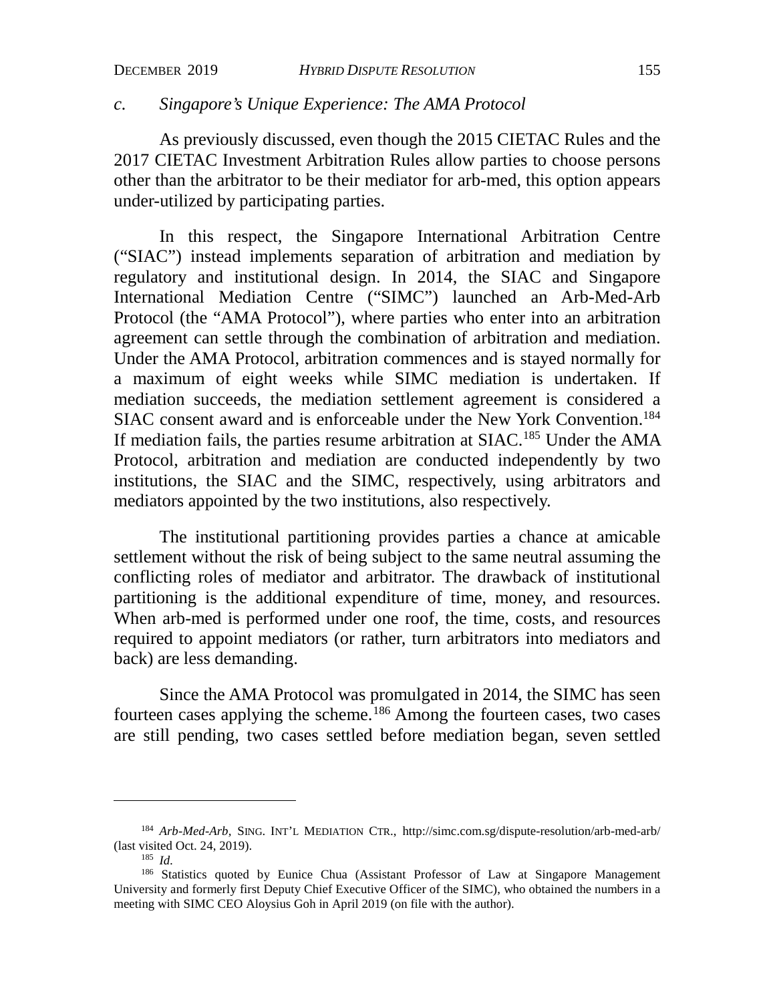## *c. Singapore's Unique Experience: The AMA Protocol*

As previously discussed, even though the 2015 CIETAC Rules and the 2017 CIETAC Investment Arbitration Rules allow parties to choose persons other than the arbitrator to be their mediator for arb-med, this option appears under-utilized by participating parties.

In this respect, the Singapore International Arbitration Centre ("SIAC") instead implements separation of arbitration and mediation by regulatory and institutional design. In 2014, the SIAC and Singapore International Mediation Centre ("SIMC") launched an Arb-Med-Arb Protocol (the "AMA Protocol"), where parties who enter into an arbitration agreement can settle through the combination of arbitration and mediation. Under the AMA Protocol, arbitration commences and is stayed normally for a maximum of eight weeks while SIMC mediation is undertaken. If mediation succeeds, the mediation settlement agreement is considered a SIAC consent award and is enforceable under the New York Convention.<sup>184</sup> If mediation fails, the parties resume arbitration at SIAC.<sup>[185](#page-39-1)</sup> Under the AMA Protocol, arbitration and mediation are conducted independently by two institutions, the SIAC and the SIMC, respectively, using arbitrators and mediators appointed by the two institutions, also respectively.

The institutional partitioning provides parties a chance at amicable settlement without the risk of being subject to the same neutral assuming the conflicting roles of mediator and arbitrator. The drawback of institutional partitioning is the additional expenditure of time, money, and resources. When arb-med is performed under one roof, the time, costs, and resources required to appoint mediators (or rather, turn arbitrators into mediators and back) are less demanding.

Since the AMA Protocol was promulgated in 2014, the SIMC has seen fourteen cases applying the scheme.[186](#page-39-2) Among the fourteen cases, two cases are still pending, two cases settled before mediation began, seven settled

<span id="page-39-0"></span><sup>184</sup> *Arb-Med-Arb,* SING. INT'L MEDIATION CTR., http://simc.com.sg/dispute-resolution/arb-med-arb/ (last visited Oct. 24, 2019).

<sup>185</sup> *Id.*

<span id="page-39-2"></span><span id="page-39-1"></span><sup>&</sup>lt;sup>186</sup> Statistics quoted by Eunice Chua (Assistant Professor of Law at Singapore Management University and formerly first Deputy Chief Executive Officer of the SIMC), who obtained the numbers in a meeting with SIMC CEO Aloysius Goh in April 2019 (on file with the author).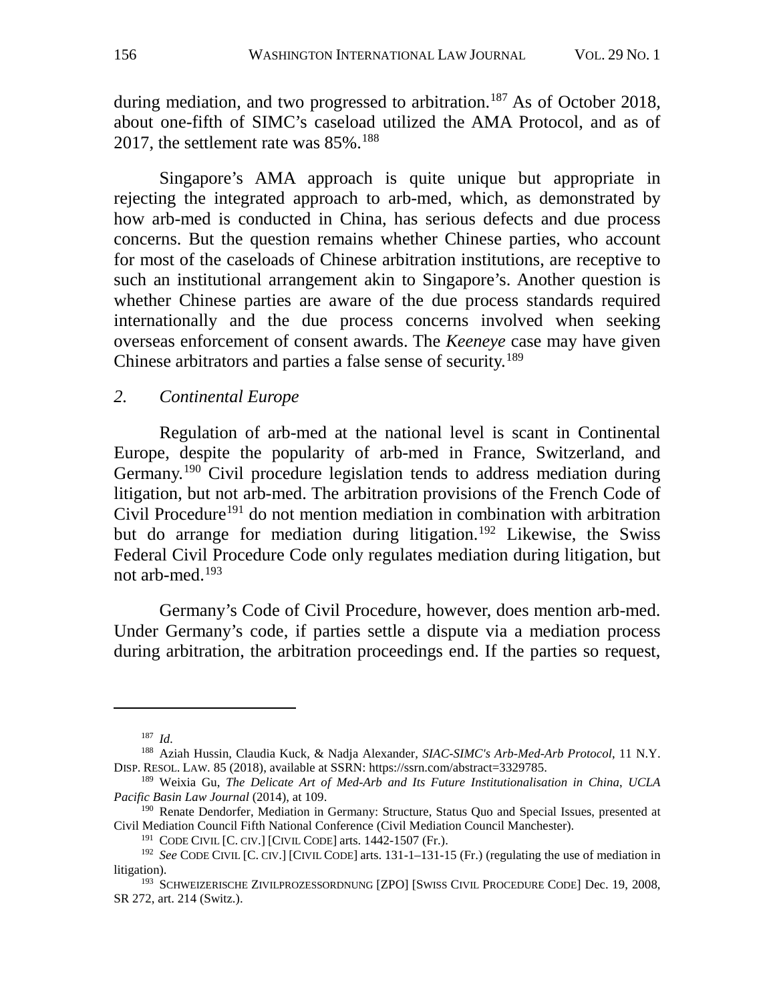during mediation, and two progressed to arbitration.<sup>[187](#page-40-0)</sup> As of October 2018, about one-fifth of SIMC's caseload utilized the AMA Protocol, and as of 2017, the settlement rate was  $85\%$ .<sup>188</sup>

Singapore's AMA approach is quite unique but appropriate in rejecting the integrated approach to arb-med, which, as demonstrated by how arb-med is conducted in China, has serious defects and due process concerns. But the question remains whether Chinese parties, who account for most of the caseloads of Chinese arbitration institutions, are receptive to such an institutional arrangement akin to Singapore's. Another question is whether Chinese parties are aware of the due process standards required internationally and the due process concerns involved when seeking overseas enforcement of consent awards. The *Keeneye* case may have given Chinese arbitrators and parties a false sense of security.[189](#page-40-2)

#### *2. Continental Europe*

Regulation of arb-med at the national level is scant in Continental Europe, despite the popularity of arb-med in France, Switzerland, and Germany.<sup>[190](#page-40-3)</sup> Civil procedure legislation tends to address mediation during litigation, but not arb-med. The arbitration provisions of the French Code of Civil Procedure<sup>[191](#page-40-4)</sup> do not mention mediation in combination with arbitration but do arrange for mediation during litigation.<sup>[192](#page-40-5)</sup> Likewise, the Swiss Federal Civil Procedure Code only regulates mediation during litigation, but not arb-med.[193](#page-40-6)

Germany's Code of Civil Procedure, however, does mention arb-med. Under Germany's code, if parties settle a dispute via a mediation process during arbitration, the arbitration proceedings end. If the parties so request,

<sup>187</sup> *Id.*

<span id="page-40-1"></span><span id="page-40-0"></span><sup>188</sup> Aziah Hussin, Claudia Kuck, & Nadja Alexander, *SIAC-SIMC's Arb-Med-Arb Protocol*, 11 N.Y. DISP. RESOL. LAW. 85 (2018), available at SSRN: https://ssrn.com/abstract=3329785.

<span id="page-40-2"></span><sup>189</sup> Weixia Gu, *The Delicate Art of Med-Arb and Its Future Institutionalisation in China*, *UCLA Pacific Basin Law Journal* (2014), at 109.

<span id="page-40-3"></span><sup>&</sup>lt;sup>190</sup> Renate Dendorfer, Mediation in Germany: Structure, Status Quo and Special Issues, presented at Civil Mediation Council Fifth National Conference (Civil Mediation Council Manchester).

<sup>&</sup>lt;sup>191</sup> CODE CIVIL [C. CIV.] [CIVIL CODE] arts.  $1442-1507$  (Fr.).

<span id="page-40-5"></span><span id="page-40-4"></span><sup>&</sup>lt;sup>192</sup> *See* CODE CIVIL [C. CIV.] [CIVIL CODE] arts. 131-1-131-15 (Fr.) (regulating the use of mediation in litigation).

<span id="page-40-6"></span><sup>&</sup>lt;sup>193</sup> SCHWEIZERISCHE ZIVILPROZESSORDNUNG [ZPO] [SWISS CIVIL PROCEDURE CODE] Dec. 19, 2008, SR 272, art. 214 (Switz.).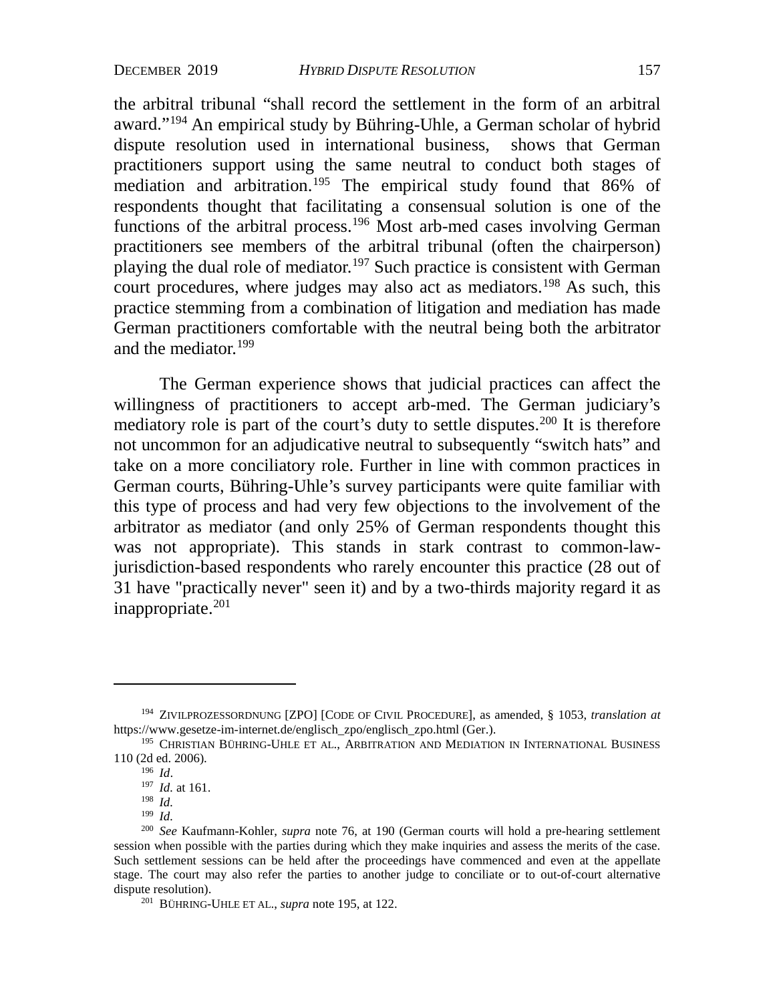<span id="page-41-8"></span>the arbitral tribunal "shall record the settlement in the form of an arbitral award.["194](#page-41-0) An empirical study by Bühring-Uhle, a German scholar of hybrid dispute resolution used in international business, shows that German practitioners support using the same neutral to conduct both stages of mediation and arbitration.<sup>[195](#page-41-1)</sup> The empirical study found that 86% of respondents thought that facilitating a consensual solution is one of the functions of the arbitral process.<sup>196</sup> Most arb-med cases involving German practitioners see members of the arbitral tribunal (often the chairperson) playing the dual role of mediator.<sup>197</sup> Such practice is consistent with German court procedures, where judges may also act as mediators.<sup>[198](#page-41-4)</sup> As such, this practice stemming from a combination of litigation and mediation has made German practitioners comfortable with the neutral being both the arbitrator and the mediator.<sup>[199](#page-41-5)</sup>

The German experience shows that judicial practices can affect the willingness of practitioners to accept arb-med. The German judiciary's mediatory role is part of the court's duty to settle disputes.<sup>[200](#page-41-6)</sup> It is therefore not uncommon for an adjudicative neutral to subsequently "switch hats" and take on a more conciliatory role. Further in line with common practices in German courts, Bühring-Uhle's survey participants were quite familiar with this type of process and had very few objections to the involvement of the arbitrator as mediator (and only 25% of German respondents thought this was not appropriate). This stands in stark contrast to common-lawjurisdiction-based respondents who rarely encounter this practice (28 out of 31 have "practically never" seen it) and by a two-thirds majority regard it as inappropriate. $201$ 

<span id="page-41-0"></span><sup>194</sup> ZIVILPROZESSORDNUNG [ZPO] [CODE OF CIVIL PROCEDURE], as amended, § 1053, *translation at* [https://www.gesetze-im-internet.de/englisch\\_zpo/englisch\\_zpo.html](https://www.gesetze-im-internet.de/englisch_zpo/englisch_zpo.html) (Ger.).

<span id="page-41-3"></span><span id="page-41-2"></span><span id="page-41-1"></span> $^{195}$  CHRISTIAN BÜHRING-UHLE ET AL., ARBITRATION AND MEDIATION IN INTERNATIONAL BUSINESS 110 (2d ed. 2006).

<sup>196</sup> *Id.* 197 *Id.* at 161. 198 *Id.* 

<sup>199</sup> *Id.*

<span id="page-41-7"></span><span id="page-41-6"></span><span id="page-41-5"></span><span id="page-41-4"></span><sup>200</sup> *See* Kaufmann-Kohler, *supra* note [76,](#page-20-8) at 190 (German courts will hold a pre-hearing settlement session when possible with the parties during which they make inquiries and assess the merits of the case. Such settlement sessions can be held after the proceedings have commenced and even at the appellate stage. The court may also refer the parties to another judge to conciliate or to out-of-court alternative dispute resolution).

<sup>201</sup> BÜHRING-UHLE ET AL., *supra* note 195, at 122.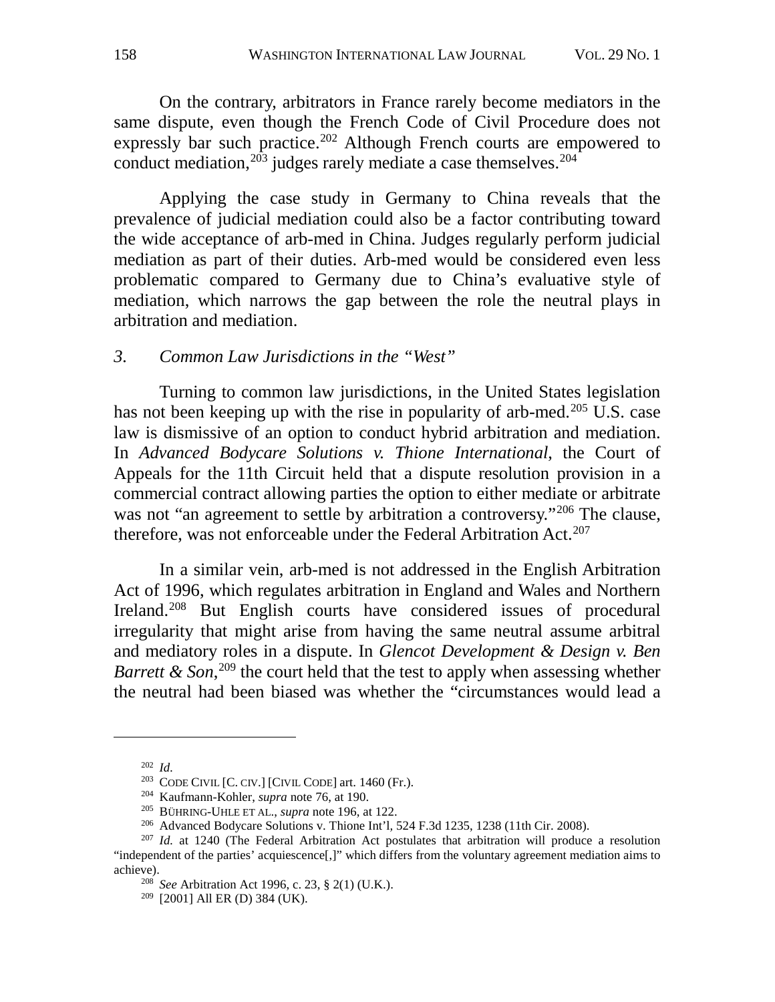On the contrary, arbitrators in France rarely become mediators in the same dispute, even though the French Code of Civil Procedure does not expressly bar such practice.<sup>[202](#page-42-0)</sup> Although French courts are empowered to conduct mediation, $2^{03}$  judges rarely mediate a case themselves. $2^{04}$ 

Applying the case study in Germany to China reveals that the prevalence of judicial mediation could also be a factor contributing toward the wide acceptance of arb-med in China. Judges regularly perform judicial mediation as part of their duties. Arb-med would be considered even less problematic compared to Germany due to China's evaluative style of mediation, which narrows the gap between the role the neutral plays in arbitration and mediation.

## *3. Common Law Jurisdictions in the "West"*

Turning to common law jurisdictions, in the United States legislation has not been keeping up with the rise in popularity of arb-med.<sup>[205](#page-42-3)</sup> U.S. case law is dismissive of an option to conduct hybrid arbitration and mediation. In *Advanced Bodycare Solutions v. Thione International*, the Court of Appeals for the 11th Circuit held that a dispute resolution provision in a commercial contract allowing parties the option to either mediate or arbitrate was not "an agreement to settle by arbitration a controversy."<sup>[206](#page-42-4)</sup> The clause, therefore, was not enforceable under the Federal Arbitration Act.<sup>[207](#page-42-5)</sup>

In a similar vein, arb-med is not addressed in the English Arbitration Act of 1996, which regulates arbitration in England and Wales and Northern Ireland.<sup>[208](#page-42-6)</sup> But English courts have considered issues of procedural irregularity that might arise from having the same neutral assume arbitral and mediatory roles in a dispute. In *Glencot Development & Design v. Ben Barrett & Son*,<sup>[209](#page-42-7)</sup> the court held that the test to apply when assessing whether the neutral had been biased was whether the "circumstances would lead a

<sup>202</sup> *Id.*

<sup>&</sup>lt;sup>203</sup> CODE CIVIL [C. CIV.] [CIVIL CODE] art.  $1460$  (Fr.).

<sup>204</sup> Kaufmann-Kohler, *supra* note [76,](#page-20-8) at 190.

<sup>205</sup> BÜHRING-UHLE ET AL., *supra* note [196,](#page-41-8) at 122.

<sup>206</sup> Advanced Bodycare Solutions v. Thione Int'l*,* 524 F.3d 1235, 1238 (11th Cir. 2008).

<span id="page-42-7"></span><span id="page-42-6"></span><span id="page-42-5"></span><span id="page-42-4"></span><span id="page-42-3"></span><span id="page-42-2"></span><span id="page-42-1"></span><span id="page-42-0"></span><sup>207</sup> *Id.* at 1240 (The Federal Arbitration Act postulates that arbitration will produce a resolution "independent of the parties' acquiescence[,]" which differs from the voluntary agreement mediation aims to achieve).

<sup>208</sup> *See* Arbitration Act 1996, c. 23, § 2(1) (U.K.). 209 [2001] All ER (D) 384 (UK).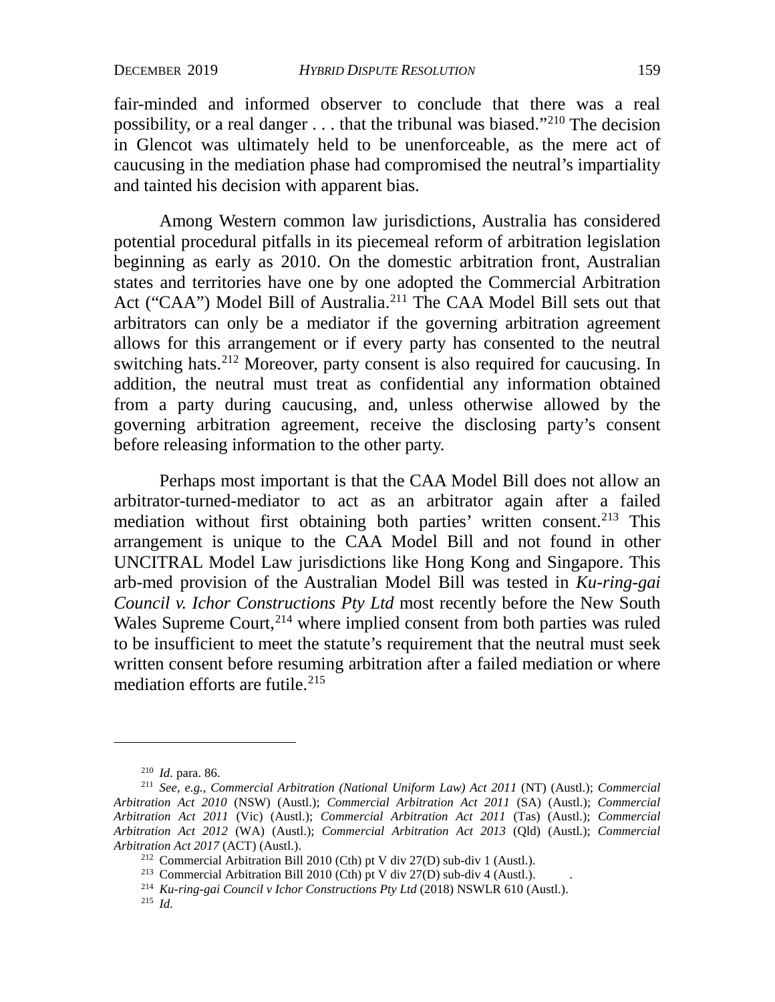fair-minded and informed observer to conclude that there was a real possibility, or a real danger  $\dots$  that the tribunal was biased."<sup>[210](#page-43-0)</sup> The decision in Glencot was ultimately held to be unenforceable, as the mere act of caucusing in the mediation phase had compromised the neutral's impartiality and tainted his decision with apparent bias.

Among Western common law jurisdictions, Australia has considered potential procedural pitfalls in its piecemeal reform of arbitration legislation beginning as early as 2010. On the domestic arbitration front, Australian states and territories have one by one adopted the Commercial Arbitration Act ("CAA") Model Bill of Australia.<sup>[211](#page-43-1)</sup> The CAA Model Bill sets out that arbitrators can only be a mediator if the governing arbitration agreement allows for this arrangement or if every party has consented to the neutral switching hats.<sup>[212](#page-43-2)</sup> Moreover, party consent is also required for caucusing. In addition, the neutral must treat as confidential any information obtained from a party during caucusing, and, unless otherwise allowed by the governing arbitration agreement, receive the disclosing party's consent before releasing information to the other party.

Perhaps most important is that the CAA Model Bill does not allow an arbitrator-turned-mediator to act as an arbitrator again after a failed mediation without first obtaining both parties' written consent.<sup>213</sup> This arrangement is unique to the CAA Model Bill and not found in other UNCITRAL Model Law jurisdictions like Hong Kong and Singapore. This arb-med provision of the Australian Model Bill was tested in *Ku-ring-gai Council v. Ichor Constructions Pty Ltd* most recently before the New South Wales Supreme Court,  $2^{14}$  where implied consent from both parties was ruled to be insufficient to meet the statute's requirement that the neutral must seek written consent before resuming arbitration after a failed mediation or where mediation efforts are futile.<sup>215</sup>

<sup>210</sup> *Id.* para. 86.

<span id="page-43-2"></span><span id="page-43-1"></span><span id="page-43-0"></span><sup>211</sup> *See, e.g.*, *Commercial Arbitration (National Uniform Law) Act 2011* (NT) (Austl.); *Commercial Arbitration Act 2010* (NSW) (Austl.); *Commercial Arbitration Act 2011* (SA) (Austl.); *Commercial Arbitration Act 2011* (Vic) (Austl.); *Commercial Arbitration Act 2011* (Tas) (Austl.); *Commercial Arbitration Act 2012* (WA) (Austl.); *Commercial Arbitration Act 2013* (Qld) (Austl.); *Commercial Arbitration Act 2017* (ACT) (Austl.).<br><sup>212</sup> Commercial Arbitration Bill 2010 (Cth) pt V div 27(D) sub-div 1 (Austl.).

<span id="page-43-4"></span>

<span id="page-43-3"></span><sup>&</sup>lt;sup>213</sup> Commercial Arbitration Bill 2010 (Cth) pt V div 27(D) sub-div 4 (Austl.).<br><sup>214</sup> *Ku-ring-gai Council v Ichor Constructions Pty Ltd* (2018) NSWLR 610 (Austl.).

<span id="page-43-5"></span><sup>215</sup> *Id.*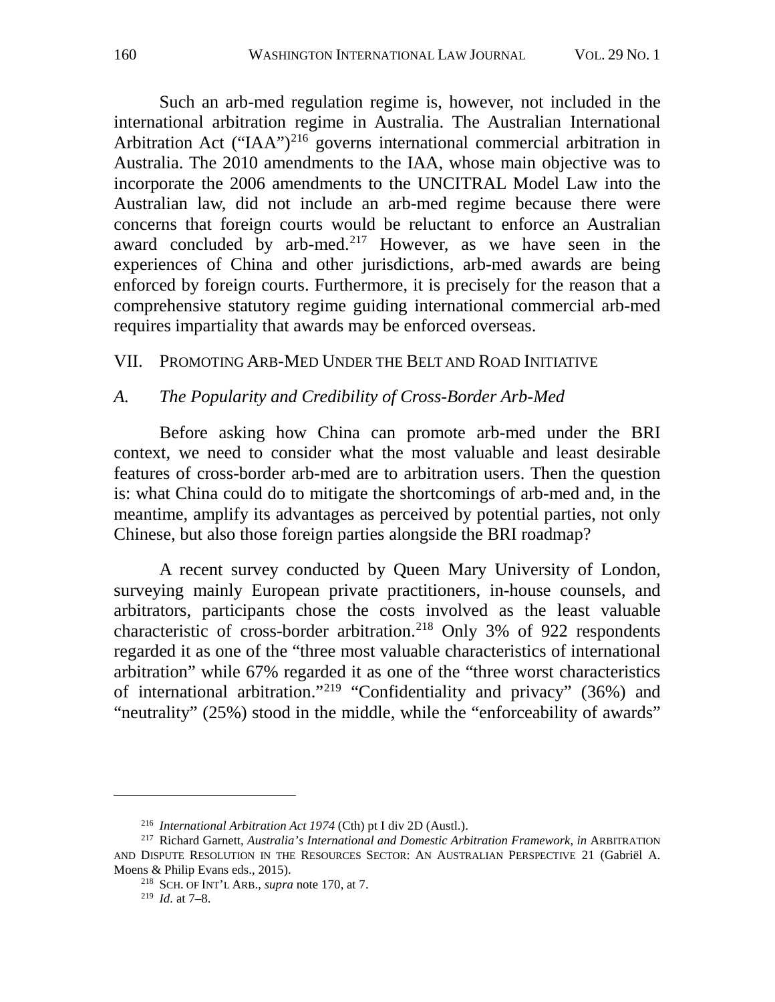Such an arb-med regulation regime is, however, not included in the international arbitration regime in Australia. The Australian International Arbitration Act ("IAA")<sup>[216](#page-44-0)</sup> governs international commercial arbitration in Australia. The 2010 amendments to the IAA, whose main objective was to incorporate the 2006 amendments to the UNCITRAL Model Law into the Australian law, did not include an arb-med regime because there were concerns that foreign courts would be reluctant to enforce an Australian award concluded by arb-med.<sup>[217](#page-44-1)</sup> However, as we have seen in the experiences of China and other jurisdictions, arb-med awards are being enforced by foreign courts. Furthermore, it is precisely for the reason that a comprehensive statutory regime guiding international commercial arb-med requires impartiality that awards may be enforced overseas.

VII. PROMOTING ARB-MED UNDER THE BELT AND ROAD INITIATIVE

## *A. The Popularity and Credibility of Cross-Border Arb-Med*

Before asking how China can promote arb-med under the BRI context, we need to consider what the most valuable and least desirable features of cross-border arb-med are to arbitration users. Then the question is: what China could do to mitigate the shortcomings of arb-med and, in the meantime, amplify its advantages as perceived by potential parties, not only Chinese, but also those foreign parties alongside the BRI roadmap?

A recent survey conducted by Queen Mary University of London, surveying mainly European private practitioners, in-house counsels, and arbitrators, participants chose the costs involved as the least valuable characteristic of cross-border arbitration.[218](#page-44-2) Only 3% of 922 respondents regarded it as one of the "three most valuable characteristics of international arbitration" while 67% regarded it as one of the "three worst characteristics of international arbitration."[219](#page-44-3) "Confidentiality and privacy" (36%) and "neutrality" (25%) stood in the middle, while the "enforceability of awards"

<sup>216</sup> *International Arbitration Act 1974* (Cth) pt I div 2D (Austl.).

<span id="page-44-3"></span><span id="page-44-2"></span><span id="page-44-1"></span><span id="page-44-0"></span><sup>217</sup> Richard Garnett, *Australia's International and Domestic Arbitration Framework*, *in* ARBITRATION AND DISPUTE RESOLUTION IN THE RESOURCES SECTOR: AN AUSTRALIAN PERSPECTIVE 21 (Gabriël A. Moens & Philip Evans eds., 2015).

<sup>218</sup> SCH. OF INT'L ARB., *supra* note 170, at 7.

<sup>219</sup> *Id.* at 7–8.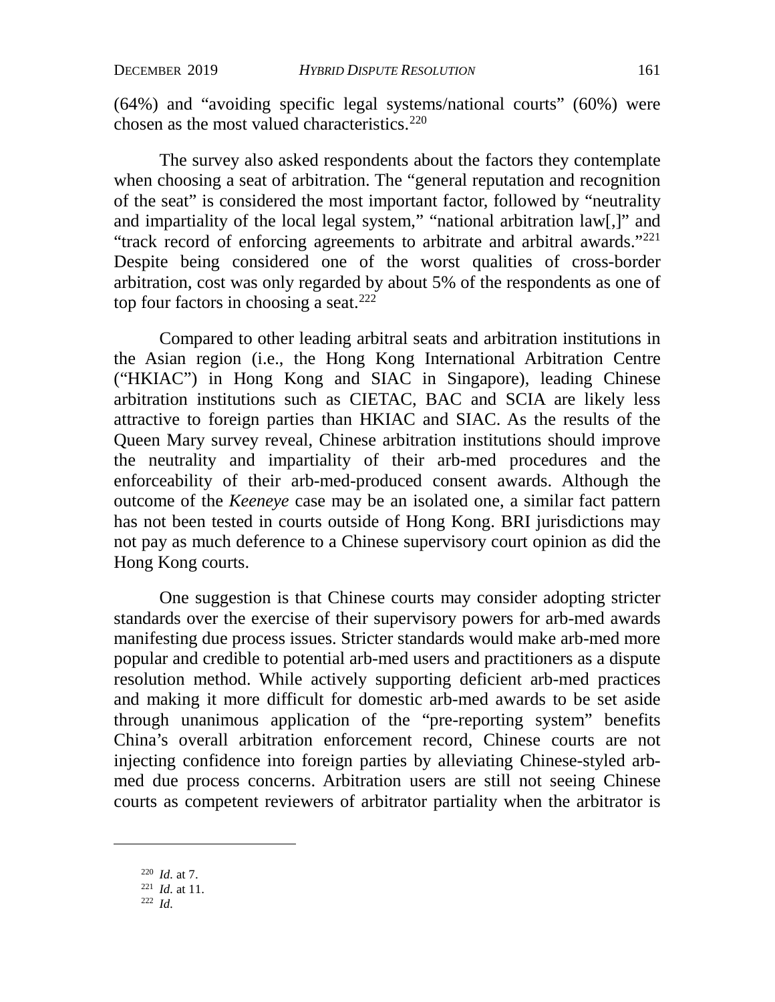(64%) and "avoiding specific legal systems/national courts" (60%) were chosen as the most valued characteristics.<sup>[220](#page-45-0)</sup>

The survey also asked respondents about the factors they contemplate when choosing a seat of arbitration. The "general reputation and recognition of the seat" is considered the most important factor, followed by "neutrality and impartiality of the local legal system," "national arbitration law[,]" and "track record of enforcing agreements to arbitrate and arbitral awards.["221](#page-45-1) Despite being considered one of the worst qualities of cross-border arbitration, cost was only regarded by about 5% of the respondents as one of top four factors in choosing a seat.<sup>[222](#page-45-2)</sup>

Compared to other leading arbitral seats and arbitration institutions in the Asian region (i.e., the Hong Kong International Arbitration Centre ("HKIAC") in Hong Kong and SIAC in Singapore), leading Chinese arbitration institutions such as CIETAC, BAC and SCIA are likely less attractive to foreign parties than HKIAC and SIAC. As the results of the Queen Mary survey reveal, Chinese arbitration institutions should improve the neutrality and impartiality of their arb-med procedures and the enforceability of their arb-med-produced consent awards. Although the outcome of the *Keeneye* case may be an isolated one, a similar fact pattern has not been tested in courts outside of Hong Kong. BRI jurisdictions may not pay as much deference to a Chinese supervisory court opinion as did the Hong Kong courts.

One suggestion is that Chinese courts may consider adopting stricter standards over the exercise of their supervisory powers for arb-med awards manifesting due process issues. Stricter standards would make arb-med more popular and credible to potential arb-med users and practitioners as a dispute resolution method. While actively supporting deficient arb-med practices and making it more difficult for domestic arb-med awards to be set aside through unanimous application of the "pre-reporting system" benefits China's overall arbitration enforcement record, Chinese courts are not injecting confidence into foreign parties by alleviating Chinese-styled arbmed due process concerns. Arbitration users are still not seeing Chinese courts as competent reviewers of arbitrator partiality when the arbitrator is

<span id="page-45-0"></span><sup>220</sup> *Id.* at 7.

<span id="page-45-1"></span><sup>221</sup> *Id.* at 11.

<span id="page-45-2"></span><sup>222</sup> *Id.*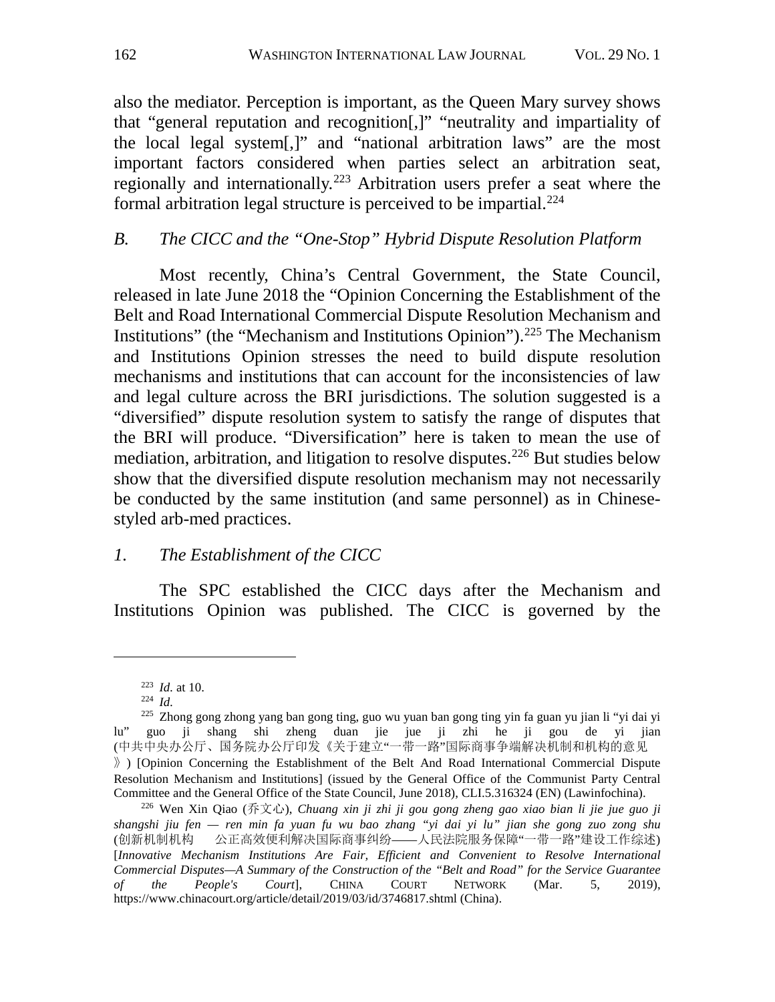also the mediator. Perception is important, as the Queen Mary survey shows that "general reputation and recognition[,]" "neutrality and impartiality of the local legal system[,]" and "national arbitration laws" are the most important factors considered when parties select an arbitration seat, regionally and internationally.[223](#page-46-0) Arbitration users prefer a seat where the formal arbitration legal structure is perceived to be impartial.<sup>[224](#page-46-1)</sup>

## *B. The CICC and the "One-Stop" Hybrid Dispute Resolution Platform*

Most recently, China's Central Government, the State Council, released in late June 2018 the "Opinion Concerning the Establishment of the Belt and Road International Commercial Dispute Resolution Mechanism and Institutions" (the "Mechanism and Institutions Opinion").<sup>[225](#page-46-2)</sup> The Mechanism and Institutions Opinion stresses the need to build dispute resolution mechanisms and institutions that can account for the inconsistencies of law and legal culture across the BRI jurisdictions. The solution suggested is a "diversified" dispute resolution system to satisfy the range of disputes that the BRI will produce. "Diversification" here is taken to mean the use of mediation, arbitration, and litigation to resolve disputes.<sup>[226](#page-46-3)</sup> But studies below show that the diversified dispute resolution mechanism may not necessarily be conducted by the same institution (and same personnel) as in Chinesestyled arb-med practices.

## *1. The Establishment of the CICC*

The SPC established the CICC days after the Mechanism and Institutions Opinion was published. The CICC is governed by the

<sup>223</sup> *Id.* at 10.

<sup>224</sup> *Id.*

<span id="page-46-2"></span><span id="page-46-1"></span><span id="page-46-0"></span><sup>225</sup> Zhong gong zhong yang ban gong ting, guo wu yuan ban gong ting yin fa guan yu jian li "yi dai yi lu" guo ji shang shi zheng duan jie jue ji zhi he ji gou de yi jian (中共中央办公厅、国务院办公厅印发《关于建立"一带一路"国际商事争端解决机制和机构的意见 》) [Opinion Concerning the Establishment of the Belt And Road International Commercial Dispute Resolution Mechanism and Institutions] (issued by the General Office of the Communist Party Central Committee and the General Office of the State Council, June 2018), CLI.5.316324 (EN) (Lawinfochina).

<span id="page-46-3"></span><sup>226</sup> Wen Xin Qiao (乔文心), *Chuang xin ji zhi ji gou gong zheng gao xiao bian li jie jue guo ji shangshi jiu fen — ren min fa yuan fu wu bao zhang "yi dai yi lu" jian she gong zuo zong shu* (创新机制机构 公正高效便利解决国际商事纠纷——人民法院服务保障"一带一路"建设工作综述) [*Innovative Mechanism Institutions Are Fair, Efficient and Convenient to Resolve International Commercial Disputes—A Summary of the Construction of the "Belt and Road" for the Service Guarantee of the People's Court*], CHINA COURT NETWORK (Mar. 5, 2019), https://www.chinacourt.org/article/detail/2019/03/id/3746817.shtml (China).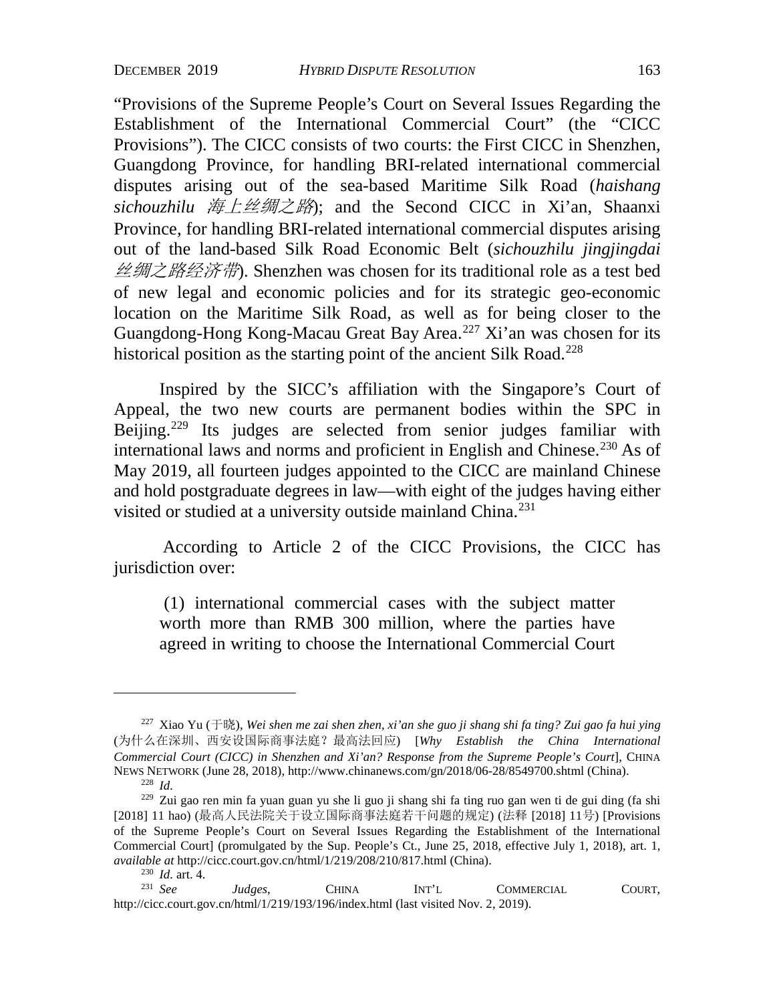"Provisions of the Supreme People's Court on Several Issues Regarding the Establishment of the International Commercial Court" (the "CICC Provisions"). The CICC consists of two courts: the First CICC in Shenzhen, Guangdong Province, for handling BRI-related international commercial disputes arising out of the sea-based Maritime Silk Road (*haishang sichouzhilu* 海上丝绸之路); and the Second CICC in Xi'an, Shaanxi Province, for handling BRI-related international commercial disputes arising out of the land-based Silk Road Economic Belt (*sichouzhilu jingjingdai* 丝绸之路经济带). Shenzhen was chosen for its traditional role as a test bed of new legal and economic policies and for its strategic geo-economic location on the Maritime Silk Road, as well as for being closer to the Guangdong-Hong Kong-Macau Great Bay Area.<sup>[227](#page-47-0)</sup> Xi'an was chosen for its historical position as the starting point of the ancient Silk Road.<sup>[228](#page-47-1)</sup>

Inspired by the SICC's affiliation with the Singapore's Court of Appeal, the two new courts are permanent bodies within the SPC in Beijing.<sup>[229](#page-47-2)</sup> Its judges are selected from senior judges familiar with international laws and norms and proficient in English and Chinese.<sup>[230](#page-47-3)</sup> As of May 2019, all fourteen judges appointed to the CICC are mainland Chinese and hold postgraduate degrees in law—with eight of the judges having either visited or studied at a university outside mainland China.<sup>[231](#page-47-4)</sup>

According to Article 2 of the CICC Provisions, the CICC has jurisdiction over:

(1) international commercial cases with the subject matter worth more than RMB 300 million, where the parties have agreed in writing to choose the International Commercial Court

<span id="page-47-0"></span><sup>227</sup> Xiao Yu (于晓), *Wei shen me zai shen zhen, xi'an she guo ji shang shi fa ting? Zui gao fa hui ying* (为什么在深圳、西安设国际商事法庭?最高法回应) [*Why Establish the China International Commercial Court (CICC) in Shenzhen and Xi'an? Response from the Supreme People's Court*], CHINA NEWS NETWORK (June 28, 2018), http://www.chinanews.com/gn/2018/06-28/8549700.shtml (China). 228 *Id.*

<span id="page-47-2"></span><span id="page-47-1"></span><sup>229</sup> Zui gao ren min fa yuan guan yu she li guo ji shang shi fa ting ruo gan wen ti de gui ding (fa shi [2018] 11 hao) (最高人民法院关于设立国际商事法庭若干问题的规定) (法释 [2018] 11号) [Provisions of the Supreme People's Court on Several Issues Regarding the Establishment of the International Commercial Court] (promulgated by the Sup. People's Ct., June 25, 2018, effective July 1, 2018), art. 1, *available at* http://cicc.court.gov.cn/html/1/219/208/210/817.html (China).

<span id="page-47-4"></span><span id="page-47-3"></span><sup>&</sup>lt;sup>230</sup> *Id.* art. 4.<br><sup>231</sup> *See Judges*, CHINA INT'L COMMERCIAL COURT, http://cicc.court.gov.cn/html/1/219/193/196/index.html (last visited Nov. 2, 2019).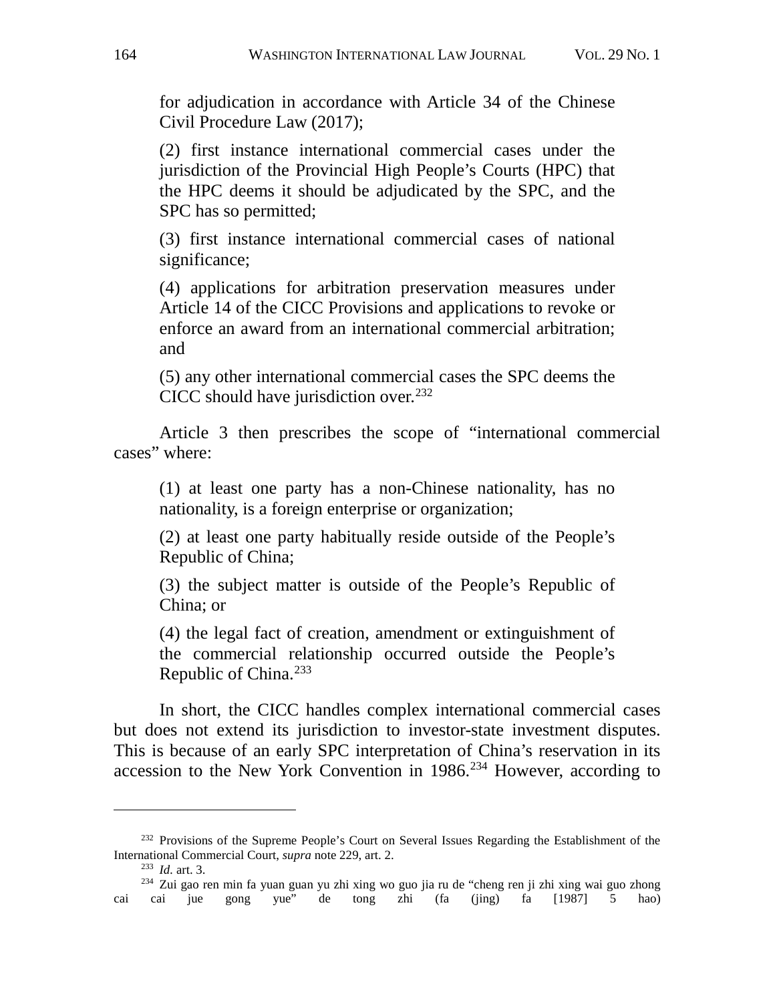for adjudication in accordance with Article 34 of the Chinese Civil Procedure Law (2017);

(2) first instance international commercial cases under the jurisdiction of the Provincial High People's Courts (HPC) that the HPC deems it should be adjudicated by the SPC, and the SPC has so permitted;

(3) first instance international commercial cases of national significance;

(4) applications for arbitration preservation measures under Article 14 of the CICC Provisions and applications to revoke or enforce an award from an international commercial arbitration; and

(5) any other international commercial cases the SPC deems the CICC should have jurisdiction over.<sup>[232](#page-48-0)</sup>

Article 3 then prescribes the scope of "international commercial cases" where:

(1) at least one party has a non-Chinese nationality, has no nationality, is a foreign enterprise or organization;

(2) at least one party habitually reside outside of the People's Republic of China;

(3) the subject matter is outside of the People's Republic of China; or

(4) the legal fact of creation, amendment or extinguishment of the commercial relationship occurred outside the People's Republic of China.[233](#page-48-1)

In short, the CICC handles complex international commercial cases but does not extend its jurisdiction to investor-state investment disputes. This is because of an early SPC interpretation of China's reservation in its accession to the New York Convention in  $1986<sup>234</sup>$  $1986<sup>234</sup>$  $1986<sup>234</sup>$  However, according to

<span id="page-48-0"></span><sup>&</sup>lt;sup>232</sup> Provisions of the Supreme People's Court on Several Issues Regarding the Establishment of the International Commercial Court, *supra* note 229, art. 2.

<sup>233</sup> *Id.* art. 3.

<span id="page-48-2"></span><span id="page-48-1"></span><sup>234</sup> Zui gao ren min fa yuan guan yu zhi xing wo guo jia ru de "cheng ren ji zhi xing wai guo zhong cai cai jue gong yue" de tong zhi (fa (jing) fa [1987] 5 hao)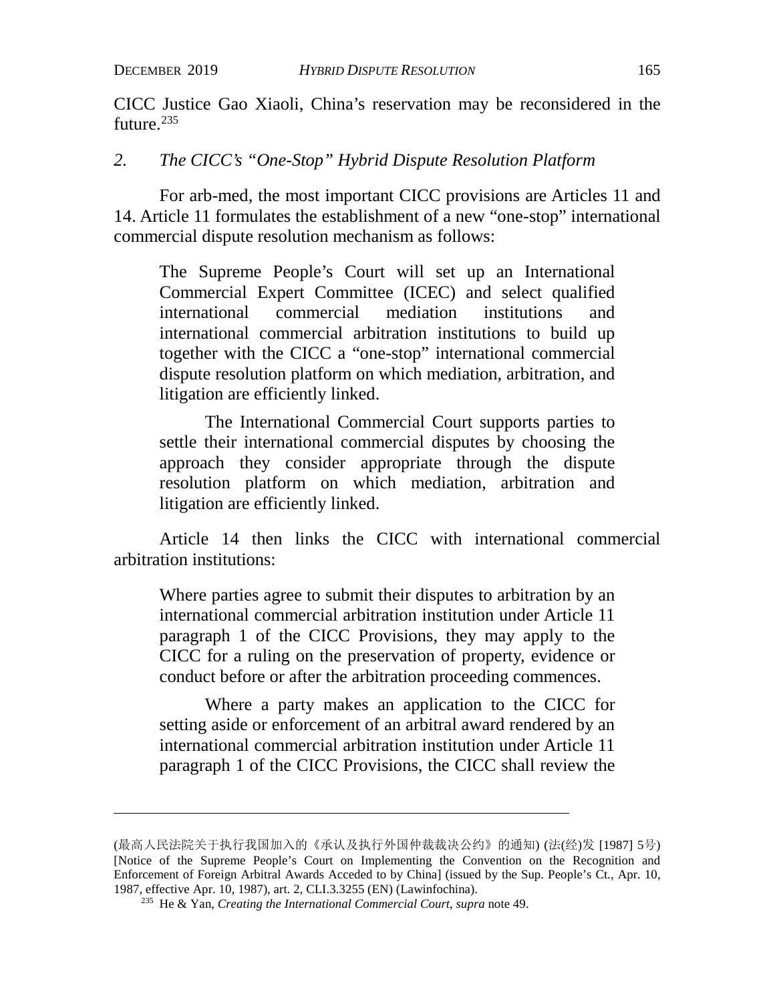CICC Justice Gao Xiaoli, China's reservation may be reconsidered in the future.<sup>235</sup>

## *2. The CICC's "One-Stop" Hybrid Dispute Resolution Platform*

For arb-med, the most important CICC provisions are Articles 11 and 14. Article 11 formulates the establishment of a new "one-stop" international commercial dispute resolution mechanism as follows:

The Supreme People's Court will set up an International Commercial Expert Committee (ICEC) and select qualified international commercial mediation institutions and international commercial arbitration institutions to build up together with the CICC a "one-stop" international commercial dispute resolution platform on which mediation, arbitration, and litigation are efficiently linked.

The International Commercial Court supports parties to settle their international commercial disputes by choosing the approach they consider appropriate through the dispute resolution platform on which mediation, arbitration and litigation are efficiently linked.

Article 14 then links the CICC with international commercial arbitration institutions:

Where parties agree to submit their disputes to arbitration by an international commercial arbitration institution under Article 11 paragraph 1 of the CICC Provisions, they may apply to the CICC for a ruling on the preservation of property, evidence or conduct before or after the arbitration proceeding commences.

Where a party makes an application to the CICC for setting aside or enforcement of an arbitral award rendered by an international commercial arbitration institution under Article 11 paragraph 1 of the CICC Provisions, the CICC shall review the

<span id="page-49-0"></span><sup>(</sup>最高人民法院关于执行我国加入的《承认及执行外国仲裁裁决公约》的通知) (法(经)发 [1987] 5号) [Notice of the Supreme People's Court on Implementing the Convention on the Recognition and Enforcement of Foreign Arbitral Awards Acceded to by China] (issued by the Sup. People's Ct., Apr. 10, 1987, effective Apr. 10, 1987), art. 2, CLI.3.3255 (EN) (Lawinfochina).

<sup>235</sup> He & Yan, *Creating the International Commercial Court*, *supra* note [49.](#page-14-3)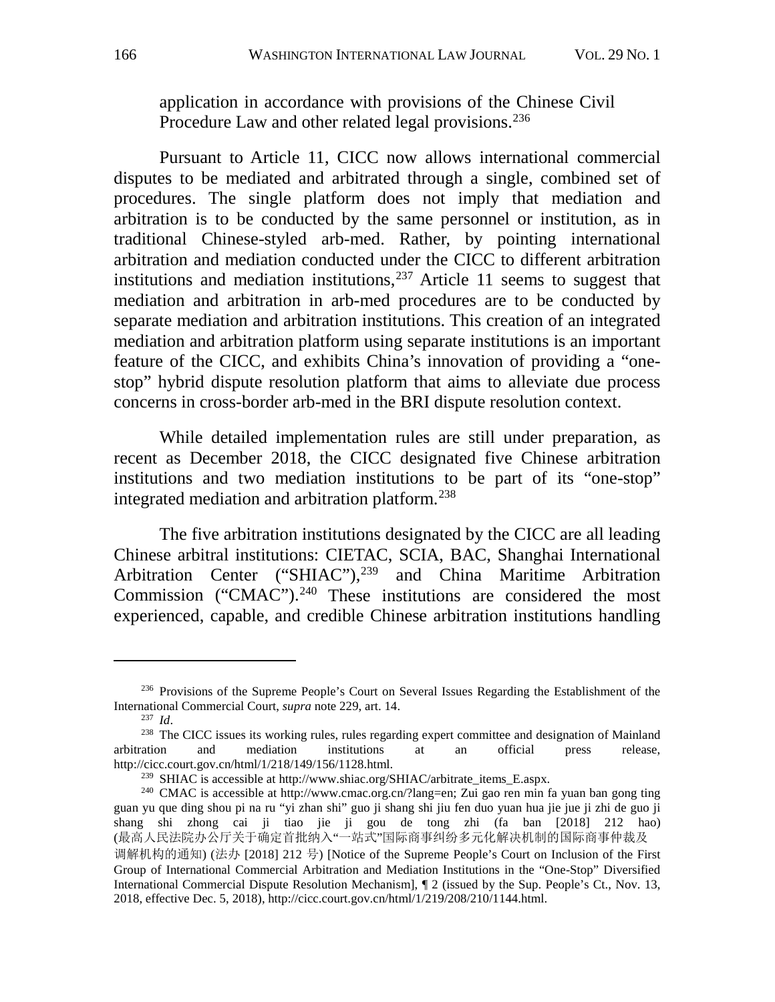application in accordance with provisions of the Chinese Civil Procedure Law and other related legal provisions.<sup>[236](#page-50-0)</sup>

Pursuant to Article 11, CICC now allows international commercial disputes to be mediated and arbitrated through a single, combined set of procedures. The single platform does not imply that mediation and arbitration is to be conducted by the same personnel or institution, as in traditional Chinese-styled arb-med. Rather, by pointing international arbitration and mediation conducted under the CICC to different arbitration institutions and mediation institutions,  $237$  Article 11 seems to suggest that mediation and arbitration in arb-med procedures are to be conducted by separate mediation and arbitration institutions. This creation of an integrated mediation and arbitration platform using separate institutions is an important feature of the CICC, and exhibits China's innovation of providing a "onestop" hybrid dispute resolution platform that aims to alleviate due process concerns in cross-border arb-med in the BRI dispute resolution context.

While detailed implementation rules are still under preparation, as recent as December 2018, the CICC designated five Chinese arbitration institutions and two mediation institutions to be part of its "one-stop" integrated mediation and arbitration platform.[238](#page-50-2)

The five arbitration institutions designated by the CICC are all leading Chinese arbitral institutions: CIETAC, SCIA, BAC, Shanghai International Arbitration Center ("SHIAC"),<sup>[239](#page-50-3)</sup> and China Maritime Arbitration Commission ("CMAC"). $240$  These institutions are considered the most experienced, capable, and credible Chinese arbitration institutions handling

<span id="page-50-0"></span> $^{236}$  Provisions of the Supreme People's Court on Several Issues Regarding the Establishment of the International Commercial Court, *supra* note 229, art. 14.

<span id="page-50-2"></span><span id="page-50-1"></span><sup>&</sup>lt;sup>237</sup> *Id.* <sup>238</sup> The CICC issues its working rules, rules regarding expert committee and designation of Mainland arbitration and mediation institutions at an official press release, http://cicc.court.gov.cn/html/1/218/149/156/1128.html.<br><sup>239</sup> SHIAC is accessible at http://www.shiac.org/SHIAC/arbitrate\_items\_E.aspx.<br><sup>240</sup> CMAC is accessible at http://www.cmac.org.cn/?lang=en; Zui gao ren min fa yuan ba

<span id="page-50-4"></span><span id="page-50-3"></span>guan yu que ding shou pi na ru "yi zhan shi" guo ji shang shi jiu fen duo yuan hua jie jue ji zhi de guo ji shang shi zhong cai ji tiao jie ji gou de tong zhi (fa ban [2018] 212 hao) (最高人民法院办公厅关于确定首批纳入"一站式"国际商事纠纷多元化解决机制的国际商事仲裁及

调解机构的通知) (法办 [2018] 212 号) [Notice of the Supreme People's Court on Inclusion of the First Group of International Commercial Arbitration and Mediation Institutions in the "One-Stop" Diversified International Commercial Dispute Resolution Mechanism], ¶ 2 (issued by the Sup. People's Ct., Nov. 13, 2018, effective Dec. 5, 2018), http://cicc.court.gov.cn/html/1/219/208/210/1144.html.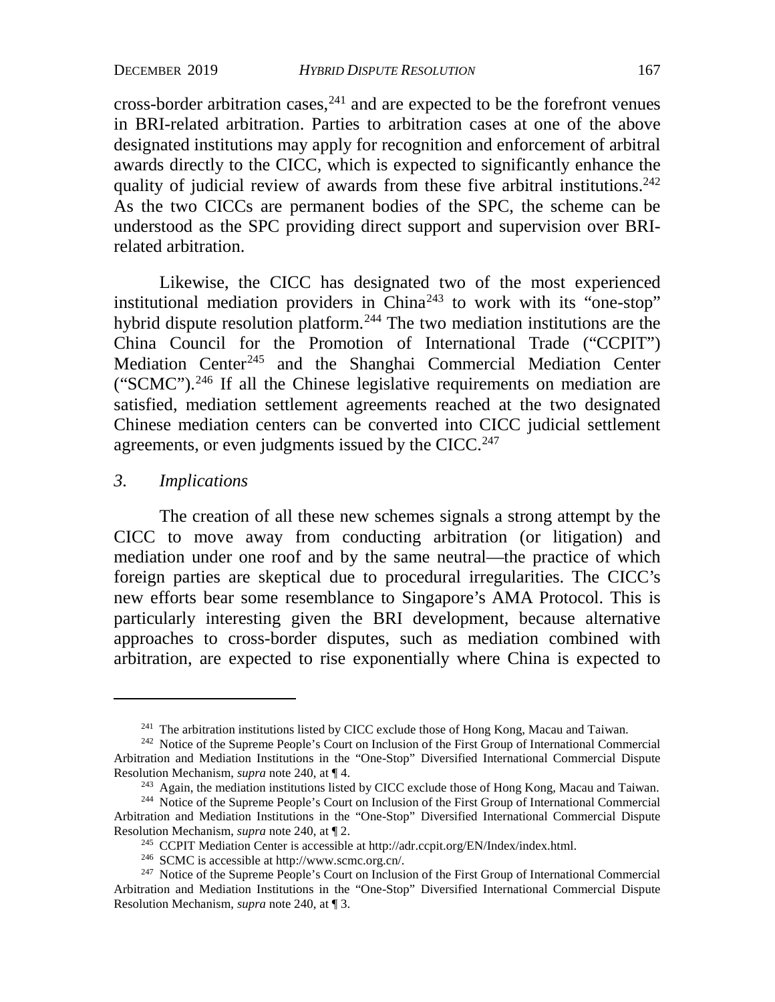cross-border arbitration cases,  $241$  and are expected to be the forefront venues in BRI-related arbitration. Parties to arbitration cases at one of the above designated institutions may apply for recognition and enforcement of arbitral awards directly to the CICC, which is expected to significantly enhance the quality of judicial review of awards from these five arbitral institutions.<sup>242</sup> As the two CICCs are permanent bodies of the SPC, the scheme can be understood as the SPC providing direct support and supervision over BRIrelated arbitration.

Likewise, the CICC has designated two of the most experienced institutional mediation providers in  $China<sup>243</sup>$  $China<sup>243</sup>$  $China<sup>243</sup>$  to work with its "one-stop" hybrid dispute resolution platform.<sup>[244](#page-51-3)</sup> The two mediation institutions are the China Council for the Promotion of International Trade ("CCPIT") Mediation Center<sup>[245](#page-51-4)</sup> and the Shanghai Commercial Mediation Center ("SCMC").[246](#page-51-5) If all the Chinese legislative requirements on mediation are satisfied, mediation settlement agreements reached at the two designated Chinese mediation centers can be converted into CICC judicial settlement agreements, or even judgments issued by the CICC.<sup>[247](#page-51-6)</sup>

## *3. Implications*

The creation of all these new schemes signals a strong attempt by the CICC to move away from conducting arbitration (or litigation) and mediation under one roof and by the same neutral—the practice of which foreign parties are skeptical due to procedural irregularities. The CICC's new efforts bear some resemblance to Singapore's AMA Protocol. This is particularly interesting given the BRI development, because alternative approaches to cross-border disputes, such as mediation combined with arbitration, are expected to rise exponentially where China is expected to

<sup>&</sup>lt;sup>241</sup> The arbitration institutions listed by CICC exclude those of Hong Kong, Macau and Taiwan.

<span id="page-51-1"></span><span id="page-51-0"></span><sup>&</sup>lt;sup>242</sup> Notice of the Supreme People's Court on Inclusion of the First Group of International Commercial Arbitration and Mediation Institutions in the "One-Stop" Diversified International Commercial Dispute Resolution Mechanism, *supra* note 240, at ¶ 4.

<sup>&</sup>lt;sup>243</sup> Again, the mediation institutions listed by CICC exclude those of Hong Kong, Macau and Taiwan.

<span id="page-51-3"></span><span id="page-51-2"></span><sup>&</sup>lt;sup>244</sup> Notice of the Supreme People's Court on Inclusion of the First Group of International Commercial Arbitration and Mediation Institutions in the "One-Stop" Diversified International Commercial Dispute Resolution Mechanism, *supra* note 240, at 12.<br><sup>245</sup> CCPIT Mediation Center is accessible at http://adr.ccpit.org/EN/Index/index.html.

<span id="page-51-6"></span><span id="page-51-5"></span><span id="page-51-4"></span><sup>&</sup>lt;sup>246</sup> SCMC is accessible at http://www.scmc.org.cn/.<br><sup>247</sup> Notice of the Supreme People's Court on Inclusion of the First Group of International Commercial Arbitration and Mediation Institutions in the "One-Stop" Diversified International Commercial Dispute Resolution Mechanism, *supra* note 240, at ¶ 3.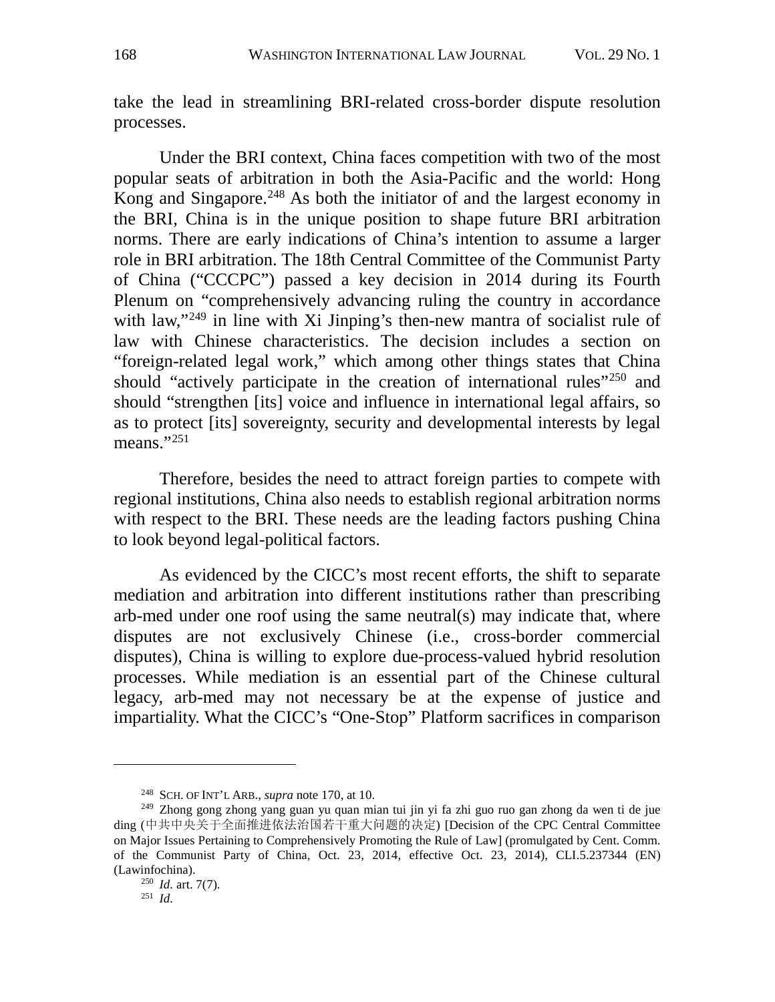take the lead in streamlining BRI-related cross-border dispute resolution processes.

Under the BRI context, China faces competition with two of the most popular seats of arbitration in both the Asia-Pacific and the world: Hong Kong and Singapore.<sup>[248](#page-52-0)</sup> As both the initiator of and the largest economy in the BRI, China is in the unique position to shape future BRI arbitration norms. There are early indications of China's intention to assume a larger role in BRI arbitration. The 18th Central Committee of the Communist Party of China ("CCCPC") passed a key decision in 2014 during its Fourth Plenum on "comprehensively advancing ruling the country in accordance with law,"<sup>[249](#page-52-1)</sup> in line with Xi Jinping's then-new mantra of socialist rule of law with Chinese characteristics. The decision includes a section on "foreign-related legal work," which among other things states that China should "actively participate in the creation of international rules"<sup>250</sup> and should "strengthen [its] voice and influence in international legal affairs, so as to protect [its] sovereignty, security and developmental interests by legal means." $^{251}$  $^{251}$  $^{251}$ 

Therefore, besides the need to attract foreign parties to compete with regional institutions, China also needs to establish regional arbitration norms with respect to the BRI. These needs are the leading factors pushing China to look beyond legal-political factors.

As evidenced by the CICC's most recent efforts, the shift to separate mediation and arbitration into different institutions rather than prescribing arb-med under one roof using the same neutral(s) may indicate that, where disputes are not exclusively Chinese (i.e., cross-border commercial disputes), China is willing to explore due-process-valued hybrid resolution processes. While mediation is an essential part of the Chinese cultural legacy, arb-med may not necessary be at the expense of justice and impartiality. What the CICC's "One-Stop" Platform sacrifices in comparison

<sup>248</sup> SCH. OF INT'L ARB., *supra* note 170, at 10.

<span id="page-52-2"></span><span id="page-52-1"></span><span id="page-52-0"></span><sup>249</sup> Zhong gong zhong yang guan yu quan mian tui jin yi fa zhi guo ruo gan zhong da wen ti de jue ding (中共中央关于全面推进依法治国若干重大问题的决定) [Decision of the CPC Central Committee on Major Issues Pertaining to Comprehensively Promoting the Rule of Law] (promulgated by Cent. Comm. of the Communist Party of China, Oct. 23, 2014, effective Oct. 23, 2014), CLI.5.237344 (EN) (Lawinfochina).

<sup>250</sup> *Id.* art. 7(7).

<span id="page-52-3"></span><sup>251</sup> *Id.*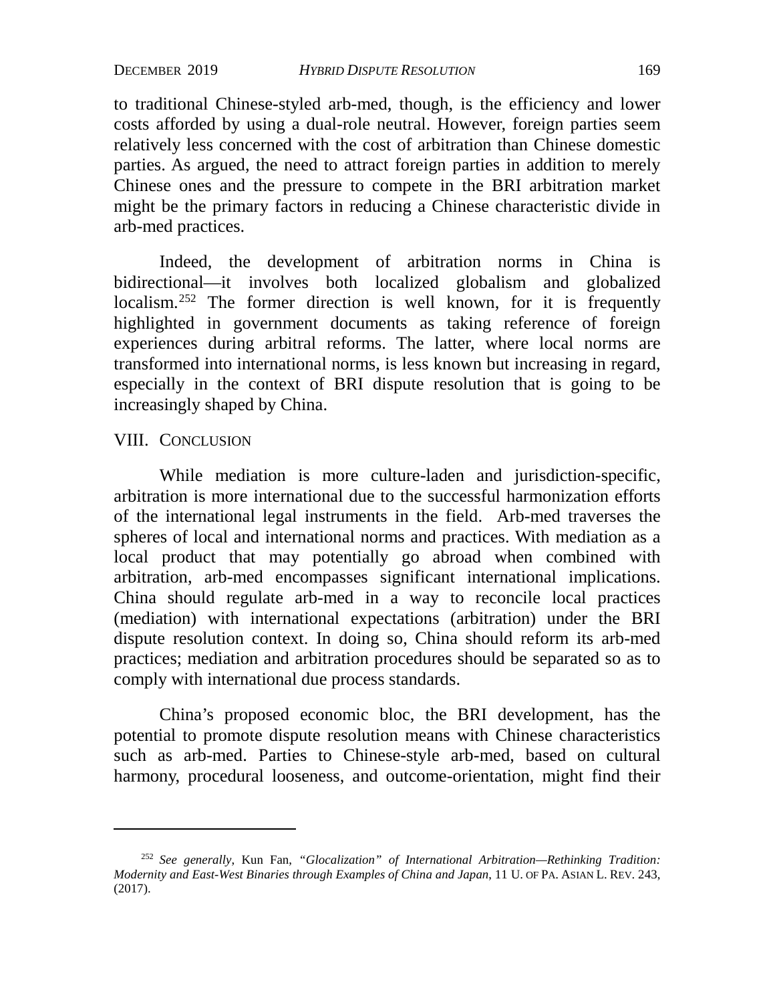DECEMBER 2019 *HYBRID DISPUTE RESOLUTION* 169

to traditional Chinese-styled arb-med, though, is the efficiency and lower costs afforded by using a dual-role neutral. However, foreign parties seem relatively less concerned with the cost of arbitration than Chinese domestic parties. As argued, the need to attract foreign parties in addition to merely Chinese ones and the pressure to compete in the BRI arbitration market might be the primary factors in reducing a Chinese characteristic divide in arb-med practices.

Indeed, the development of arbitration norms in China is bidirectional—it involves both localized globalism and globalized localism.<sup>[252](#page-53-0)</sup> The former direction is well known, for it is frequently highlighted in government documents as taking reference of foreign experiences during arbitral reforms. The latter, where local norms are transformed into international norms, is less known but increasing in regard, especially in the context of BRI dispute resolution that is going to be increasingly shaped by China.

#### VIII. CONCLUSION

While mediation is more culture-laden and jurisdiction-specific, arbitration is more international due to the successful harmonization efforts of the international legal instruments in the field. Arb-med traverses the spheres of local and international norms and practices. With mediation as a local product that may potentially go abroad when combined with arbitration, arb-med encompasses significant international implications. China should regulate arb-med in a way to reconcile local practices (mediation) with international expectations (arbitration) under the BRI dispute resolution context. In doing so, China should reform its arb-med practices; mediation and arbitration procedures should be separated so as to comply with international due process standards.

China's proposed economic bloc, the BRI development, has the potential to promote dispute resolution means with Chinese characteristics such as arb-med. Parties to Chinese-style arb-med, based on cultural harmony, procedural looseness, and outcome-orientation, might find their

<span id="page-53-0"></span><sup>252</sup> *See generally*, Kun Fan, *"Glocalization" of International Arbitration—Rethinking Tradition: Modernity and East-West Binaries through Examples of China and Japan*, 11 U. OF PA. ASIAN L. REV. 243, (2017).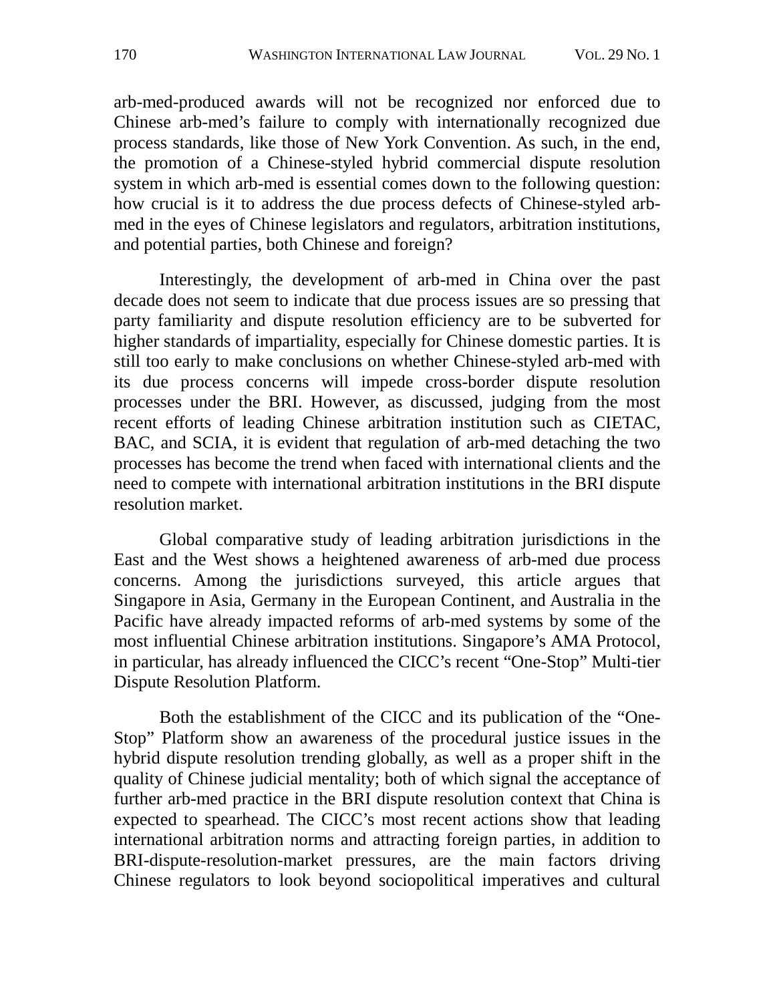arb-med-produced awards will not be recognized nor enforced due to Chinese arb-med's failure to comply with internationally recognized due process standards, like those of New York Convention. As such, in the end, the promotion of a Chinese-styled hybrid commercial dispute resolution system in which arb-med is essential comes down to the following question: how crucial is it to address the due process defects of Chinese-styled arbmed in the eyes of Chinese legislators and regulators, arbitration institutions, and potential parties, both Chinese and foreign?

Interestingly, the development of arb-med in China over the past decade does not seem to indicate that due process issues are so pressing that party familiarity and dispute resolution efficiency are to be subverted for higher standards of impartiality, especially for Chinese domestic parties. It is still too early to make conclusions on whether Chinese-styled arb-med with its due process concerns will impede cross-border dispute resolution processes under the BRI. However, as discussed, judging from the most recent efforts of leading Chinese arbitration institution such as CIETAC, BAC, and SCIA, it is evident that regulation of arb-med detaching the two processes has become the trend when faced with international clients and the need to compete with international arbitration institutions in the BRI dispute resolution market.

Global comparative study of leading arbitration jurisdictions in the East and the West shows a heightened awareness of arb-med due process concerns. Among the jurisdictions surveyed, this article argues that Singapore in Asia, Germany in the European Continent, and Australia in the Pacific have already impacted reforms of arb-med systems by some of the most influential Chinese arbitration institutions. Singapore's AMA Protocol, in particular, has already influenced the CICC's recent "One-Stop" Multi-tier Dispute Resolution Platform.

Both the establishment of the CICC and its publication of the "One-Stop" Platform show an awareness of the procedural justice issues in the hybrid dispute resolution trending globally, as well as a proper shift in the quality of Chinese judicial mentality; both of which signal the acceptance of further arb-med practice in the BRI dispute resolution context that China is expected to spearhead. The CICC's most recent actions show that leading international arbitration norms and attracting foreign parties, in addition to BRI-dispute-resolution-market pressures, are the main factors driving Chinese regulators to look beyond sociopolitical imperatives and cultural